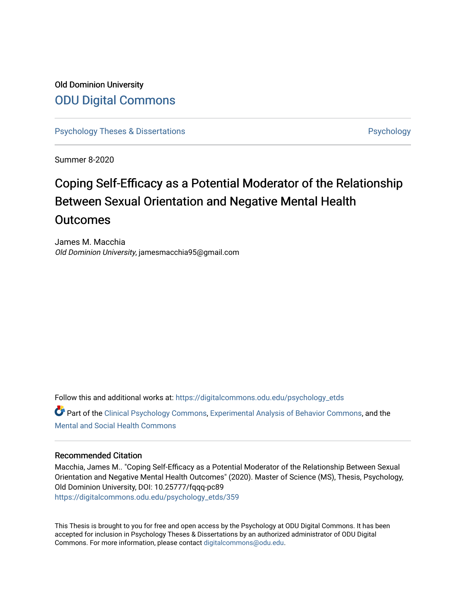# Old Dominion University [ODU Digital Commons](https://digitalcommons.odu.edu/)

[Psychology Theses & Dissertations](https://digitalcommons.odu.edu/psychology_etds) **Psychology** [Psychology](https://digitalcommons.odu.edu/psychology) **Psychology** 

Summer 8-2020

# Coping Self-Efficacy as a Potential Moderator of the Relationship Between Sexual Orientation and Negative Mental Health **Outcomes**

James M. Macchia Old Dominion University, jamesmacchia95@gmail.com

Follow this and additional works at: [https://digitalcommons.odu.edu/psychology\\_etds](https://digitalcommons.odu.edu/psychology_etds?utm_source=digitalcommons.odu.edu%2Fpsychology_etds%2F359&utm_medium=PDF&utm_campaign=PDFCoverPages)

Part of the [Clinical Psychology Commons,](http://network.bepress.com/hgg/discipline/406?utm_source=digitalcommons.odu.edu%2Fpsychology_etds%2F359&utm_medium=PDF&utm_campaign=PDFCoverPages) [Experimental Analysis of Behavior Commons,](http://network.bepress.com/hgg/discipline/1236?utm_source=digitalcommons.odu.edu%2Fpsychology_etds%2F359&utm_medium=PDF&utm_campaign=PDFCoverPages) and the [Mental and Social Health Commons](http://network.bepress.com/hgg/discipline/709?utm_source=digitalcommons.odu.edu%2Fpsychology_etds%2F359&utm_medium=PDF&utm_campaign=PDFCoverPages) 

### Recommended Citation

Macchia, James M.. "Coping Self-Efficacy as a Potential Moderator of the Relationship Between Sexual Orientation and Negative Mental Health Outcomes" (2020). Master of Science (MS), Thesis, Psychology, Old Dominion University, DOI: 10.25777/fqqq-pc89 [https://digitalcommons.odu.edu/psychology\\_etds/359](https://digitalcommons.odu.edu/psychology_etds/359?utm_source=digitalcommons.odu.edu%2Fpsychology_etds%2F359&utm_medium=PDF&utm_campaign=PDFCoverPages)

This Thesis is brought to you for free and open access by the Psychology at ODU Digital Commons. It has been accepted for inclusion in Psychology Theses & Dissertations by an authorized administrator of ODU Digital Commons. For more information, please contact [digitalcommons@odu.edu](mailto:digitalcommons@odu.edu).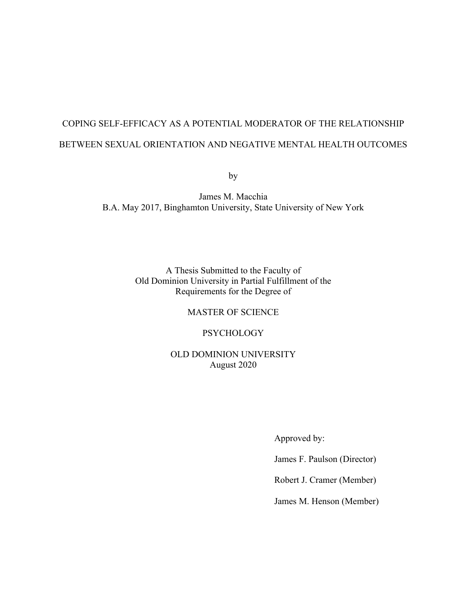# COPING SELF-EFFICACY AS A POTENTIAL MODERATOR OF THE RELATIONSHIP BETWEEN SEXUAL ORIENTATION AND NEGATIVE MENTAL HEALTH OUTCOMES

by

James M. Macchia B.A. May 2017, Binghamton University, State University of New York

> A Thesis Submitted to the Faculty of Old Dominion University in Partial Fulfillment of the Requirements for the Degree of

> > MASTER OF SCIENCE

PSYCHOLOGY

OLD DOMINION UNIVERSITY August 2020

Approved by:

James F. Paulson (Director)

Robert J. Cramer (Member)

James M. Henson (Member)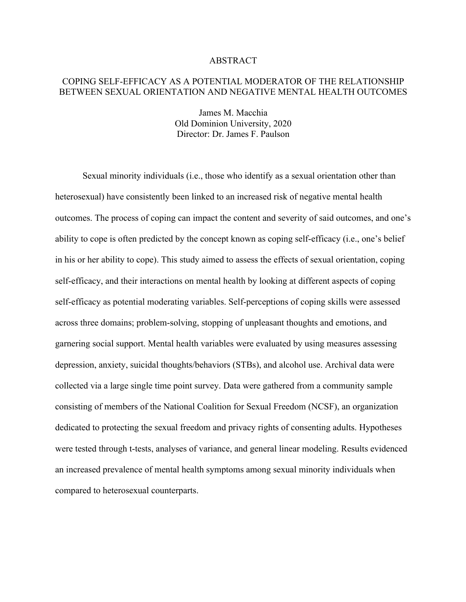#### ABSTRACT

# COPING SELF-EFFICACY AS A POTENTIAL MODERATOR OF THE RELATIONSHIP BETWEEN SEXUAL ORIENTATION AND NEGATIVE MENTAL HEALTH OUTCOMES

James M. Macchia Old Dominion University, 2020 Director: Dr. James F. Paulson

Sexual minority individuals (i.e., those who identify as a sexual orientation other than heterosexual) have consistently been linked to an increased risk of negative mental health outcomes. The process of coping can impact the content and severity of said outcomes, and one's ability to cope is often predicted by the concept known as coping self-efficacy (i.e., one's belief in his or her ability to cope). This study aimed to assess the effects of sexual orientation, coping self-efficacy, and their interactions on mental health by looking at different aspects of coping self-efficacy as potential moderating variables. Self-perceptions of coping skills were assessed across three domains; problem-solving, stopping of unpleasant thoughts and emotions, and garnering social support. Mental health variables were evaluated by using measures assessing depression, anxiety, suicidal thoughts/behaviors (STBs), and alcohol use. Archival data were collected via a large single time point survey. Data were gathered from a community sample consisting of members of the National Coalition for Sexual Freedom (NCSF), an organization dedicated to protecting the sexual freedom and privacy rights of consenting adults. Hypotheses were tested through t-tests, analyses of variance, and general linear modeling. Results evidenced an increased prevalence of mental health symptoms among sexual minority individuals when compared to heterosexual counterparts.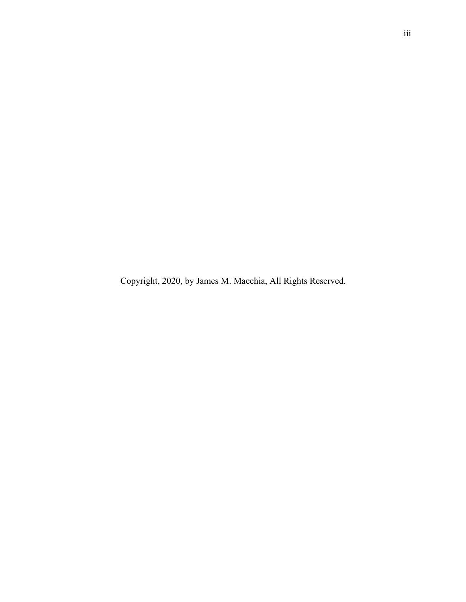Copyright, 2020, by James M. Macchia, All Rights Reserved.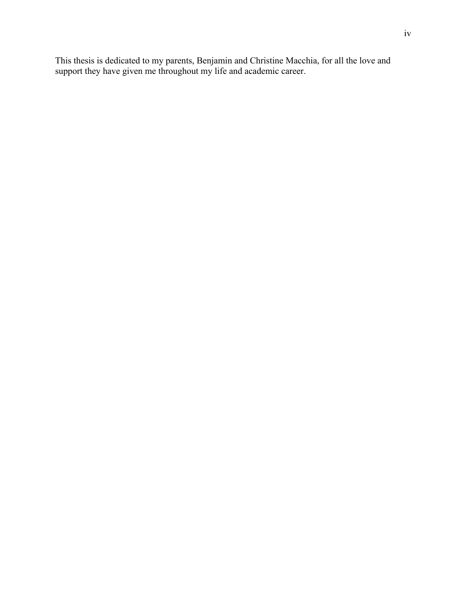This thesis is dedicated to my parents, Benjamin and Christine Macchia, for all the love and support they have given me throughout my life and academic career.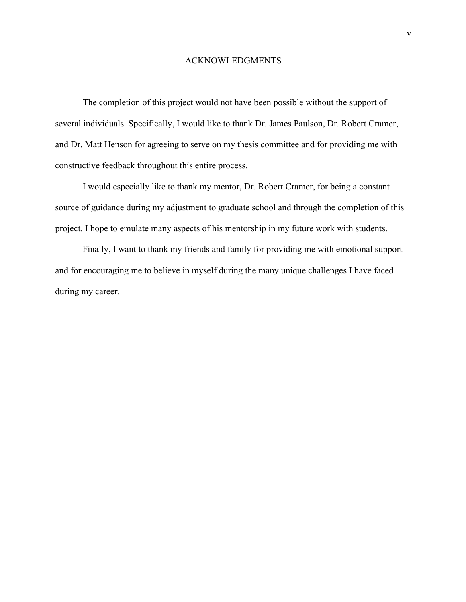### ACKNOWLEDGMENTS

The completion of this project would not have been possible without the support of several individuals. Specifically, I would like to thank Dr. James Paulson, Dr. Robert Cramer, and Dr. Matt Henson for agreeing to serve on my thesis committee and for providing me with constructive feedback throughout this entire process.

I would especially like to thank my mentor, Dr. Robert Cramer, for being a constant source of guidance during my adjustment to graduate school and through the completion of this project. I hope to emulate many aspects of his mentorship in my future work with students.

Finally, I want to thank my friends and family for providing me with emotional support and for encouraging me to believe in myself during the many unique challenges I have faced during my career.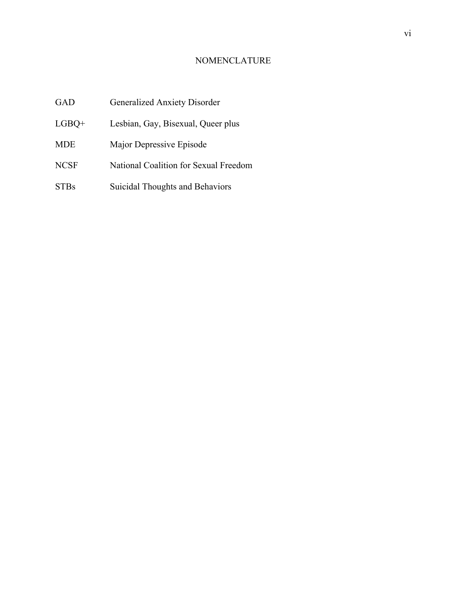# NOMENCLATURE

| <b>GAD</b>  | <b>Generalized Anxiety Disorder</b>   |
|-------------|---------------------------------------|
| $LGBO+$     | Lesbian, Gay, Bisexual, Queer plus    |
| <b>MDE</b>  | Major Depressive Episode              |
| <b>NCSF</b> | National Coalition for Sexual Freedom |
| <b>STBs</b> | Suicidal Thoughts and Behaviors       |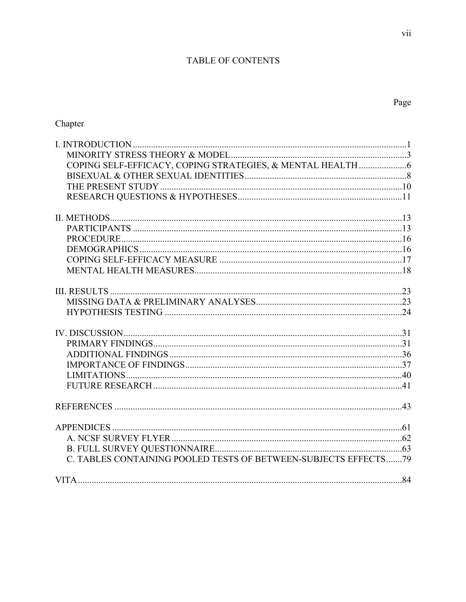# TABLE OF CONTENTS

| C. TABLES CONTAINING POOLED TESTS OF BETWEEN-SUBJECTS EFFECTS79 |  |
|-----------------------------------------------------------------|--|
|                                                                 |  |

Page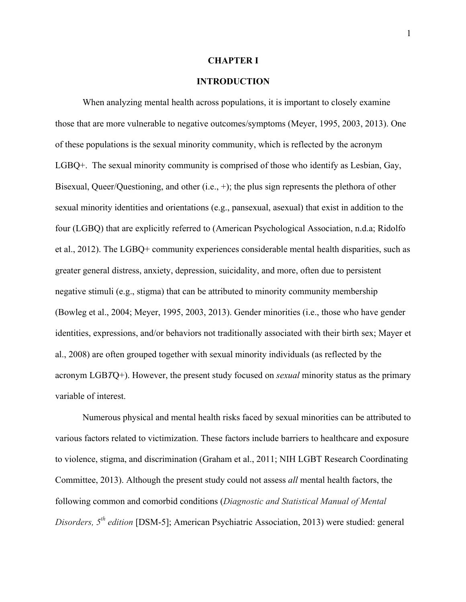#### **CHAPTER I**

## **INTRODUCTION**

When analyzing mental health across populations, it is important to closely examine those that are more vulnerable to negative outcomes/symptoms (Meyer, 1995, 2003, 2013). One of these populations is the sexual minority community, which is reflected by the acronym LGBQ+. The sexual minority community is comprised of those who identify as Lesbian, Gay, Bisexual, Queer/Questioning, and other (i.e., +); the plus sign represents the plethora of other sexual minority identities and orientations (e.g., pansexual, asexual) that exist in addition to the four (LGBQ) that are explicitly referred to (American Psychological Association, n.d.a; Ridolfo et al., 2012). The LGBQ+ community experiences considerable mental health disparities, such as greater general distress, anxiety, depression, suicidality, and more, often due to persistent negative stimuli (e.g., stigma) that can be attributed to minority community membership (Bowleg et al., 2004; Meyer, 1995, 2003, 2013). Gender minorities (i.e., those who have gender identities, expressions, and/or behaviors not traditionally associated with their birth sex; Mayer et al., 2008) are often grouped together with sexual minority individuals (as reflected by the acronym LGB*T*Q+). However, the present study focused on *sexual* minority status as the primary variable of interest.

Numerous physical and mental health risks faced by sexual minorities can be attributed to various factors related to victimization. These factors include barriers to healthcare and exposure to violence, stigma, and discrimination (Graham et al., 2011; NIH LGBT Research Coordinating Committee, 2013). Although the present study could not assess *all* mental health factors, the following common and comorbid conditions (*Diagnostic and Statistical Manual of Mental Disorders, 5th edition* [DSM-5]; American Psychiatric Association, 2013) were studied: general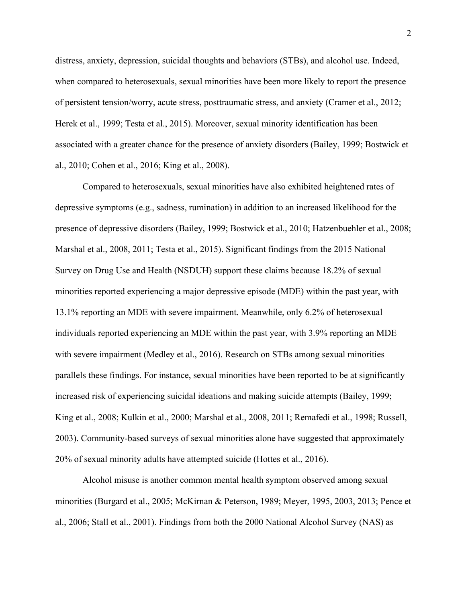distress, anxiety, depression, suicidal thoughts and behaviors (STBs), and alcohol use. Indeed, when compared to heterosexuals, sexual minorities have been more likely to report the presence of persistent tension/worry, acute stress, posttraumatic stress, and anxiety (Cramer et al., 2012; Herek et al., 1999; Testa et al., 2015). Moreover, sexual minority identification has been associated with a greater chance for the presence of anxiety disorders (Bailey, 1999; Bostwick et al., 2010; Cohen et al., 2016; King et al., 2008).

Compared to heterosexuals, sexual minorities have also exhibited heightened rates of depressive symptoms (e.g., sadness, rumination) in addition to an increased likelihood for the presence of depressive disorders (Bailey, 1999; Bostwick et al., 2010; Hatzenbuehler et al., 2008; Marshal et al., 2008, 2011; Testa et al., 2015). Significant findings from the 2015 National Survey on Drug Use and Health (NSDUH) support these claims because 18.2% of sexual minorities reported experiencing a major depressive episode (MDE) within the past year, with 13.1% reporting an MDE with severe impairment. Meanwhile, only 6.2% of heterosexual individuals reported experiencing an MDE within the past year, with 3.9% reporting an MDE with severe impairment (Medley et al., 2016). Research on STBs among sexual minorities parallels these findings. For instance, sexual minorities have been reported to be at significantly increased risk of experiencing suicidal ideations and making suicide attempts (Bailey, 1999; King et al., 2008; Kulkin et al., 2000; Marshal et al., 2008, 2011; Remafedi et al., 1998; Russell, 2003). Community-based surveys of sexual minorities alone have suggested that approximately 20% of sexual minority adults have attempted suicide (Hottes et al., 2016).

Alcohol misuse is another common mental health symptom observed among sexual minorities (Burgard et al., 2005; McKirnan & Peterson, 1989; Meyer, 1995, 2003, 2013; Pence et al., 2006; Stall et al., 2001). Findings from both the 2000 National Alcohol Survey (NAS) as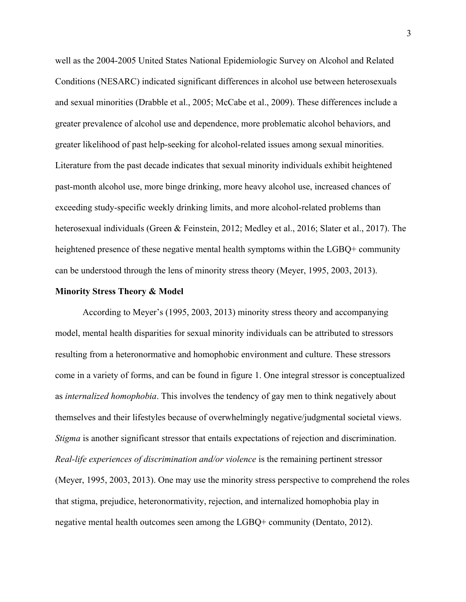well as the 2004-2005 United States National Epidemiologic Survey on Alcohol and Related Conditions (NESARC) indicated significant differences in alcohol use between heterosexuals and sexual minorities (Drabble et al., 2005; McCabe et al., 2009). These differences include a greater prevalence of alcohol use and dependence, more problematic alcohol behaviors, and greater likelihood of past help-seeking for alcohol-related issues among sexual minorities. Literature from the past decade indicates that sexual minority individuals exhibit heightened past-month alcohol use, more binge drinking, more heavy alcohol use, increased chances of exceeding study-specific weekly drinking limits, and more alcohol-related problems than heterosexual individuals (Green & Feinstein, 2012; Medley et al., 2016; Slater et al., 2017). The heightened presence of these negative mental health symptoms within the LGBQ+ community can be understood through the lens of minority stress theory (Meyer, 1995, 2003, 2013).

#### **Minority Stress Theory & Model**

According to Meyer's (1995, 2003, 2013) minority stress theory and accompanying model, mental health disparities for sexual minority individuals can be attributed to stressors resulting from a heteronormative and homophobic environment and culture. These stressors come in a variety of forms, and can be found in figure 1. One integral stressor is conceptualized as *internalized homophobia*. This involves the tendency of gay men to think negatively about themselves and their lifestyles because of overwhelmingly negative/judgmental societal views. *Stigma* is another significant stressor that entails expectations of rejection and discrimination. *Real-life experiences of discrimination and/or violence* is the remaining pertinent stressor (Meyer, 1995, 2003, 2013). One may use the minority stress perspective to comprehend the roles that stigma, prejudice, heteronormativity, rejection, and internalized homophobia play in negative mental health outcomes seen among the LGBQ+ community (Dentato, 2012).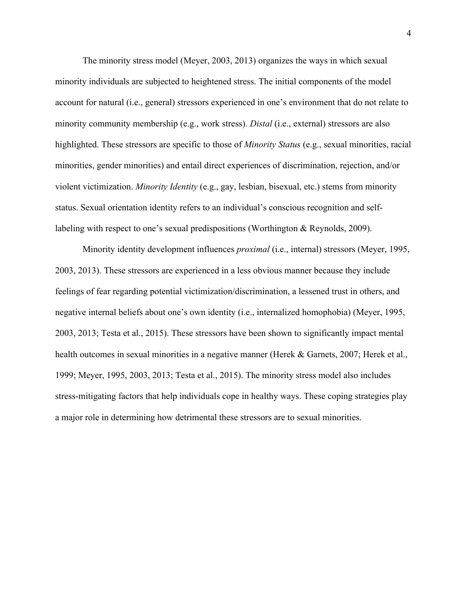The minority stress model (Meyer, 2003, 2013) organizes the ways in which sexual minority individuals are subjected to heightened stress. The initial components of the model account for natural (i.e., general) stressors experienced in one's environment that do not relate to minority community membership (e.g., work stress). *Distal* (i.e., external) stressors are also highlighted. These stressors are specific to those of *Minority Status* (e.g., sexual minorities, racial minorities, gender minorities) and entail direct experiences of discrimination, rejection, and/or violent victimization. *Minority Identity* (e.g., gay, lesbian, bisexual, etc.) stems from minority status. Sexual orientation identity refers to an individual's conscious recognition and selflabeling with respect to one's sexual predispositions (Worthington & Reynolds, 2009).

Minority identity development influences *proximal* (i.e., internal) stressors (Meyer, 1995, 2003, 2013). These stressors are experienced in a less obvious manner because they include feelings of fear regarding potential victimization/discrimination, a lessened trust in others, and negative internal beliefs about one's own identity (i.e., internalized homophobia) (Meyer, 1995, 2003, 2013; Testa et al., 2015). These stressors have been shown to significantly impact mental health outcomes in sexual minorities in a negative manner (Herek & Garnets, 2007; Herek et al., 1999; Meyer, 1995, 2003, 2013; Testa et al., 2015). The minority stress model also includes stress-mitigating factors that help individuals cope in healthy ways. These coping strategies play a major role in determining how detrimental these stressors are to sexual minorities.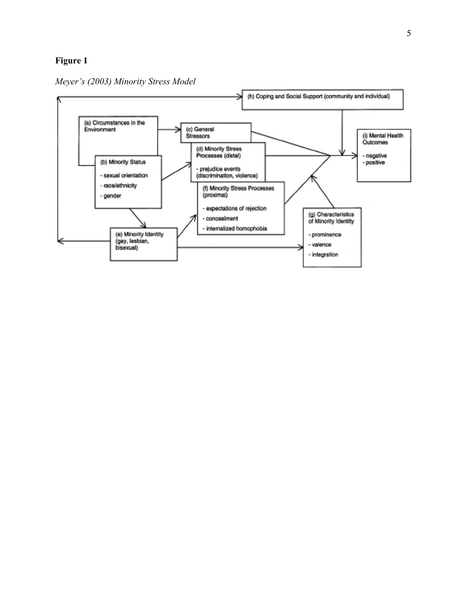# **Figure 1**



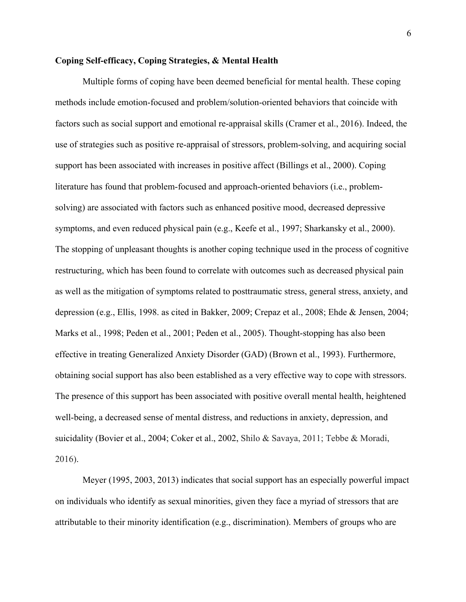### **Coping Self-efficacy, Coping Strategies, & Mental Health**

Multiple forms of coping have been deemed beneficial for mental health. These coping methods include emotion-focused and problem/solution-oriented behaviors that coincide with factors such as social support and emotional re-appraisal skills (Cramer et al., 2016). Indeed, the use of strategies such as positive re-appraisal of stressors, problem-solving, and acquiring social support has been associated with increases in positive affect (Billings et al., 2000). Coping literature has found that problem-focused and approach-oriented behaviors (i.e., problemsolving) are associated with factors such as enhanced positive mood, decreased depressive symptoms, and even reduced physical pain (e.g., Keefe et al., 1997; Sharkansky et al., 2000). The stopping of unpleasant thoughts is another coping technique used in the process of cognitive restructuring, which has been found to correlate with outcomes such as decreased physical pain as well as the mitigation of symptoms related to posttraumatic stress, general stress, anxiety, and depression (e.g., Ellis, 1998. as cited in Bakker, 2009; Crepaz et al., 2008; Ehde & Jensen, 2004; Marks et al., 1998; Peden et al., 2001; Peden et al., 2005). Thought-stopping has also been effective in treating Generalized Anxiety Disorder (GAD) (Brown et al., 1993). Furthermore, obtaining social support has also been established as a very effective way to cope with stressors. The presence of this support has been associated with positive overall mental health, heightened well-being, a decreased sense of mental distress, and reductions in anxiety, depression, and suicidality (Bovier et al., 2004; Coker et al., 2002, Shilo & Savaya, 2011; Tebbe & Moradi, 2016).

Meyer (1995, 2003, 2013) indicates that social support has an especially powerful impact on individuals who identify as sexual minorities, given they face a myriad of stressors that are attributable to their minority identification (e.g., discrimination). Members of groups who are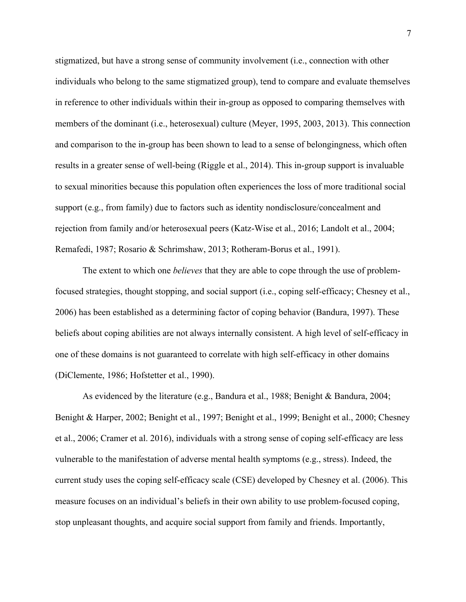stigmatized, but have a strong sense of community involvement (i.e., connection with other individuals who belong to the same stigmatized group), tend to compare and evaluate themselves in reference to other individuals within their in-group as opposed to comparing themselves with members of the dominant (i.e., heterosexual) culture (Meyer, 1995, 2003, 2013). This connection and comparison to the in-group has been shown to lead to a sense of belongingness, which often results in a greater sense of well-being (Riggle et al., 2014). This in-group support is invaluable to sexual minorities because this population often experiences the loss of more traditional social support (e.g., from family) due to factors such as identity nondisclosure/concealment and rejection from family and/or heterosexual peers (Katz-Wise et al., 2016; Landolt et al., 2004; Remafedi, 1987; Rosario & Schrimshaw, 2013; Rotheram-Borus et al., 1991).

The extent to which one *believes* that they are able to cope through the use of problemfocused strategies, thought stopping, and social support (i.e., coping self-efficacy; Chesney et al., 2006) has been established as a determining factor of coping behavior (Bandura, 1997). These beliefs about coping abilities are not always internally consistent. A high level of self-efficacy in one of these domains is not guaranteed to correlate with high self-efficacy in other domains (DiClemente, 1986; Hofstetter et al., 1990).

As evidenced by the literature (e.g., Bandura et al., 1988; Benight & Bandura, 2004; Benight & Harper, 2002; Benight et al., 1997; Benight et al., 1999; Benight et al., 2000; Chesney et al., 2006; Cramer et al. 2016), individuals with a strong sense of coping self-efficacy are less vulnerable to the manifestation of adverse mental health symptoms (e.g., stress). Indeed, the current study uses the coping self-efficacy scale (CSE) developed by Chesney et al. (2006). This measure focuses on an individual's beliefs in their own ability to use problem-focused coping, stop unpleasant thoughts, and acquire social support from family and friends. Importantly,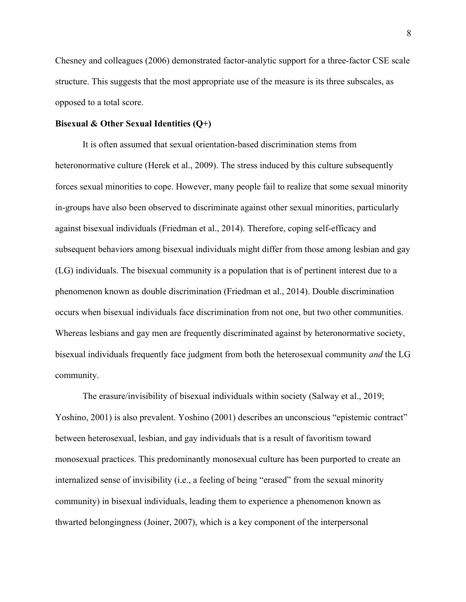Chesney and colleagues (2006) demonstrated factor-analytic support for a three-factor CSE scale structure. This suggests that the most appropriate use of the measure is its three subscales, as opposed to a total score.

### **Bisexual & Other Sexual Identities (Q+)**

It is often assumed that sexual orientation-based discrimination stems from heteronormative culture (Herek et al., 2009). The stress induced by this culture subsequently forces sexual minorities to cope. However, many people fail to realize that some sexual minority in-groups have also been observed to discriminate against other sexual minorities, particularly against bisexual individuals (Friedman et al., 2014). Therefore, coping self-efficacy and subsequent behaviors among bisexual individuals might differ from those among lesbian and gay (LG) individuals. The bisexual community is a population that is of pertinent interest due to a phenomenon known as double discrimination (Friedman et al., 2014). Double discrimination occurs when bisexual individuals face discrimination from not one, but two other communities. Whereas lesbians and gay men are frequently discriminated against by heteronormative society, bisexual individuals frequently face judgment from both the heterosexual community *and* the LG community.

The erasure/invisibility of bisexual individuals within society (Salway et al., 2019; Yoshino, 2001) is also prevalent. Yoshino (2001) describes an unconscious "epistemic contract" between heterosexual, lesbian, and gay individuals that is a result of favoritism toward monosexual practices. This predominantly monosexual culture has been purported to create an internalized sense of invisibility (i.e., a feeling of being "erased" from the sexual minority community) in bisexual individuals, leading them to experience a phenomenon known as thwarted belongingness (Joiner, 2007), which is a key component of the interpersonal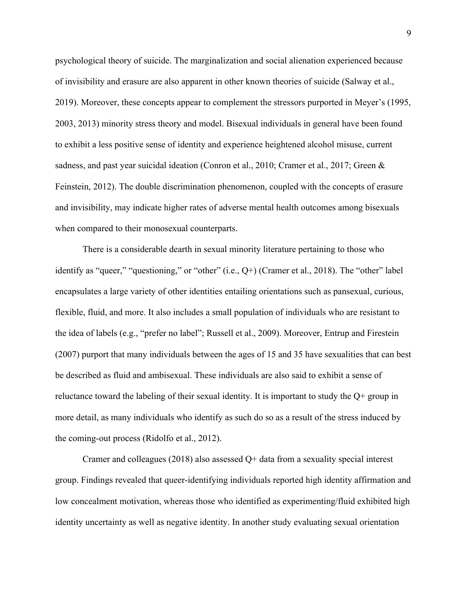psychological theory of suicide. The marginalization and social alienation experienced because of invisibility and erasure are also apparent in other known theories of suicide (Salway et al., 2019). Moreover, these concepts appear to complement the stressors purported in Meyer's (1995, 2003, 2013) minority stress theory and model. Bisexual individuals in general have been found to exhibit a less positive sense of identity and experience heightened alcohol misuse, current sadness, and past year suicidal ideation (Conron et al., 2010; Cramer et al., 2017; Green & Feinstein, 2012). The double discrimination phenomenon, coupled with the concepts of erasure and invisibility, may indicate higher rates of adverse mental health outcomes among bisexuals when compared to their monosexual counterparts.

There is a considerable dearth in sexual minority literature pertaining to those who identify as "queer," "questioning," or "other" (i.e., Q+) (Cramer et al., 2018). The "other" label encapsulates a large variety of other identities entailing orientations such as pansexual, curious, flexible, fluid, and more. It also includes a small population of individuals who are resistant to the idea of labels (e.g., "prefer no label"; Russell et al., 2009). Moreover, Entrup and Firestein (2007) purport that many individuals between the ages of 15 and 35 have sexualities that can best be described as fluid and ambisexual. These individuals are also said to exhibit a sense of reluctance toward the labeling of their sexual identity. It is important to study the Q+ group in more detail, as many individuals who identify as such do so as a result of the stress induced by the coming-out process (Ridolfo et al., 2012).

Cramer and colleagues (2018) also assessed Q+ data from a sexuality special interest group. Findings revealed that queer-identifying individuals reported high identity affirmation and low concealment motivation, whereas those who identified as experimenting/fluid exhibited high identity uncertainty as well as negative identity. In another study evaluating sexual orientation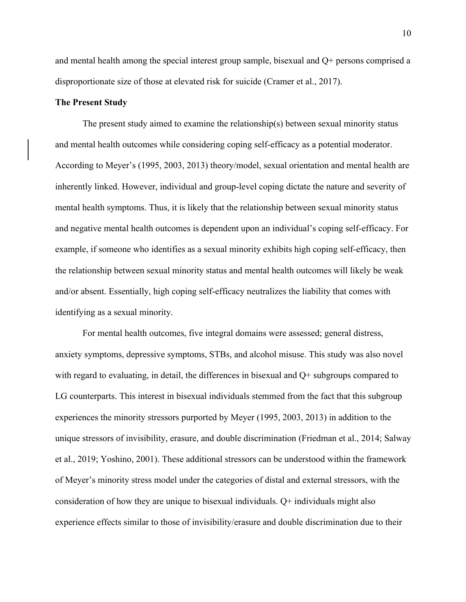and mental health among the special interest group sample, bisexual and Q+ persons comprised a disproportionate size of those at elevated risk for suicide (Cramer et al., 2017).

# **The Present Study**

The present study aimed to examine the relationship(s) between sexual minority status and mental health outcomes while considering coping self-efficacy as a potential moderator. According to Meyer's (1995, 2003, 2013) theory/model, sexual orientation and mental health are inherently linked. However, individual and group-level coping dictate the nature and severity of mental health symptoms. Thus, it is likely that the relationship between sexual minority status and negative mental health outcomes is dependent upon an individual's coping self-efficacy. For example, if someone who identifies as a sexual minority exhibits high coping self-efficacy, then the relationship between sexual minority status and mental health outcomes will likely be weak and/or absent. Essentially, high coping self-efficacy neutralizes the liability that comes with identifying as a sexual minority.

For mental health outcomes, five integral domains were assessed; general distress, anxiety symptoms, depressive symptoms, STBs, and alcohol misuse. This study was also novel with regard to evaluating, in detail, the differences in bisexual and Q+ subgroups compared to LG counterparts. This interest in bisexual individuals stemmed from the fact that this subgroup experiences the minority stressors purported by Meyer (1995, 2003, 2013) in addition to the unique stressors of invisibility, erasure, and double discrimination (Friedman et al., 2014; Salway et al., 2019; Yoshino, 2001). These additional stressors can be understood within the framework of Meyer's minority stress model under the categories of distal and external stressors, with the consideration of how they are unique to bisexual individuals. Q+ individuals might also experience effects similar to those of invisibility/erasure and double discrimination due to their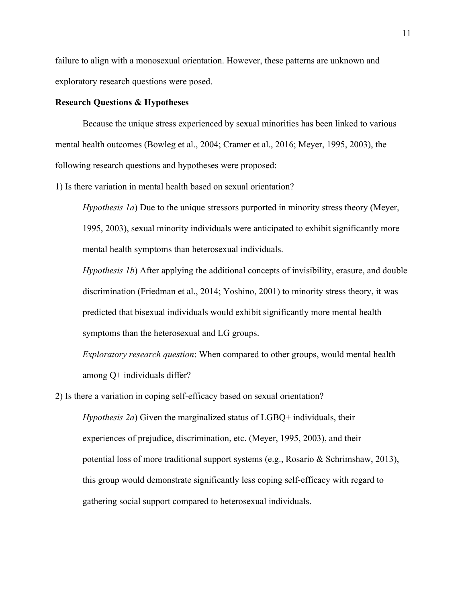failure to align with a monosexual orientation. However, these patterns are unknown and exploratory research questions were posed.

### **Research Questions & Hypotheses**

Because the unique stress experienced by sexual minorities has been linked to various mental health outcomes (Bowleg et al., 2004; Cramer et al., 2016; Meyer, 1995, 2003), the following research questions and hypotheses were proposed:

1) Is there variation in mental health based on sexual orientation?

*Hypothesis 1a*) Due to the unique stressors purported in minority stress theory (Meyer, 1995, 2003), sexual minority individuals were anticipated to exhibit significantly more mental health symptoms than heterosexual individuals.

*Hypothesis 1b*) After applying the additional concepts of invisibility, erasure, and double discrimination (Friedman et al., 2014; Yoshino, 2001) to minority stress theory, it was predicted that bisexual individuals would exhibit significantly more mental health symptoms than the heterosexual and LG groups.

*Exploratory research question*: When compared to other groups, would mental health among Q+ individuals differ?

2) Is there a variation in coping self-efficacy based on sexual orientation?

*Hypothesis 2a*) Given the marginalized status of LGBQ+ individuals, their experiences of prejudice, discrimination, etc. (Meyer, 1995, 2003), and their potential loss of more traditional support systems (e.g., Rosario & Schrimshaw, 2013), this group would demonstrate significantly less coping self-efficacy with regard to gathering social support compared to heterosexual individuals.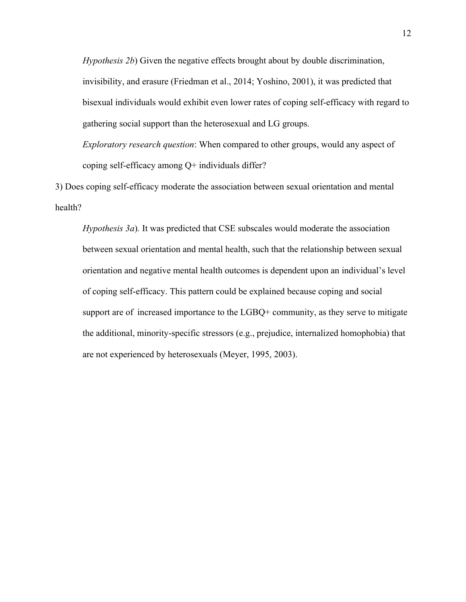*Hypothesis 2b*) Given the negative effects brought about by double discrimination, invisibility, and erasure (Friedman et al., 2014; Yoshino, 2001), it was predicted that bisexual individuals would exhibit even lower rates of coping self-efficacy with regard to gathering social support than the heterosexual and LG groups.

*Exploratory research question*: When compared to other groups, would any aspect of coping self-efficacy among Q+ individuals differ?

3) Does coping self-efficacy moderate the association between sexual orientation and mental health?

*Hypothesis 3a*). It was predicted that CSE subscales would moderate the association between sexual orientation and mental health, such that the relationship between sexual orientation and negative mental health outcomes is dependent upon an individual's level of coping self-efficacy. This pattern could be explained because coping and social support are of increased importance to the LGBQ+ community, as they serve to mitigate the additional, minority-specific stressors (e.g., prejudice, internalized homophobia) that are not experienced by heterosexuals (Meyer, 1995, 2003).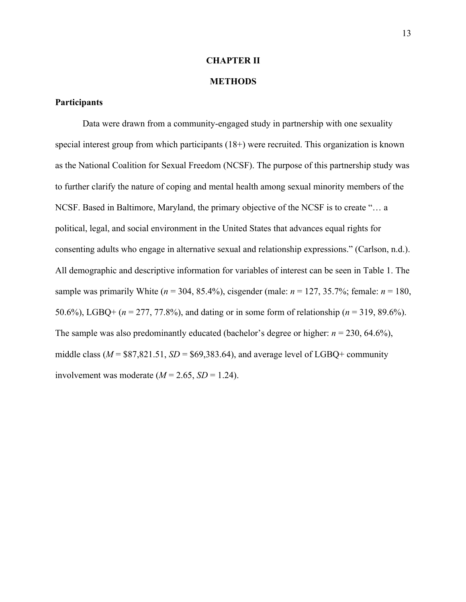# **CHAPTER II**

### **METHODS**

### **Participants**

Data were drawn from a community-engaged study in partnership with one sexuality special interest group from which participants (18+) were recruited. This organization is known as the National Coalition for Sexual Freedom (NCSF). The purpose of this partnership study was to further clarify the nature of coping and mental health among sexual minority members of the NCSF. Based in Baltimore, Maryland, the primary objective of the NCSF is to create "… a political, legal, and social environment in the United States that advances equal rights for consenting adults who engage in alternative sexual and relationship expressions." (Carlson, n.d.). All demographic and descriptive information for variables of interest can be seen in Table 1. The sample was primarily White ( $n = 304, 85.4\%$ ), cisgender (male:  $n = 127, 35.7\%$ ; female:  $n = 180$ , 50.6%), LGBQ+ (*n* = 277, 77.8%), and dating or in some form of relationship (*n* = 319, 89.6%). The sample was also predominantly educated (bachelor's degree or higher: *n* = 230, 64.6%), middle class ( $M = $87,821.51, SD = $69,383.64$ ), and average level of LGBQ+ community involvement was moderate  $(M = 2.65, SD = 1.24)$ .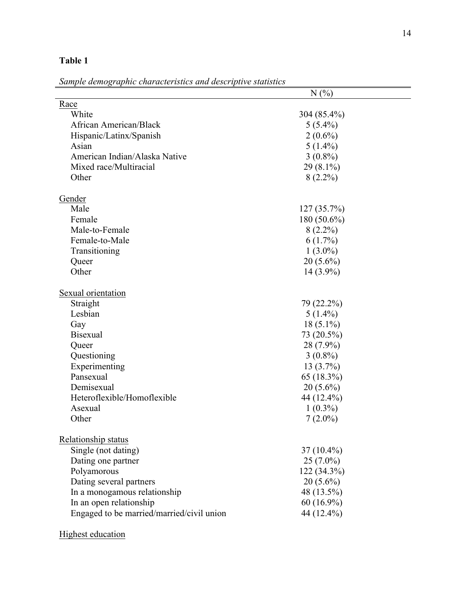| н<br>п<br>π |
|-------------|
|-------------|

*Sample demographic characteristics and descriptive statistics*

| sumple aemographic characteristics and aescriptive statistics |                |
|---------------------------------------------------------------|----------------|
|                                                               | N(%            |
| Race                                                          |                |
| White                                                         | 304 (85.4%)    |
| African American/Black                                        | $5(5.4\%)$     |
| Hispanic/Latinx/Spanish                                       | $2(0.6\%)$     |
| Asian                                                         | $5(1.4\%)$     |
| American Indian/Alaska Native                                 | $3(0.8\%)$     |
| Mixed race/Multiracial                                        | $29(8.1\%)$    |
| Other                                                         | $8(2.2\%)$     |
|                                                               |                |
| Gender                                                        |                |
| Male                                                          | $127(35.7\%)$  |
| Female                                                        | 180 $(50.6\%)$ |
| Male-to-Female                                                | $8(2.2\%)$     |
| Female-to-Male                                                | $6(1.7\%)$     |
| Transitioning                                                 | $1(3.0\%)$     |
| Queer                                                         | $20(5.6\%)$    |
| Other                                                         | $14(3.9\%)$    |
|                                                               |                |
| Sexual orientation                                            |                |
| Straight                                                      | 79 (22.2%)     |
| Lesbian                                                       | $5(1.4\%)$     |
| Gay                                                           | $18(5.1\%)$    |
| <b>Bisexual</b>                                               | 73 (20.5%)     |
| Queer                                                         | 28 (7.9%)      |
| Questioning                                                   | $3(0.8\%)$     |
| Experimenting                                                 | $13(3.7\%)$    |
| Pansexual                                                     | 65 (18.3%)     |
| Demisexual                                                    | $20(5.6\%)$    |
| Heteroflexible/Homoflexible                                   | 44 (12.4%)     |
| Asexual                                                       | $1(0.3\%)$     |
| Other                                                         | $7(2.0\%)$     |
|                                                               |                |
| Relationship status                                           |                |
| Single (not dating)                                           | $37(10.4\%)$   |
| Dating one partner                                            | $25(7.0\%)$    |
| Polyamorous                                                   | 122 (34.3%)    |
| Dating several partners                                       | $20(5.6\%)$    |
| In a monogamous relationship                                  | 48 (13.5%)     |
| In an open relationship                                       | $60(16.9\%)$   |
| Engaged to be married/married/civil union                     | 44 (12.4%)     |
|                                                               |                |
|                                                               |                |

Highest education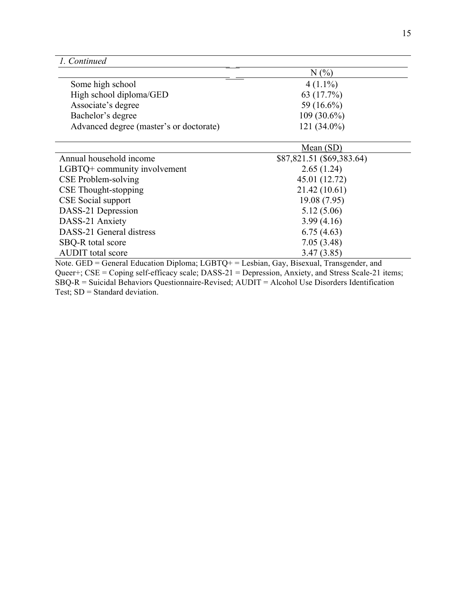|                                         | N(%           |  |
|-----------------------------------------|---------------|--|
| Some high school                        | $4(1.1\%)$    |  |
| High school diploma/GED                 | 63 (17.7%)    |  |
| Associate's degree                      | 59 $(16.6\%)$ |  |
| Bachelor's degree                       | $109(30.6\%)$ |  |
| Advanced degree (master's or doctorate) | $121(34.0\%)$ |  |

 $\overline{a}$ 

|                              | Mean $(SD)$               |
|------------------------------|---------------------------|
| Annual household income      | \$87,821.51 (\$69,383.64) |
| LGBTQ+ community involvement | 2.65(1.24)                |
| CSE Problem-solving          | 45.01 (12.72)             |
| CSE Thought-stopping         | 21.42(10.61)              |
| CSE Social support           | 19.08 (7.95)              |
| DASS-21 Depression           | 5.12(5.06)                |
| DASS-21 Anxiety              | 3.99(4.16)                |
| DASS-21 General distress     | 6.75(4.63)                |
| SBQ-R total score            | 7.05(3.48)                |
| <b>AUDIT</b> total score     | 3.47(3.85)                |

Note. GED = General Education Diploma; LGBTQ+ = Lesbian, Gay, Bisexual, Transgender, and Queer+; CSE = Coping self-efficacy scale; DASS-21 = Depression, Anxiety, and Stress Scale-21 items; SBQ-R = Suicidal Behaviors Questionnaire-Revised; AUDIT = Alcohol Use Disorders Identification Test; SD = Standard deviation.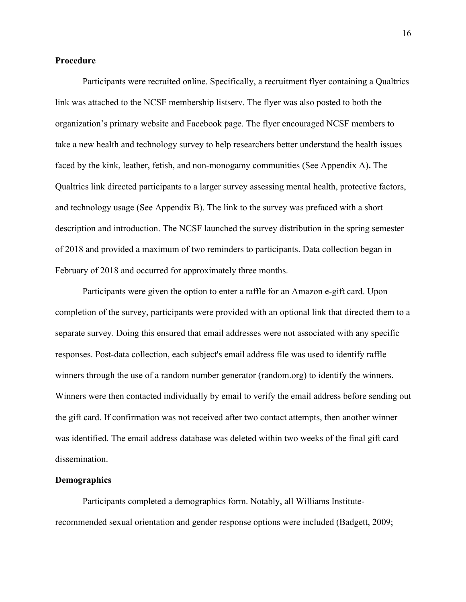### **Procedure**

Participants were recruited online. Specifically, a recruitment flyer containing a Qualtrics link was attached to the NCSF membership listserv. The flyer was also posted to both the organization's primary website and Facebook page. The flyer encouraged NCSF members to take a new health and technology survey to help researchers better understand the health issues faced by the kink, leather, fetish, and non-monogamy communities (See Appendix A)**.** The Qualtrics link directed participants to a larger survey assessing mental health, protective factors, and technology usage (See Appendix B). The link to the survey was prefaced with a short description and introduction. The NCSF launched the survey distribution in the spring semester of 2018 and provided a maximum of two reminders to participants. Data collection began in February of 2018 and occurred for approximately three months.

Participants were given the option to enter a raffle for an Amazon e-gift card. Upon completion of the survey, participants were provided with an optional link that directed them to a separate survey. Doing this ensured that email addresses were not associated with any specific responses. Post-data collection, each subject's email address file was used to identify raffle winners through the use of a random number generator (random.org) to identify the winners. Winners were then contacted individually by email to verify the email address before sending out the gift card. If confirmation was not received after two contact attempts, then another winner was identified. The email address database was deleted within two weeks of the final gift card dissemination.

### **Demographics**

Participants completed a demographics form. Notably, all Williams Instituterecommended sexual orientation and gender response options were included (Badgett, 2009;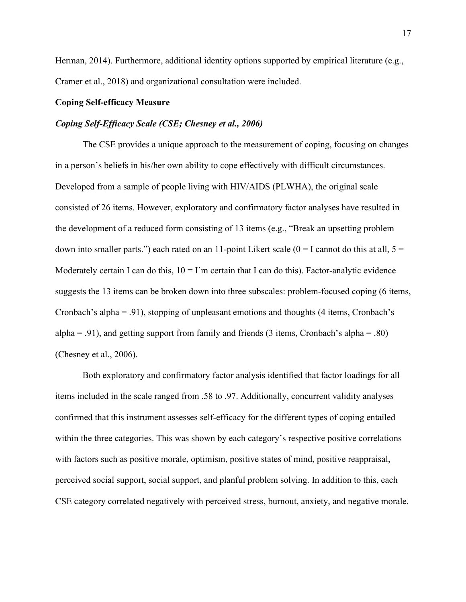Herman, 2014). Furthermore, additional identity options supported by empirical literature (e.g., Cramer et al., 2018) and organizational consultation were included.

### **Coping Self-efficacy Measure**

## *Coping Self-Efficacy Scale (CSE; Chesney et al., 2006)*

The CSE provides a unique approach to the measurement of coping, focusing on changes in a person's beliefs in his/her own ability to cope effectively with difficult circumstances. Developed from a sample of people living with HIV/AIDS (PLWHA), the original scale consisted of 26 items. However, exploratory and confirmatory factor analyses have resulted in the development of a reduced form consisting of 13 items (e.g., "Break an upsetting problem down into smaller parts.") each rated on an 11-point Likert scale ( $0 = I$  cannot do this at all,  $5 =$ Moderately certain I can do this,  $10 = I'm$  certain that I can do this). Factor-analytic evidence suggests the 13 items can be broken down into three subscales: problem-focused coping (6 items, Cronbach's alpha = .91), stopping of unpleasant emotions and thoughts (4 items, Cronbach's alpha = .91), and getting support from family and friends (3 items, Cronbach's alpha = .80) (Chesney et al., 2006).

Both exploratory and confirmatory factor analysis identified that factor loadings for all items included in the scale ranged from .58 to .97. Additionally, concurrent validity analyses confirmed that this instrument assesses self-efficacy for the different types of coping entailed within the three categories. This was shown by each category's respective positive correlations with factors such as positive morale, optimism, positive states of mind, positive reappraisal, perceived social support, social support, and planful problem solving. In addition to this, each CSE category correlated negatively with perceived stress, burnout, anxiety, and negative morale.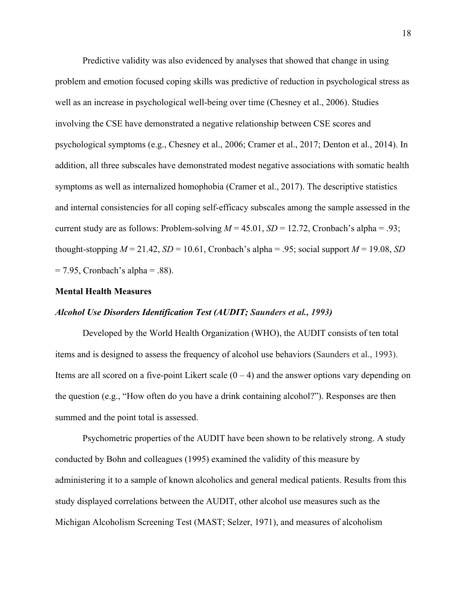Predictive validity was also evidenced by analyses that showed that change in using problem and emotion focused coping skills was predictive of reduction in psychological stress as well as an increase in psychological well-being over time (Chesney et al., 2006). Studies involving the CSE have demonstrated a negative relationship between CSE scores and psychological symptoms (e.g., Chesney et al., 2006; Cramer et al., 2017; Denton et al., 2014). In addition, all three subscales have demonstrated modest negative associations with somatic health symptoms as well as internalized homophobia (Cramer et al., 2017). The descriptive statistics and internal consistencies for all coping self-efficacy subscales among the sample assessed in the current study are as follows: Problem-solving  $M = 45.01$ ,  $SD = 12.72$ , Cronbach's alpha = .93; thought-stopping  $M = 21.42$ ,  $SD = 10.61$ , Cronbach's alpha = .95; social support  $M = 19.08$ ,  $SD$  $= 7.95$ , Cronbach's alpha  $= .88$ ).

## **Mental Health Measures**

### *Alcohol Use Disorders Identification Test (AUDIT; Saunders et al., 1993)*

Developed by the World Health Organization (WHO), the AUDIT consists of ten total items and is designed to assess the frequency of alcohol use behaviors (Saunders et al., 1993). Items are all scored on a five-point Likert scale  $(0 - 4)$  and the answer options vary depending on the question (e.g., "How often do you have a drink containing alcohol?"). Responses are then summed and the point total is assessed.

Psychometric properties of the AUDIT have been shown to be relatively strong. A study conducted by Bohn and colleagues (1995) examined the validity of this measure by administering it to a sample of known alcoholics and general medical patients. Results from this study displayed correlations between the AUDIT, other alcohol use measures such as the Michigan Alcoholism Screening Test (MAST; Selzer, 1971), and measures of alcoholism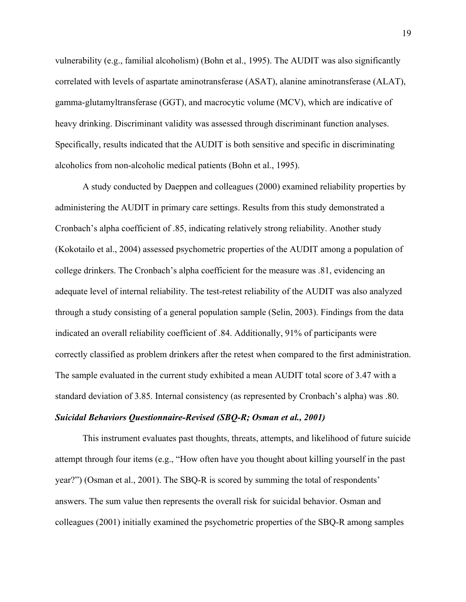vulnerability (e.g., familial alcoholism) (Bohn et al., 1995). The AUDIT was also significantly correlated with levels of aspartate aminotransferase (ASAT), alanine aminotransferase (ALAT), gamma-glutamyltransferase (GGT), and macrocytic volume (MCV), which are indicative of heavy drinking. Discriminant validity was assessed through discriminant function analyses. Specifically, results indicated that the AUDIT is both sensitive and specific in discriminating alcoholics from non-alcoholic medical patients (Bohn et al., 1995).

A study conducted by Daeppen and colleagues (2000) examined reliability properties by administering the AUDIT in primary care settings. Results from this study demonstrated a Cronbach's alpha coefficient of .85, indicating relatively strong reliability. Another study (Kokotailo et al., 2004) assessed psychometric properties of the AUDIT among a population of college drinkers. The Cronbach's alpha coefficient for the measure was .81, evidencing an adequate level of internal reliability. The test-retest reliability of the AUDIT was also analyzed through a study consisting of a general population sample (Selin, 2003). Findings from the data indicated an overall reliability coefficient of .84. Additionally, 91% of participants were correctly classified as problem drinkers after the retest when compared to the first administration. The sample evaluated in the current study exhibited a mean AUDIT total score of 3.47 with a standard deviation of 3.85. Internal consistency (as represented by Cronbach's alpha) was .80.

### *Suicidal Behaviors Questionnaire-Revised (SBQ-R; Osman et al., 2001)*

This instrument evaluates past thoughts, threats, attempts, and likelihood of future suicide attempt through four items (e.g., "How often have you thought about killing yourself in the past year?") (Osman et al., 2001). The SBQ-R is scored by summing the total of respondents' answers. The sum value then represents the overall risk for suicidal behavior. Osman and colleagues (2001) initially examined the psychometric properties of the SBQ-R among samples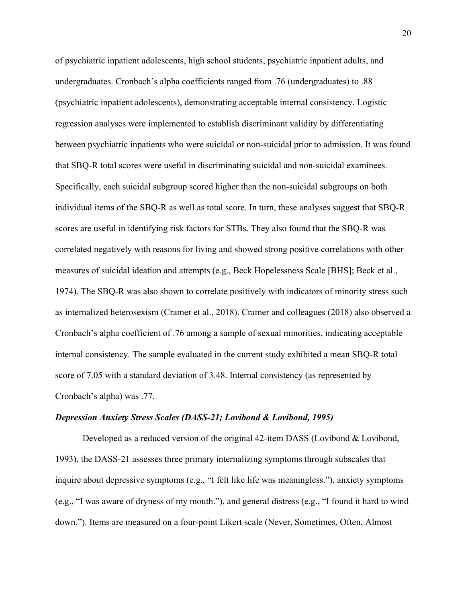of psychiatric inpatient adolescents, high school students, psychiatric inpatient adults, and undergraduates. Cronbach's alpha coefficients ranged from .76 (undergraduates) to .88 (psychiatric inpatient adolescents), demonstrating acceptable internal consistency. Logistic regression analyses were implemented to establish discriminant validity by differentiating between psychiatric inpatients who were suicidal or non-suicidal prior to admission. It was found that SBQ-R total scores were useful in discriminating suicidal and non-suicidal examinees. Specifically, each suicidal subgroup scored higher than the non-suicidal subgroups on both individual items of the SBQ-R as well as total score. In turn, these analyses suggest that SBQ-R scores are useful in identifying risk factors for STBs. They also found that the SBQ-R was correlated negatively with reasons for living and showed strong positive correlations with other measures of suicidal ideation and attempts (e.g., Beck Hopelessness Scale [BHS]; Beck et al., 1974). The SBQ-R was also shown to correlate positively with indicators of minority stress such as internalized heterosexism (Cramer et al., 2018). Cramer and colleagues (2018) also observed a Cronbach's alpha coefficient of .76 among a sample of sexual minorities, indicating acceptable internal consistency. The sample evaluated in the current study exhibited a mean SBQ-R total score of 7.05 with a standard deviation of 3.48. Internal consistency (as represented by Cronbach's alpha) was .77.

#### *Depression Anxiety Stress Scales (DASS-21; Lovibond & Lovibond, 1995)*

Developed as a reduced version of the original 42-item DASS (Lovibond & Lovibond, 1993), the DASS-21 assesses three primary internalizing symptoms through subscales that inquire about depressive symptoms (e.g., "I felt like life was meaningless."), anxiety symptoms (e.g., "I was aware of dryness of my mouth."), and general distress (e.g., "I found it hard to wind down."). Items are measured on a four-point Likert scale (Never, Sometimes, Often, Almost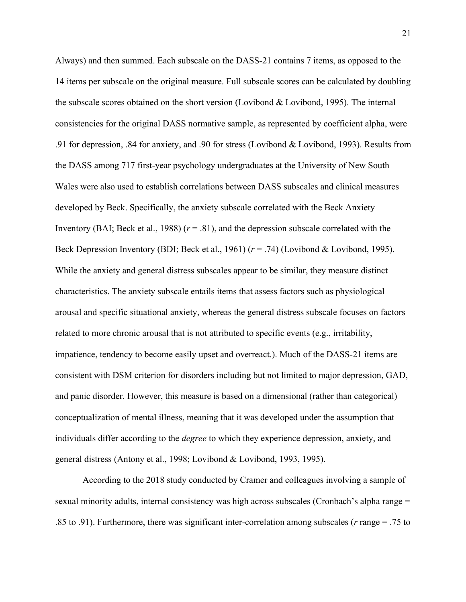Always) and then summed. Each subscale on the DASS-21 contains 7 items, as opposed to the 14 items per subscale on the original measure. Full subscale scores can be calculated by doubling the subscale scores obtained on the short version (Lovibond & Lovibond, 1995). The internal consistencies for the original DASS normative sample, as represented by coefficient alpha, were .91 for depression, .84 for anxiety, and .90 for stress (Lovibond & Lovibond, 1993). Results from the DASS among 717 first-year psychology undergraduates at the University of New South Wales were also used to establish correlations between DASS subscales and clinical measures developed by Beck. Specifically, the anxiety subscale correlated with the Beck Anxiety Inventory (BAI; Beck et al., 1988) ( $r = .81$ ), and the depression subscale correlated with the Beck Depression Inventory (BDI; Beck et al., 1961) (*r* = .74) (Lovibond & Lovibond, 1995). While the anxiety and general distress subscales appear to be similar, they measure distinct characteristics. The anxiety subscale entails items that assess factors such as physiological arousal and specific situational anxiety, whereas the general distress subscale focuses on factors related to more chronic arousal that is not attributed to specific events (e.g., irritability, impatience, tendency to become easily upset and overreact.). Much of the DASS-21 items are consistent with DSM criterion for disorders including but not limited to major depression, GAD, and panic disorder. However, this measure is based on a dimensional (rather than categorical) conceptualization of mental illness, meaning that it was developed under the assumption that individuals differ according to the *degree* to which they experience depression, anxiety, and general distress (Antony et al., 1998; Lovibond & Lovibond, 1993, 1995).

According to the 2018 study conducted by Cramer and colleagues involving a sample of sexual minority adults, internal consistency was high across subscales (Cronbach's alpha range = .85 to .91). Furthermore, there was significant inter-correlation among subscales (*r* range = .75 to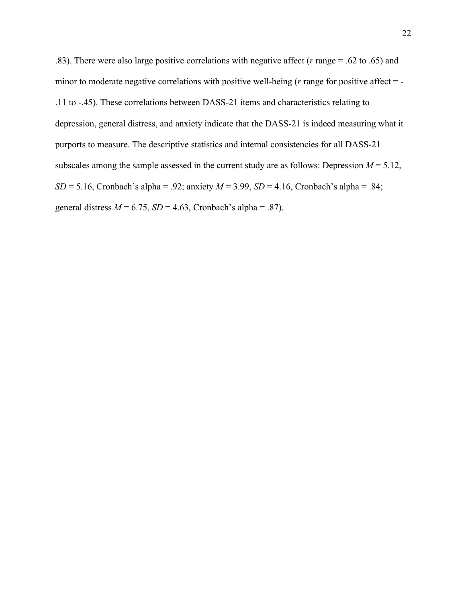.83). There were also large positive correlations with negative affect (*r* range = .62 to .65) and minor to moderate negative correlations with positive well-being (*r* range for positive affect = -.11 to -.45). These correlations between DASS-21 items and characteristics relating to depression, general distress, and anxiety indicate that the DASS-21 is indeed measuring what it purports to measure. The descriptive statistics and internal consistencies for all DASS-21 subscales among the sample assessed in the current study are as follows: Depression  $M = 5.12$ , *SD* = 5.16, Cronbach's alpha = .92; anxiety *M* = 3.99, *SD* = 4.16, Cronbach's alpha = .84; general distress  $M = 6.75$ ,  $SD = 4.63$ , Cronbach's alpha = .87).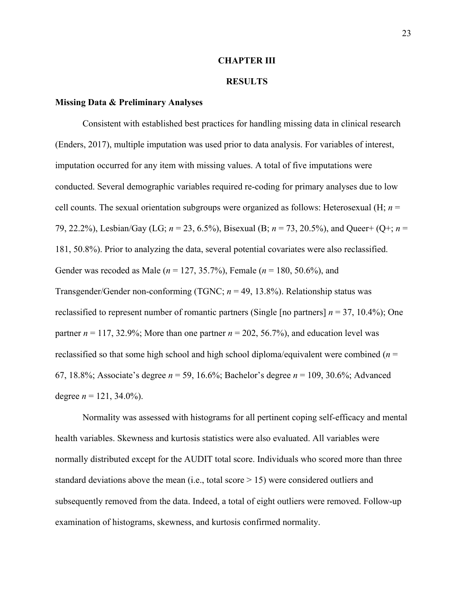### **CHAPTER III**

### **RESULTS**

### **Missing Data & Preliminary Analyses**

Consistent with established best practices for handling missing data in clinical research (Enders, 2017), multiple imputation was used prior to data analysis. For variables of interest, imputation occurred for any item with missing values. A total of five imputations were conducted. Several demographic variables required re-coding for primary analyses due to low cell counts. The sexual orientation subgroups were organized as follows: Heterosexual (H; *n* = 79, 22.2%), Lesbian/Gay (LG; *n* = 23, 6.5%), Bisexual (B; *n* = 73, 20.5%), and Queer+ (Q+; *n* = 181, 50.8%). Prior to analyzing the data, several potential covariates were also reclassified. Gender was recoded as Male (*n* = 127, 35.7%), Female (*n* = 180, 50.6%), and Transgender/Gender non-conforming (TGNC; *n* = 49, 13.8%). Relationship status was reclassified to represent number of romantic partners (Single [no partners]  $n = 37$ , 10.4%); One partner  $n = 117, 32.9\%$ ; More than one partner  $n = 202, 56.7\%$ ), and education level was reclassified so that some high school and high school diploma/equivalent were combined (*n* = 67, 18.8%; Associate's degree *n* = 59, 16.6%; Bachelor's degree *n* = 109, 30.6%; Advanced degree  $n = 121, 34.0\%$ ).

Normality was assessed with histograms for all pertinent coping self-efficacy and mental health variables. Skewness and kurtosis statistics were also evaluated. All variables were normally distributed except for the AUDIT total score. Individuals who scored more than three standard deviations above the mean (i.e., total score  $> 15$ ) were considered outliers and subsequently removed from the data. Indeed, a total of eight outliers were removed. Follow-up examination of histograms, skewness, and kurtosis confirmed normality.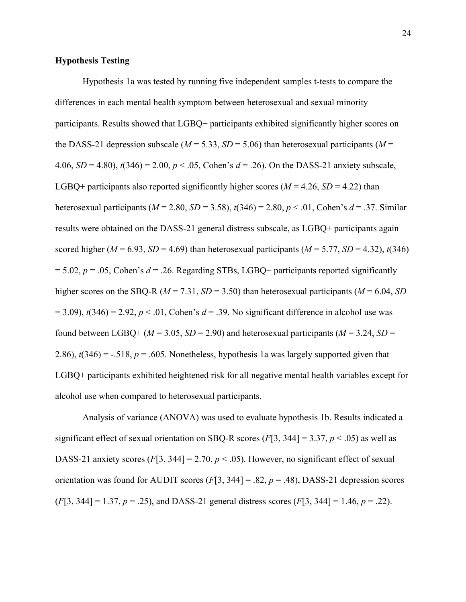### **Hypothesis Testing**

Hypothesis 1a was tested by running five independent samples t-tests to compare the differences in each mental health symptom between heterosexual and sexual minority participants. Results showed that LGBQ+ participants exhibited significantly higher scores on the DASS-21 depression subscale ( $M = 5.33$ ,  $SD = 5.06$ ) than heterosexual participants ( $M =$ 4.06, *SD* = 4.80), *t*(346) = 2.00, *p* < .05, Cohen's *d* = .26). On the DASS-21 anxiety subscale, LGBQ+ participants also reported significantly higher scores ( $M = 4.26$ ,  $SD = 4.22$ ) than heterosexual participants ( $M = 2.80$ ,  $SD = 3.58$ ),  $t(346) = 2.80$ ,  $p < .01$ , Cohen's  $d = .37$ . Similar results were obtained on the DASS-21 general distress subscale, as LGBQ+ participants again scored higher ( $M = 6.93$ ,  $SD = 4.69$ ) than heterosexual participants ( $M = 5.77$ ,  $SD = 4.32$ ),  $t(346)$  $= 5.02$ ,  $p = .05$ , Cohen's  $d = .26$ . Regarding STBs, LGBQ+ participants reported significantly higher scores on the SBQ-R (*M* = 7.31, *SD* = 3.50) than heterosexual participants (*M* = 6.04, *SD*  $= 3.09$ ),  $t(346) = 2.92$ ,  $p < 0.01$ , Cohen's  $d = 0.39$ . No significant difference in alcohol use was found between LGBQ+ ( $M = 3.05$ ,  $SD = 2.90$ ) and heterosexual participants ( $M = 3.24$ ,  $SD =$ 2.86),  $t(346) = -.518$ ,  $p = .605$ . Nonetheless, hypothesis 1a was largely supported given that LGBQ+ participants exhibited heightened risk for all negative mental health variables except for alcohol use when compared to heterosexual participants.

Analysis of variance (ANOVA) was used to evaluate hypothesis 1b. Results indicated a significant effect of sexual orientation on SBQ-R scores  $(F[3, 344] = 3.37, p < .05)$  as well as DASS-21 anxiety scores  $(F[3, 344] = 2.70, p < .05)$ . However, no significant effect of sexual orientation was found for AUDIT scores  $(F[3, 344] = .82, p = .48)$ , DASS-21 depression scores  $(F[3, 344] = 1.37, p = .25)$ , and DASS-21 general distress scores  $(F[3, 344] = 1.46, p = .22)$ .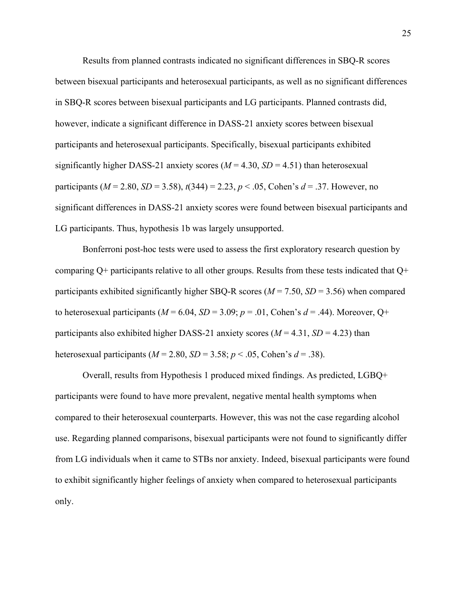Results from planned contrasts indicated no significant differences in SBQ-R scores between bisexual participants and heterosexual participants, as well as no significant differences in SBQ-R scores between bisexual participants and LG participants. Planned contrasts did, however, indicate a significant difference in DASS-21 anxiety scores between bisexual participants and heterosexual participants. Specifically, bisexual participants exhibited significantly higher DASS-21 anxiety scores  $(M = 4.30, SD = 4.51)$  than heterosexual participants ( $M = 2.80$ ,  $SD = 3.58$ ),  $t(344) = 2.23$ ,  $p < .05$ , Cohen's  $d = .37$ . However, no significant differences in DASS-21 anxiety scores were found between bisexual participants and LG participants. Thus, hypothesis 1b was largely unsupported.

Bonferroni post-hoc tests were used to assess the first exploratory research question by comparing  $Q^+$  participants relative to all other groups. Results from these tests indicated that  $Q^+$ participants exhibited significantly higher SBQ-R scores ( $M = 7.50$ ,  $SD = 3.56$ ) when compared to heterosexual participants ( $M = 6.04$ ,  $SD = 3.09$ ;  $p = .01$ , Cohen's  $d = .44$ ). Moreover, Q+ participants also exhibited higher DASS-21 anxiety scores ( $M = 4.31$ ,  $SD = 4.23$ ) than heterosexual participants ( $M = 2.80$ ,  $SD = 3.58$ ;  $p < .05$ , Cohen's  $d = .38$ ).

Overall, results from Hypothesis 1 produced mixed findings. As predicted, LGBQ+ participants were found to have more prevalent, negative mental health symptoms when compared to their heterosexual counterparts. However, this was not the case regarding alcohol use. Regarding planned comparisons, bisexual participants were not found to significantly differ from LG individuals when it came to STBs nor anxiety. Indeed, bisexual participants were found to exhibit significantly higher feelings of anxiety when compared to heterosexual participants only.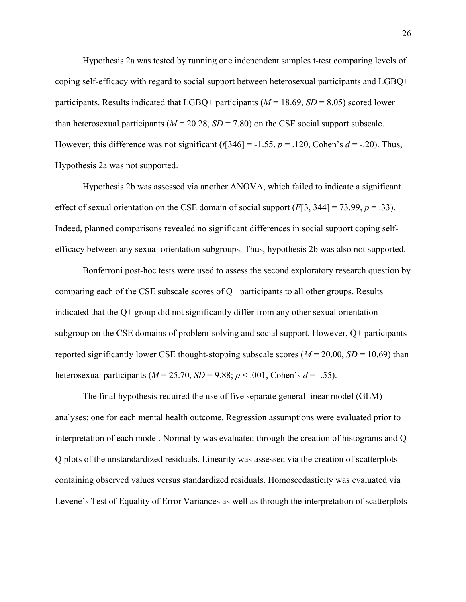Hypothesis 2a was tested by running one independent samples t-test comparing levels of coping self-efficacy with regard to social support between heterosexual participants and LGBQ+ participants. Results indicated that LGBQ+ participants ( $M = 18.69$ ,  $SD = 8.05$ ) scored lower than heterosexual participants ( $M = 20.28$ ,  $SD = 7.80$ ) on the CSE social support subscale. However, this difference was not significant  $(t[346] = -1.55, p = 0.120$ , Cohen's  $d = -0.20$ . Thus, Hypothesis 2a was not supported.

Hypothesis 2b was assessed via another ANOVA, which failed to indicate a significant effect of sexual orientation on the CSE domain of social support  $(F[3, 344] = 73.99, p = .33)$ . Indeed, planned comparisons revealed no significant differences in social support coping selfefficacy between any sexual orientation subgroups. Thus, hypothesis 2b was also not supported.

Bonferroni post-hoc tests were used to assess the second exploratory research question by comparing each of the CSE subscale scores of Q+ participants to all other groups. Results indicated that the Q+ group did not significantly differ from any other sexual orientation subgroup on the CSE domains of problem-solving and social support. However, Q+ participants reported significantly lower CSE thought-stopping subscale scores ( $M = 20.00$ ,  $SD = 10.69$ ) than heterosexual participants ( $M = 25.70$ ,  $SD = 9.88$ ;  $p < .001$ , Cohen's  $d = -.55$ ).

The final hypothesis required the use of five separate general linear model (GLM) analyses; one for each mental health outcome. Regression assumptions were evaluated prior to interpretation of each model. Normality was evaluated through the creation of histograms and Q-Q plots of the unstandardized residuals. Linearity was assessed via the creation of scatterplots containing observed values versus standardized residuals. Homoscedasticity was evaluated via Levene's Test of Equality of Error Variances as well as through the interpretation of scatterplots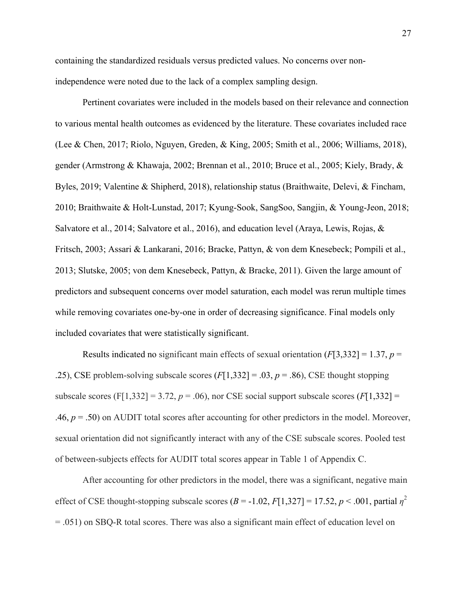containing the standardized residuals versus predicted values. No concerns over nonindependence were noted due to the lack of a complex sampling design.

Pertinent covariates were included in the models based on their relevance and connection to various mental health outcomes as evidenced by the literature. These covariates included race (Lee & Chen, 2017; Riolo, Nguyen, Greden, & King, 2005; Smith et al., 2006; Williams, 2018), gender (Armstrong & Khawaja, 2002; Brennan et al., 2010; Bruce et al., 2005; Kiely, Brady, & Byles, 2019; Valentine & Shipherd, 2018), relationship status (Braithwaite, Delevi, & Fincham, 2010; Braithwaite & Holt-Lunstad, 2017; Kyung-Sook, SangSoo, Sangjin, & Young-Jeon, 2018; Salvatore et al., 2014; Salvatore et al., 2016), and education level (Araya, Lewis, Rojas, & Fritsch, 2003; Assari & Lankarani, 2016; Bracke, Pattyn, & von dem Knesebeck; Pompili et al., 2013; Slutske, 2005; von dem Knesebeck, Pattyn, & Bracke, 2011). Given the large amount of predictors and subsequent concerns over model saturation, each model was rerun multiple times while removing covariates one-by-one in order of decreasing significance. Final models only included covariates that were statistically significant.

Results indicated no significant main effects of sexual orientation  $(F[3,332] = 1.37, p =$ .25), CSE problem-solving subscale scores (*F*[1,332] = .03, *p* = .86), CSE thought stopping subscale scores (F[1,332] = 3.72,  $p = .06$ ), nor CSE social support subscale scores (F[1,332] = .46,  $p = .50$ ) on AUDIT total scores after accounting for other predictors in the model. Moreover, sexual orientation did not significantly interact with any of the CSE subscale scores. Pooled test of between-subjects effects for AUDIT total scores appear in Table 1 of Appendix C.

After accounting for other predictors in the model, there was a significant, negative main effect of CSE thought-stopping subscale scores  $(B = -1.02, F[1,327] = 17.52, p < .001$ , partial  $\eta^2$ = .051) on SBQ-R total scores. There was also a significant main effect of education level on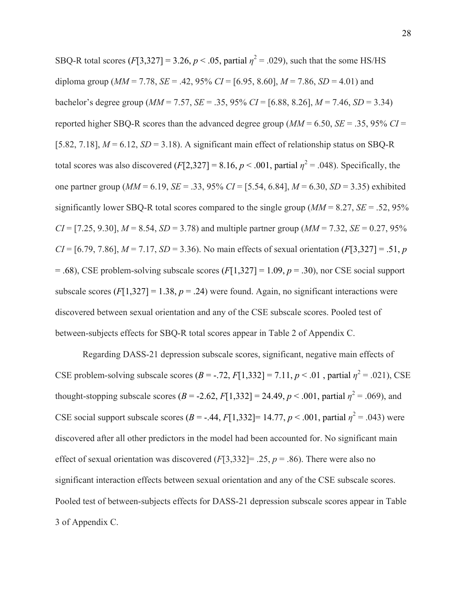SBQ-R total scores  $(F[3,327] = 3.26, p < .05$ , partial  $\eta^2 = .029$ ), such that the some HS/HS diploma group ( $MM = 7.78$ ,  $SE = .42$ , 95%  $CI = [6.95, 8.60]$ ,  $M = 7.86$ ,  $SD = 4.01$ ) and bachelor's degree group  $(MM = 7.57, SE = .35, 95\% CI = [6.88, 8.26], M = 7.46, SD = 3.34)$ reported higher SBQ-R scores than the advanced degree group  $(MM = 6.50, SE = .35, 95\% CI =$ [5.82, 7.18],  $M = 6.12$ ,  $SD = 3.18$ ). A significant main effect of relationship status on SBQ-R total scores was also discovered  $(F[2,327] = 8.16, p < .001$ , partial  $\eta^2 = .048$ ). Specifically, the one partner group (*MM* = 6.19, *SE* = .33, 95% *CI* = [5.54, 6.84], *M* = 6.30, *SD* = 3.35) exhibited significantly lower SBQ-R total scores compared to the single group (*MM* = 8.27, *SE* = .52, 95%  $CI = [7.25, 9.30], M = 8.54, SD = 3.78$  and multiple partner group ( $MM = 7.32, SE = 0.27, 95\%$ ) *CI* = [6.79, 7.86],  $M = 7.17$ ,  $SD = 3.36$ ). No main effects of sexual orientation (*F*[3,327] = .51, *p*  $= .68$ ), CSE problem-solving subscale scores ( $F[1,327] = 1.09$ ,  $p = .30$ ), nor CSE social support subscale scores  $(F[1,327] = 1.38, p = .24)$  were found. Again, no significant interactions were discovered between sexual orientation and any of the CSE subscale scores. Pooled test of between-subjects effects for SBQ-R total scores appear in Table 2 of Appendix C.

Regarding DASS-21 depression subscale scores, significant, negative main effects of CSE problem-solving subscale scores  $(B = -0.72, F[1,332] = 7.11, p < 0.01$ , partial  $\eta^2 = 0.021$ , CSE thought-stopping subscale scores  $(B = -2.62, F[1,332] = 24.49, p < .001$ , partial  $\eta^2 = .069$ ), and CSE social support subscale scores  $(B = -0.44, F[1,332] = 14.77, p < 0.001$ , partial  $\eta^2 = 0.043$ ) were discovered after all other predictors in the model had been accounted for. No significant main effect of sexual orientation was discovered  $(F[3,332] = .25, p = .86)$ . There were also no significant interaction effects between sexual orientation and any of the CSE subscale scores. Pooled test of between-subjects effects for DASS-21 depression subscale scores appear in Table 3 of Appendix C.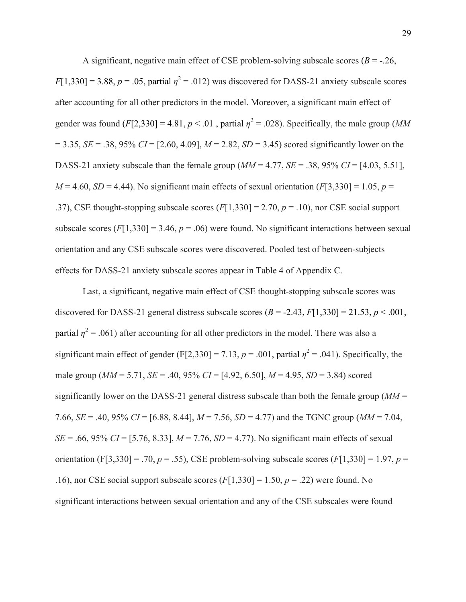A significant, negative main effect of CSE problem-solving subscale scores ( $B = -26$ ,  $F[1,330] = 3.88$ ,  $p = .05$ , partial  $\eta^2 = .012$ ) was discovered for DASS-21 anxiety subscale scores after accounting for all other predictors in the model. Moreover, a significant main effect of gender was found  $(F[2,330] = 4.81, p < .01$ , partial  $\eta^2 = .028$ ). Specifically, the male group (*MM*  $= 3.35$ , *SE* = .38, 95% *CI* = [2.60, 4.09], *M* = 2.82, *SD* = 3.45) scored significantly lower on the DASS-21 anxiety subscale than the female group  $(MM = 4.77, SE = .38, 95\% CI = [4.03, 5.51]$ ,  $M = 4.60$ , *SD* = 4.44). No significant main effects of sexual orientation (*F*[3,330] = 1.05, *p* = .37), CSE thought-stopping subscale scores (*F*[1,330] = 2.70, *p* = .10), nor CSE social support subscale scores  $(F[1,330] = 3.46, p = .06)$  were found. No significant interactions between sexual orientation and any CSE subscale scores were discovered. Pooled test of between-subjects effects for DASS-21 anxiety subscale scores appear in Table 4 of Appendix C.

Last, a significant, negative main effect of CSE thought-stopping subscale scores was discovered for DASS-21 general distress subscale scores  $(B = -2.43, F[1,330] = 21.53, p < .001,$ partial  $\eta^2$  = .061) after accounting for all other predictors in the model. There was also a significant main effect of gender (F[2,330] = 7.13,  $p = .001$ , partial  $\eta^2 = .041$ ). Specifically, the male group (*MM* = 5.71, *SE* = .40, 95% *CI* = [4.92, 6.50], *M* = 4.95, *SD* = 3.84) scored significantly lower on the DASS-21 general distress subscale than both the female group (*MM* = 7.66, *SE* = .40, 95% *CI* = [6.88, 8.44], *M* = 7.56, *SD* = 4.77) and the TGNC group (*MM* = 7.04, *SE* = .66, 95% *CI* = [5.76, 8.33],  $M = 7.76$ , *SD* = 4.77). No significant main effects of sexual orientation (F[3,330] = .70, *p* = .55), CSE problem-solving subscale scores (*F*[1,330] = 1.97, *p* = .16), nor CSE social support subscale scores  $(F[1,330] = 1.50, p = .22)$  were found. No significant interactions between sexual orientation and any of the CSE subscales were found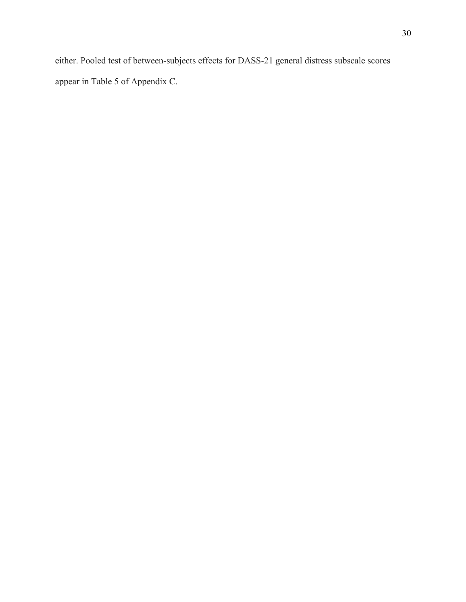either. Pooled test of between-subjects effects for DASS-21 general distress subscale scores appear in Table 5 of Appendix C.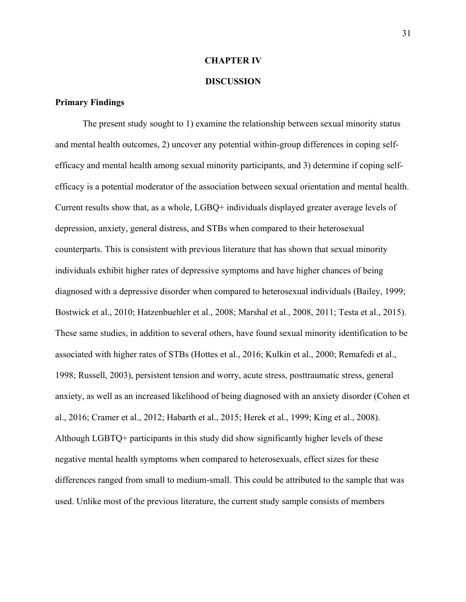## **CHAPTER IV**

### **DISCUSSION**

## **Primary Findings**

The present study sought to 1) examine the relationship between sexual minority status and mental health outcomes, 2) uncover any potential within-group differences in coping selfefficacy and mental health among sexual minority participants, and 3) determine if coping selfefficacy is a potential moderator of the association between sexual orientation and mental health. Current results show that, as a whole, LGBQ+ individuals displayed greater average levels of depression, anxiety, general distress, and STBs when compared to their heterosexual counterparts. This is consistent with previous literature that has shown that sexual minority individuals exhibit higher rates of depressive symptoms and have higher chances of being diagnosed with a depressive disorder when compared to heterosexual individuals (Bailey, 1999; Bostwick et al., 2010; Hatzenbuehler et al., 2008; Marshal et al., 2008, 2011; Testa et al., 2015). These same studies, in addition to several others, have found sexual minority identification to be associated with higher rates of STBs (Hottes et al., 2016; Kulkin et al., 2000; Remafedi et al., 1998; Russell, 2003), persistent tension and worry, acute stress, posttraumatic stress, general anxiety, as well as an increased likelihood of being diagnosed with an anxiety disorder (Cohen et al., 2016; Cramer et al., 2012; Habarth et al., 2015; Herek et al., 1999; King et al., 2008). Although LGBTQ+ participants in this study did show significantly higher levels of these negative mental health symptoms when compared to heterosexuals, effect sizes for these differences ranged from small to medium-small. This could be attributed to the sample that was used. Unlike most of the previous literature, the current study sample consists of members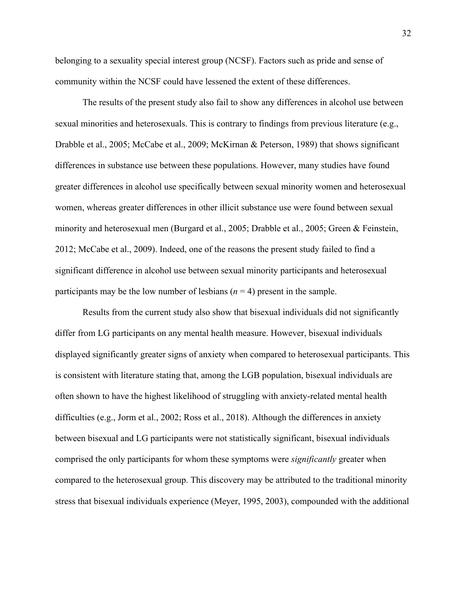belonging to a sexuality special interest group (NCSF). Factors such as pride and sense of community within the NCSF could have lessened the extent of these differences.

The results of the present study also fail to show any differences in alcohol use between sexual minorities and heterosexuals. This is contrary to findings from previous literature (e.g., Drabble et al., 2005; McCabe et al., 2009; McKirnan & Peterson, 1989) that shows significant differences in substance use between these populations. However, many studies have found greater differences in alcohol use specifically between sexual minority women and heterosexual women, whereas greater differences in other illicit substance use were found between sexual minority and heterosexual men (Burgard et al., 2005; Drabble et al., 2005; Green & Feinstein, 2012; McCabe et al., 2009). Indeed, one of the reasons the present study failed to find a significant difference in alcohol use between sexual minority participants and heterosexual participants may be the low number of lesbians  $(n = 4)$  present in the sample.

Results from the current study also show that bisexual individuals did not significantly differ from LG participants on any mental health measure. However, bisexual individuals displayed significantly greater signs of anxiety when compared to heterosexual participants. This is consistent with literature stating that, among the LGB population, bisexual individuals are often shown to have the highest likelihood of struggling with anxiety-related mental health difficulties (e.g., Jorm et al., 2002; Ross et al., 2018). Although the differences in anxiety between bisexual and LG participants were not statistically significant, bisexual individuals comprised the only participants for whom these symptoms were *significantly* greater when compared to the heterosexual group. This discovery may be attributed to the traditional minority stress that bisexual individuals experience (Meyer, 1995, 2003), compounded with the additional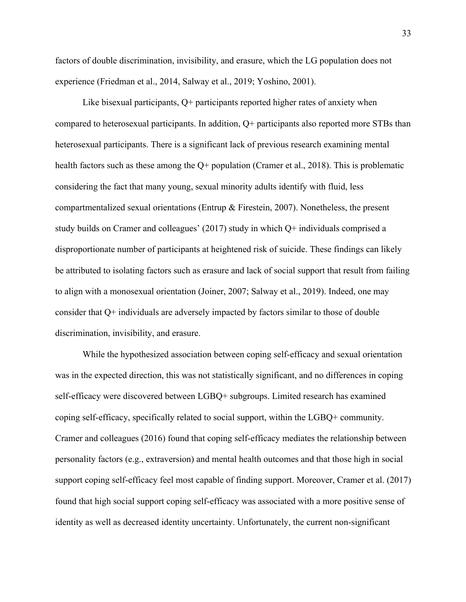factors of double discrimination, invisibility, and erasure, which the LG population does not experience (Friedman et al., 2014, Salway et al., 2019; Yoshino, 2001).

Like bisexual participants, Q+ participants reported higher rates of anxiety when compared to heterosexual participants. In addition, Q+ participants also reported more STBs than heterosexual participants. There is a significant lack of previous research examining mental health factors such as these among the Q+ population (Cramer et al., 2018). This is problematic considering the fact that many young, sexual minority adults identify with fluid, less compartmentalized sexual orientations (Entrup & Firestein, 2007). Nonetheless, the present study builds on Cramer and colleagues' (2017) study in which Q+ individuals comprised a disproportionate number of participants at heightened risk of suicide. These findings can likely be attributed to isolating factors such as erasure and lack of social support that result from failing to align with a monosexual orientation (Joiner, 2007; Salway et al., 2019). Indeed, one may consider that Q+ individuals are adversely impacted by factors similar to those of double discrimination, invisibility, and erasure.

While the hypothesized association between coping self-efficacy and sexual orientation was in the expected direction, this was not statistically significant, and no differences in coping self-efficacy were discovered between LGBQ+ subgroups. Limited research has examined coping self-efficacy, specifically related to social support, within the LGBQ+ community. Cramer and colleagues (2016) found that coping self-efficacy mediates the relationship between personality factors (e.g., extraversion) and mental health outcomes and that those high in social support coping self-efficacy feel most capable of finding support. Moreover, Cramer et al. (2017) found that high social support coping self-efficacy was associated with a more positive sense of identity as well as decreased identity uncertainty. Unfortunately, the current non-significant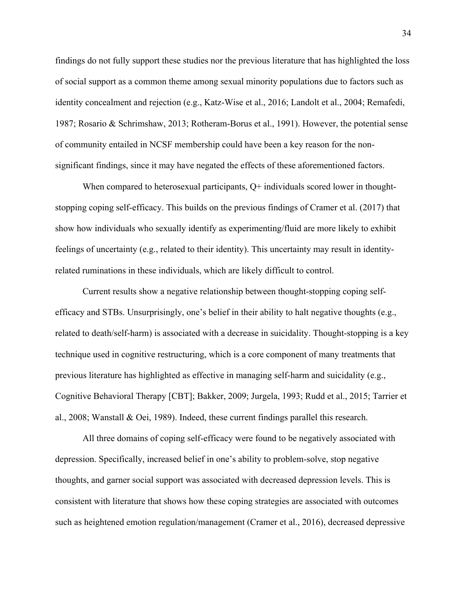findings do not fully support these studies nor the previous literature that has highlighted the loss of social support as a common theme among sexual minority populations due to factors such as identity concealment and rejection (e.g., Katz-Wise et al., 2016; Landolt et al., 2004; Remafedi, 1987; Rosario & Schrimshaw, 2013; Rotheram-Borus et al., 1991). However, the potential sense of community entailed in NCSF membership could have been a key reason for the nonsignificant findings, since it may have negated the effects of these aforementioned factors.

When compared to heterosexual participants,  $Q<sup>+</sup>$  individuals scored lower in thoughtstopping coping self-efficacy. This builds on the previous findings of Cramer et al. (2017) that show how individuals who sexually identify as experimenting/fluid are more likely to exhibit feelings of uncertainty (e.g., related to their identity). This uncertainty may result in identityrelated ruminations in these individuals, which are likely difficult to control.

Current results show a negative relationship between thought-stopping coping selfefficacy and STBs. Unsurprisingly, one's belief in their ability to halt negative thoughts (e.g., related to death/self-harm) is associated with a decrease in suicidality. Thought-stopping is a key technique used in cognitive restructuring, which is a core component of many treatments that previous literature has highlighted as effective in managing self-harm and suicidality (e.g., Cognitive Behavioral Therapy [CBT]; Bakker, 2009; Jurgela, 1993; Rudd et al., 2015; Tarrier et al., 2008; Wanstall & Oei, 1989). Indeed, these current findings parallel this research.

All three domains of coping self-efficacy were found to be negatively associated with depression. Specifically, increased belief in one's ability to problem-solve, stop negative thoughts, and garner social support was associated with decreased depression levels. This is consistent with literature that shows how these coping strategies are associated with outcomes such as heightened emotion regulation/management (Cramer et al., 2016), decreased depressive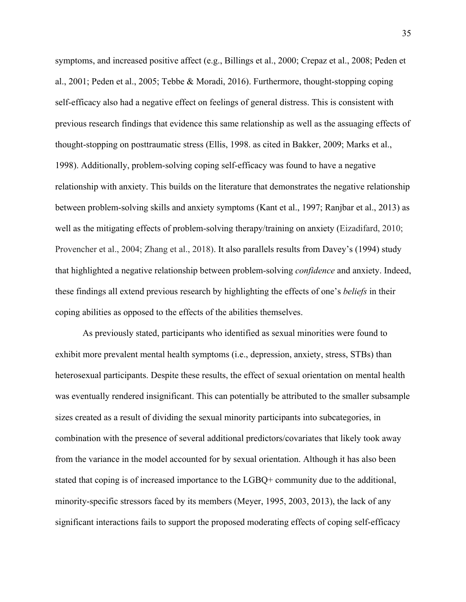symptoms, and increased positive affect (e.g., Billings et al., 2000; Crepaz et al., 2008; Peden et al., 2001; Peden et al., 2005; Tebbe & Moradi, 2016). Furthermore, thought-stopping coping self-efficacy also had a negative effect on feelings of general distress. This is consistent with previous research findings that evidence this same relationship as well as the assuaging effects of thought-stopping on posttraumatic stress (Ellis, 1998. as cited in Bakker, 2009; Marks et al., 1998). Additionally, problem-solving coping self-efficacy was found to have a negative relationship with anxiety. This builds on the literature that demonstrates the negative relationship between problem-solving skills and anxiety symptoms (Kant et al., 1997; Ranjbar et al., 2013) as well as the mitigating effects of problem-solving therapy/training on anxiety (Eizadifard, 2010; Provencher et al., 2004; Zhang et al., 2018). It also parallels results from Davey's (1994) study that highlighted a negative relationship between problem-solving *confidence* and anxiety. Indeed, these findings all extend previous research by highlighting the effects of one's *beliefs* in their coping abilities as opposed to the effects of the abilities themselves.

As previously stated, participants who identified as sexual minorities were found to exhibit more prevalent mental health symptoms (i.e., depression, anxiety, stress, STBs) than heterosexual participants. Despite these results, the effect of sexual orientation on mental health was eventually rendered insignificant. This can potentially be attributed to the smaller subsample sizes created as a result of dividing the sexual minority participants into subcategories, in combination with the presence of several additional predictors/covariates that likely took away from the variance in the model accounted for by sexual orientation. Although it has also been stated that coping is of increased importance to the LGBQ+ community due to the additional, minority-specific stressors faced by its members (Meyer, 1995, 2003, 2013), the lack of any significant interactions fails to support the proposed moderating effects of coping self-efficacy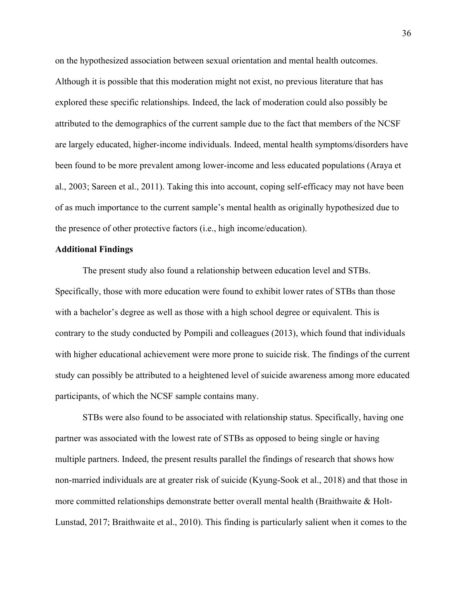on the hypothesized association between sexual orientation and mental health outcomes. Although it is possible that this moderation might not exist, no previous literature that has explored these specific relationships. Indeed, the lack of moderation could also possibly be attributed to the demographics of the current sample due to the fact that members of the NCSF are largely educated, higher-income individuals. Indeed, mental health symptoms/disorders have been found to be more prevalent among lower-income and less educated populations (Araya et al., 2003; Sareen et al., 2011). Taking this into account, coping self-efficacy may not have been of as much importance to the current sample's mental health as originally hypothesized due to the presence of other protective factors (i.e., high income/education).

## **Additional Findings**

The present study also found a relationship between education level and STBs. Specifically, those with more education were found to exhibit lower rates of STBs than those with a bachelor's degree as well as those with a high school degree or equivalent. This is contrary to the study conducted by Pompili and colleagues (2013), which found that individuals with higher educational achievement were more prone to suicide risk. The findings of the current study can possibly be attributed to a heightened level of suicide awareness among more educated participants, of which the NCSF sample contains many.

STBs were also found to be associated with relationship status. Specifically, having one partner was associated with the lowest rate of STBs as opposed to being single or having multiple partners. Indeed, the present results parallel the findings of research that shows how non-married individuals are at greater risk of suicide (Kyung-Sook et al., 2018) and that those in more committed relationships demonstrate better overall mental health (Braithwaite & Holt-Lunstad, 2017; Braithwaite et al., 2010). This finding is particularly salient when it comes to the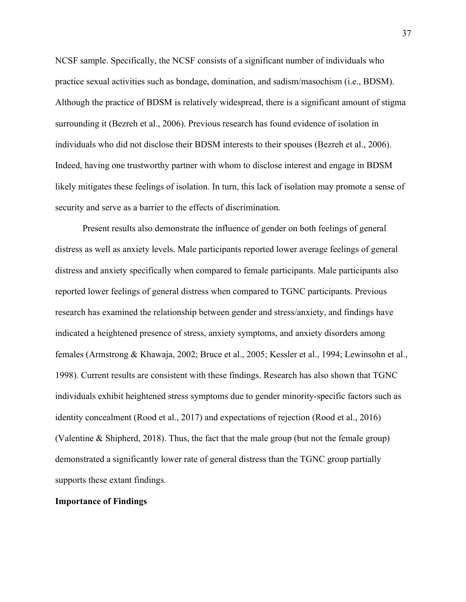NCSF sample. Specifically, the NCSF consists of a significant number of individuals who practice sexual activities such as bondage, domination, and sadism/masochism (i.e., BDSM). Although the practice of BDSM is relatively widespread, there is a significant amount of stigma surrounding it (Bezreh et al., 2006). Previous research has found evidence of isolation in individuals who did not disclose their BDSM interests to their spouses (Bezreh et al., 2006). Indeed, having one trustworthy partner with whom to disclose interest and engage in BDSM likely mitigates these feelings of isolation. In turn, this lack of isolation may promote a sense of security and serve as a barrier to the effects of discrimination.

Present results also demonstrate the influence of gender on both feelings of general distress as well as anxiety levels. Male participants reported lower average feelings of general distress and anxiety specifically when compared to female participants. Male participants also reported lower feelings of general distress when compared to TGNC participants. Previous research has examined the relationship between gender and stress/anxiety, and findings have indicated a heightened presence of stress, anxiety symptoms, and anxiety disorders among females (Armstrong & Khawaja, 2002; Bruce et al., 2005; Kessler et al., 1994; Lewinsohn et al., 1998). Current results are consistent with these findings. Research has also shown that TGNC individuals exhibit heightened stress symptoms due to gender minority-specific factors such as identity concealment (Rood et al., 2017) and expectations of rejection (Rood et al., 2016) (Valentine & Shipherd, 2018). Thus, the fact that the male group (but not the female group) demonstrated a significantly lower rate of general distress than the TGNC group partially supports these extant findings.

## **Importance of Findings**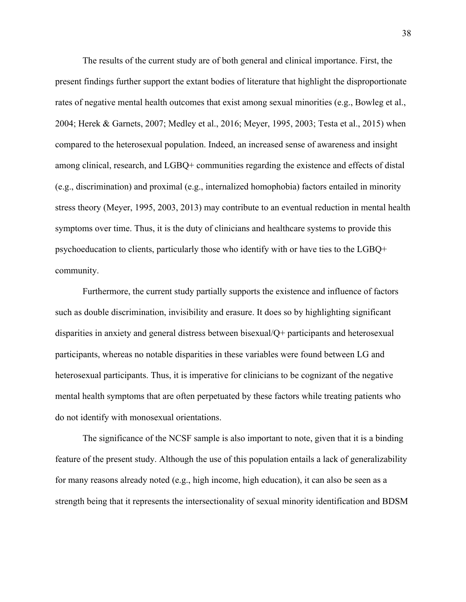The results of the current study are of both general and clinical importance. First, the present findings further support the extant bodies of literature that highlight the disproportionate rates of negative mental health outcomes that exist among sexual minorities (e.g., Bowleg et al., 2004; Herek & Garnets, 2007; Medley et al., 2016; Meyer, 1995, 2003; Testa et al., 2015) when compared to the heterosexual population. Indeed, an increased sense of awareness and insight among clinical, research, and LGBQ+ communities regarding the existence and effects of distal (e.g., discrimination) and proximal (e.g., internalized homophobia) factors entailed in minority stress theory (Meyer, 1995, 2003, 2013) may contribute to an eventual reduction in mental health symptoms over time. Thus, it is the duty of clinicians and healthcare systems to provide this psychoeducation to clients, particularly those who identify with or have ties to the LGBQ+ community.

Furthermore, the current study partially supports the existence and influence of factors such as double discrimination, invisibility and erasure. It does so by highlighting significant disparities in anxiety and general distress between bisexual/Q+ participants and heterosexual participants, whereas no notable disparities in these variables were found between LG and heterosexual participants. Thus, it is imperative for clinicians to be cognizant of the negative mental health symptoms that are often perpetuated by these factors while treating patients who do not identify with monosexual orientations.

The significance of the NCSF sample is also important to note, given that it is a binding feature of the present study. Although the use of this population entails a lack of generalizability for many reasons already noted (e.g., high income, high education), it can also be seen as a strength being that it represents the intersectionality of sexual minority identification and BDSM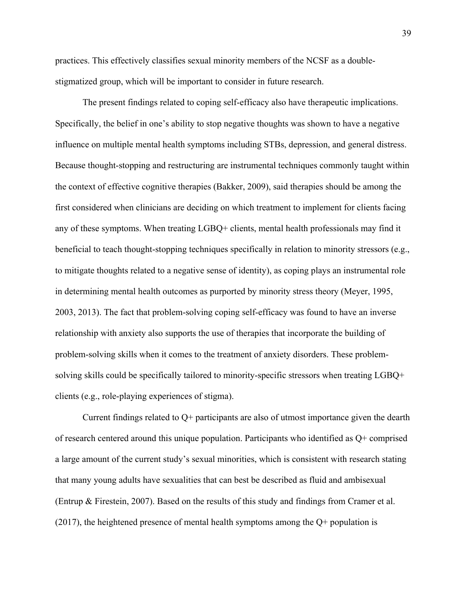practices. This effectively classifies sexual minority members of the NCSF as a doublestigmatized group, which will be important to consider in future research.

The present findings related to coping self-efficacy also have therapeutic implications. Specifically, the belief in one's ability to stop negative thoughts was shown to have a negative influence on multiple mental health symptoms including STBs, depression, and general distress. Because thought-stopping and restructuring are instrumental techniques commonly taught within the context of effective cognitive therapies (Bakker, 2009), said therapies should be among the first considered when clinicians are deciding on which treatment to implement for clients facing any of these symptoms. When treating LGBQ+ clients, mental health professionals may find it beneficial to teach thought-stopping techniques specifically in relation to minority stressors (e.g., to mitigate thoughts related to a negative sense of identity), as coping plays an instrumental role in determining mental health outcomes as purported by minority stress theory (Meyer, 1995, 2003, 2013). The fact that problem-solving coping self-efficacy was found to have an inverse relationship with anxiety also supports the use of therapies that incorporate the building of problem-solving skills when it comes to the treatment of anxiety disorders. These problemsolving skills could be specifically tailored to minority-specific stressors when treating LGBQ+ clients (e.g., role-playing experiences of stigma).

Current findings related to Q+ participants are also of utmost importance given the dearth of research centered around this unique population. Participants who identified as Q+ comprised a large amount of the current study's sexual minorities, which is consistent with research stating that many young adults have sexualities that can best be described as fluid and ambisexual (Entrup & Firestein, 2007). Based on the results of this study and findings from Cramer et al. (2017), the heightened presence of mental health symptoms among the Q+ population is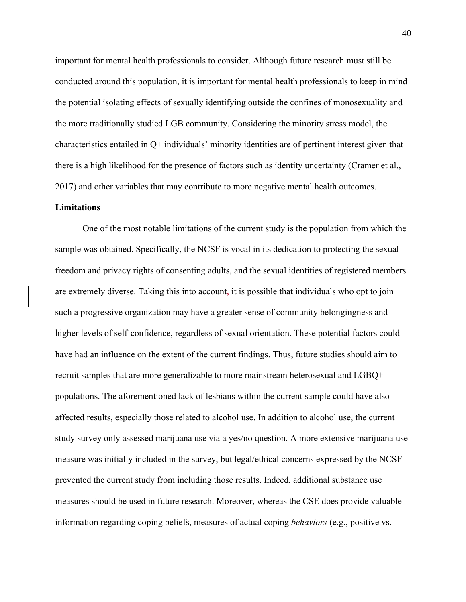important for mental health professionals to consider. Although future research must still be conducted around this population, it is important for mental health professionals to keep in mind the potential isolating effects of sexually identifying outside the confines of monosexuality and the more traditionally studied LGB community. Considering the minority stress model, the characteristics entailed in Q+ individuals' minority identities are of pertinent interest given that there is a high likelihood for the presence of factors such as identity uncertainty (Cramer et al., 2017) and other variables that may contribute to more negative mental health outcomes.

## **Limitations**

One of the most notable limitations of the current study is the population from which the sample was obtained. Specifically, the NCSF is vocal in its dedication to protecting the sexual freedom and privacy rights of consenting adults, and the sexual identities of registered members are extremely diverse. Taking this into account, it is possible that individuals who opt to join such a progressive organization may have a greater sense of community belongingness and higher levels of self-confidence, regardless of sexual orientation. These potential factors could have had an influence on the extent of the current findings. Thus, future studies should aim to recruit samples that are more generalizable to more mainstream heterosexual and LGBQ+ populations. The aforementioned lack of lesbians within the current sample could have also affected results, especially those related to alcohol use. In addition to alcohol use, the current study survey only assessed marijuana use via a yes/no question. A more extensive marijuana use measure was initially included in the survey, but legal/ethical concerns expressed by the NCSF prevented the current study from including those results. Indeed, additional substance use measures should be used in future research. Moreover, whereas the CSE does provide valuable information regarding coping beliefs, measures of actual coping *behaviors* (e.g., positive vs.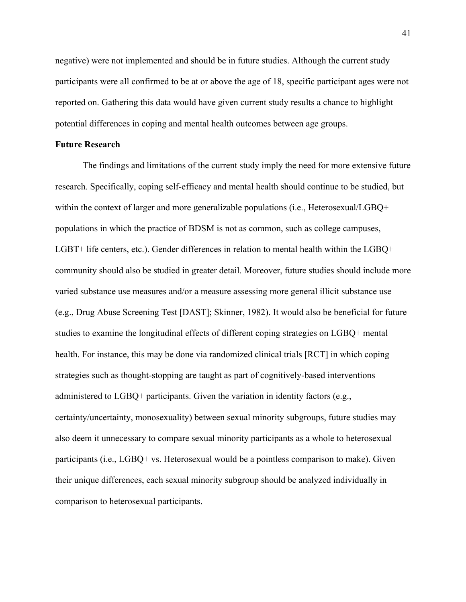negative) were not implemented and should be in future studies. Although the current study participants were all confirmed to be at or above the age of 18, specific participant ages were not reported on. Gathering this data would have given current study results a chance to highlight potential differences in coping and mental health outcomes between age groups.

## **Future Research**

The findings and limitations of the current study imply the need for more extensive future research. Specifically, coping self-efficacy and mental health should continue to be studied, but within the context of larger and more generalizable populations (i.e., Heterosexual/LGBQ+ populations in which the practice of BDSM is not as common, such as college campuses, LGBT+ life centers, etc.). Gender differences in relation to mental health within the LGBQ+ community should also be studied in greater detail. Moreover, future studies should include more varied substance use measures and/or a measure assessing more general illicit substance use (e.g., Drug Abuse Screening Test [DAST]; Skinner, 1982). It would also be beneficial for future studies to examine the longitudinal effects of different coping strategies on LGBQ+ mental health. For instance, this may be done via randomized clinical trials [RCT] in which coping strategies such as thought-stopping are taught as part of cognitively-based interventions administered to LGBQ+ participants. Given the variation in identity factors (e.g., certainty/uncertainty, monosexuality) between sexual minority subgroups, future studies may also deem it unnecessary to compare sexual minority participants as a whole to heterosexual participants (i.e., LGBQ+ vs. Heterosexual would be a pointless comparison to make). Given their unique differences, each sexual minority subgroup should be analyzed individually in comparison to heterosexual participants.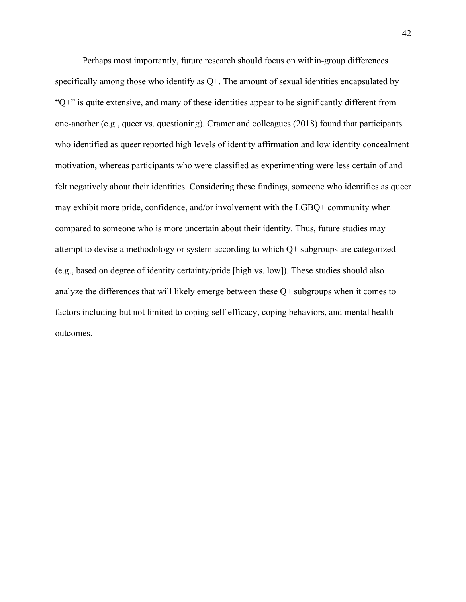Perhaps most importantly, future research should focus on within-group differences specifically among those who identify as Q+. The amount of sexual identities encapsulated by " $Q+$ " is quite extensive, and many of these identities appear to be significantly different from one-another (e.g., queer vs. questioning). Cramer and colleagues (2018) found that participants who identified as queer reported high levels of identity affirmation and low identity concealment motivation, whereas participants who were classified as experimenting were less certain of and felt negatively about their identities. Considering these findings, someone who identifies as queer may exhibit more pride, confidence, and/or involvement with the LGBQ+ community when compared to someone who is more uncertain about their identity. Thus, future studies may attempt to devise a methodology or system according to which Q+ subgroups are categorized (e.g., based on degree of identity certainty/pride [high vs. low]). These studies should also analyze the differences that will likely emerge between these Q+ subgroups when it comes to factors including but not limited to coping self-efficacy, coping behaviors, and mental health outcomes.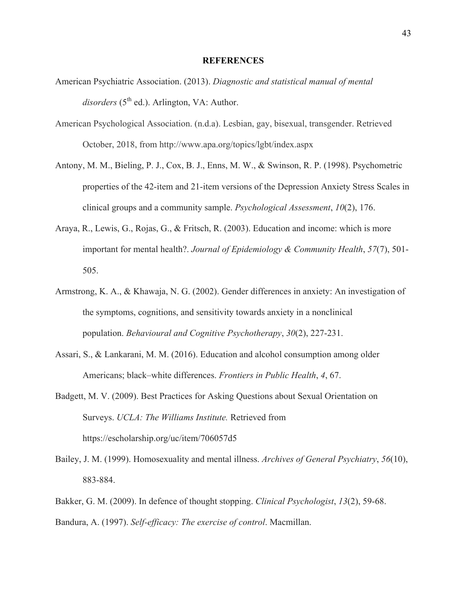#### **REFERENCES**

- American Psychiatric Association. (2013). *Diagnostic and statistical manual of mental*  disorders (5<sup>th</sup> ed.). Arlington, VA: Author.
- American Psychological Association. (n.d.a). Lesbian, gay, bisexual, transgender. Retrieved October, 2018, from http://www.apa.org/topics/lgbt/index.aspx
- Antony, M. M., Bieling, P. J., Cox, B. J., Enns, M. W., & Swinson, R. P. (1998). Psychometric properties of the 42-item and 21-item versions of the Depression Anxiety Stress Scales in clinical groups and a community sample. *Psychological Assessment*, *10*(2), 176.
- Araya, R., Lewis, G., Rojas, G., & Fritsch, R. (2003). Education and income: which is more important for mental health?. *Journal of Epidemiology & Community Health*, *57*(7), 501- 505.
- Armstrong, K. A., & Khawaja, N. G. (2002). Gender differences in anxiety: An investigation of the symptoms, cognitions, and sensitivity towards anxiety in a nonclinical population. *Behavioural and Cognitive Psychotherapy*, *30*(2), 227-231.
- Assari, S., & Lankarani, M. M. (2016). Education and alcohol consumption among older Americans; black–white differences. *Frontiers in Public Health*, *4*, 67.
- Badgett, M. V. (2009). Best Practices for Asking Questions about Sexual Orientation on Surveys. *UCLA: The Williams Institute.* Retrieved from https://escholarship.org/uc/item/706057d5
- Bailey, J. M. (1999). Homosexuality and mental illness. *Archives of General Psychiatry*, *56*(10), 883-884.
- Bakker, G. M. (2009). In defence of thought stopping. *Clinical Psychologist*, *13*(2), 59-68. Bandura, A. (1997). *Self-efficacy: The exercise of control*. Macmillan.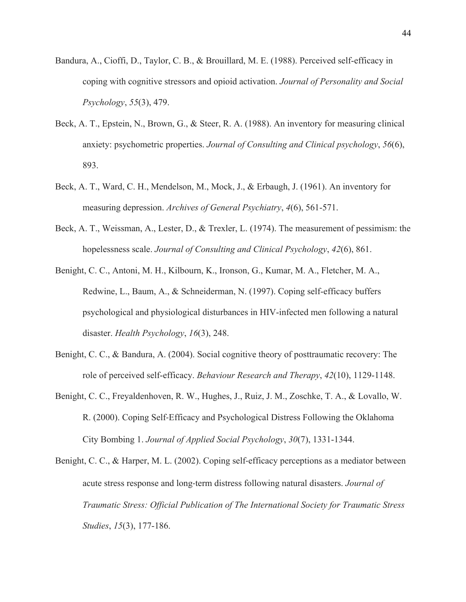- Bandura, A., Cioffi, D., Taylor, C. B., & Brouillard, M. E. (1988). Perceived self-efficacy in coping with cognitive stressors and opioid activation. *Journal of Personality and Social Psychology*, *55*(3), 479.
- Beck, A. T., Epstein, N., Brown, G., & Steer, R. A. (1988). An inventory for measuring clinical anxiety: psychometric properties. *Journal of Consulting and Clinical psychology*, *56*(6), 893.
- Beck, A. T., Ward, C. H., Mendelson, M., Mock, J., & Erbaugh, J. (1961). An inventory for measuring depression. *Archives of General Psychiatry*, *4*(6), 561-571.
- Beck, A. T., Weissman, A., Lester, D., & Trexler, L. (1974). The measurement of pessimism: the hopelessness scale. *Journal of Consulting and Clinical Psychology*, *42*(6), 861.
- Benight, C. C., Antoni, M. H., Kilbourn, K., Ironson, G., Kumar, M. A., Fletcher, M. A., Redwine, L., Baum, A., & Schneiderman, N. (1997). Coping self-efficacy buffers psychological and physiological disturbances in HIV-infected men following a natural disaster. *Health Psychology*, *16*(3), 248.
- Benight, C. C., & Bandura, A. (2004). Social cognitive theory of posttraumatic recovery: The role of perceived self-efficacy. *Behaviour Research and Therapy*, *42*(10), 1129-1148.
- Benight, C. C., Freyaldenhoven, R. W., Hughes, J., Ruiz, J. M., Zoschke, T. A., & Lovallo, W. R. (2000). Coping Self-Efficacy and Psychological Distress Following the Oklahoma City Bombing 1. *Journal of Applied Social Psychology*, *30*(7), 1331-1344.
- Benight, C. C., & Harper, M. L. (2002). Coping self-efficacy perceptions as a mediator between acute stress response and long-term distress following natural disasters. *Journal of Traumatic Stress: Official Publication of The International Society for Traumatic Stress Studies*, *15*(3), 177-186.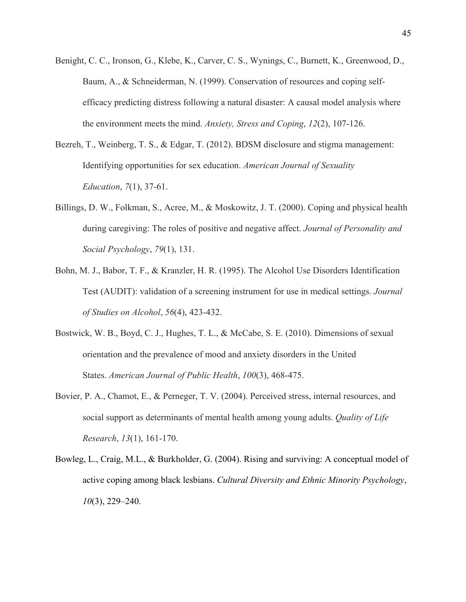- Benight, C. C., Ironson, G., Klebe, K., Carver, C. S., Wynings, C., Burnett, K., Greenwood, D., Baum, A., & Schneiderman, N. (1999). Conservation of resources and coping selfefficacy predicting distress following a natural disaster: A causal model analysis where the environment meets the mind. *Anxiety, Stress and Coping*, *12*(2), 107-126.
- Bezreh, T., Weinberg, T. S., & Edgar, T. (2012). BDSM disclosure and stigma management: Identifying opportunities for sex education. *American Journal of Sexuality Education*, *7*(1), 37-61.
- Billings, D. W., Folkman, S., Acree, M., & Moskowitz, J. T. (2000). Coping and physical health during caregiving: The roles of positive and negative affect. *Journal of Personality and Social Psychology*, *79*(1), 131.
- Bohn, M. J., Babor, T. F., & Kranzler, H. R. (1995). The Alcohol Use Disorders Identification Test (AUDIT): validation of a screening instrument for use in medical settings. *Journal of Studies on Alcohol*, *56*(4), 423-432.
- Bostwick, W. B., Boyd, C. J., Hughes, T. L., & McCabe, S. E. (2010). Dimensions of sexual orientation and the prevalence of mood and anxiety disorders in the United States. *American Journal of Public Health*, *100*(3), 468-475.
- Bovier, P. A., Chamot, E., & Perneger, T. V. (2004). Perceived stress, internal resources, and social support as determinants of mental health among young adults. *Quality of Life Research*, *13*(1), 161-170.
- Bowleg, L., Craig, M.L., & Burkholder, G. (2004). Rising and surviving: A conceptual model of active coping among black lesbians. *Cultural Diversity and Ethnic Minority Psychology*, *10*(3), 229–240.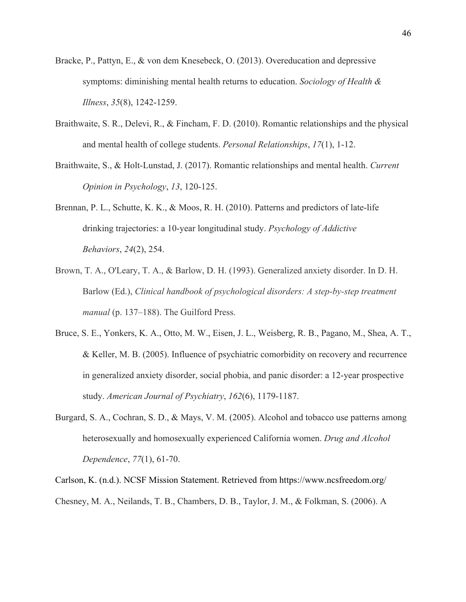- Bracke, P., Pattyn, E., & von dem Knesebeck, O. (2013). Overeducation and depressive symptoms: diminishing mental health returns to education. *Sociology of Health & Illness*, *35*(8), 1242-1259.
- Braithwaite, S. R., Delevi, R., & Fincham, F. D. (2010). Romantic relationships and the physical and mental health of college students. *Personal Relationships*, *17*(1), 1-12.
- Braithwaite, S., & Holt-Lunstad, J. (2017). Romantic relationships and mental health. *Current Opinion in Psychology*, *13*, 120-125.
- Brennan, P. L., Schutte, K. K., & Moos, R. H. (2010). Patterns and predictors of late-life drinking trajectories: a 10-year longitudinal study. *Psychology of Addictive Behaviors*, *24*(2), 254.
- Brown, T. A., O'Leary, T. A., & Barlow, D. H. (1993). Generalized anxiety disorder. In D. H. Barlow (Ed.), *Clinical handbook of psychological disorders: A step-by-step treatment manual* (p. 137–188). The Guilford Press.
- Bruce, S. E., Yonkers, K. A., Otto, M. W., Eisen, J. L., Weisberg, R. B., Pagano, M., Shea, A. T., & Keller, M. B. (2005). Influence of psychiatric comorbidity on recovery and recurrence in generalized anxiety disorder, social phobia, and panic disorder: a 12-year prospective study. *American Journal of Psychiatry*, *162*(6), 1179-1187.
- Burgard, S. A., Cochran, S. D., & Mays, V. M. (2005). Alcohol and tobacco use patterns among heterosexually and homosexually experienced California women. *Drug and Alcohol Dependence*, *77*(1), 61-70.

Carlson, K. (n.d.). NCSF Mission Statement. Retrieved from https://www.ncsfreedom.org/ Chesney, M. A., Neilands, T. B., Chambers, D. B., Taylor, J. M., & Folkman, S. (2006). A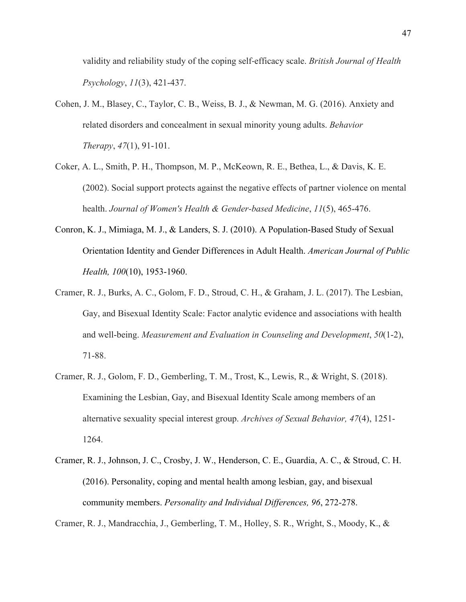validity and reliability study of the coping self-efficacy scale. *British Journal of Health Psychology*, *11*(3), 421-437.

- Cohen, J. M., Blasey, C., Taylor, C. B., Weiss, B. J., & Newman, M. G. (2016). Anxiety and related disorders and concealment in sexual minority young adults. *Behavior Therapy*, *47*(1), 91-101.
- Coker, A. L., Smith, P. H., Thompson, M. P., McKeown, R. E., Bethea, L., & Davis, K. E. (2002). Social support protects against the negative effects of partner violence on mental health. *Journal of Women's Health & Gender-based Medicine*, *11*(5), 465-476.
- Conron, K. J., Mimiaga, M. J., & Landers, S. J. (2010). A Population-Based Study of Sexual Orientation Identity and Gender Differences in Adult Health. *American Journal of Public Health, 100*(10), 1953-1960.
- Cramer, R. J., Burks, A. C., Golom, F. D., Stroud, C. H., & Graham, J. L. (2017). The Lesbian, Gay, and Bisexual Identity Scale: Factor analytic evidence and associations with health and well-being. *Measurement and Evaluation in Counseling and Development*, *50*(1-2), 71-88.
- Cramer, R. J., Golom, F. D., Gemberling, T. M., Trost, K., Lewis, R., & Wright, S. (2018). Examining the Lesbian, Gay, and Bisexual Identity Scale among members of an alternative sexuality special interest group. *Archives of Sexual Behavior, 47*(4), 1251- 1264.
- Cramer, R. J., Johnson, J. C., Crosby, J. W., Henderson, C. E., Guardia, A. C., & Stroud, C. H. (2016). Personality, coping and mental health among lesbian, gay, and bisexual community members. *Personality and Individual Differences, 96*, 272-278.

Cramer, R. J., Mandracchia, J., Gemberling, T. M., Holley, S. R., Wright, S., Moody, K., &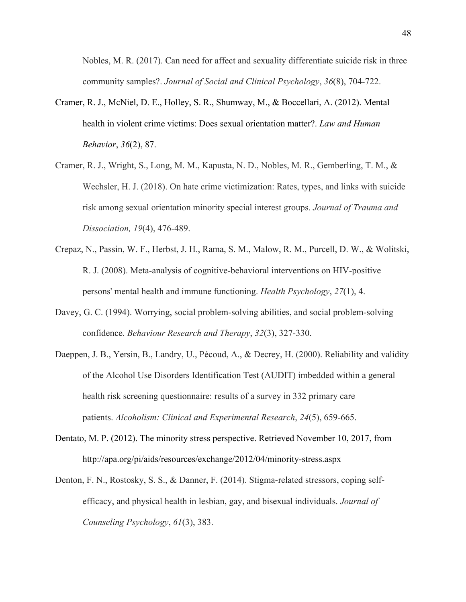Nobles, M. R. (2017). Can need for affect and sexuality differentiate suicide risk in three community samples?. *Journal of Social and Clinical Psychology*, *36*(8), 704-722.

- Cramer, R. J., McNiel, D. E., Holley, S. R., Shumway, M., & Boccellari, A. (2012). Mental health in violent crime victims: Does sexual orientation matter?. *Law and Human Behavior*, *36*(2), 87.
- Cramer, R. J., Wright, S., Long, M. M., Kapusta, N. D., Nobles, M. R., Gemberling, T. M., & Wechsler, H. J. (2018). On hate crime victimization: Rates, types, and links with suicide risk among sexual orientation minority special interest groups. *Journal of Trauma and Dissociation, 19*(4), 476-489.
- Crepaz, N., Passin, W. F., Herbst, J. H., Rama, S. M., Malow, R. M., Purcell, D. W., & Wolitski, R. J. (2008). Meta-analysis of cognitive-behavioral interventions on HIV-positive persons' mental health and immune functioning. *Health Psychology*, *27*(1), 4.
- Davey, G. C. (1994). Worrying, social problem-solving abilities, and social problem-solving confidence. *Behaviour Research and Therapy*, *32*(3), 327-330.
- Daeppen, J. B., Yersin, B., Landry, U., Pécoud, A., & Decrey, H. (2000). Reliability and validity of the Alcohol Use Disorders Identification Test (AUDIT) imbedded within a general health risk screening questionnaire: results of a survey in 332 primary care patients. *Alcoholism: Clinical and Experimental Research*, *24*(5), 659-665.
- Dentato, M. P. (2012). The minority stress perspective. Retrieved November 10, 2017, from http://apa.org/pi/aids/resources/exchange/2012/04/minority-stress.aspx
- Denton, F. N., Rostosky, S. S., & Danner, F. (2014). Stigma-related stressors, coping selfefficacy, and physical health in lesbian, gay, and bisexual individuals. *Journal of Counseling Psychology*, *61*(3), 383.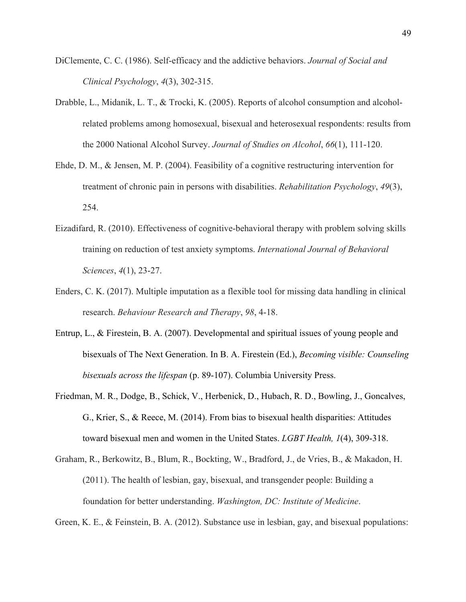- DiClemente, C. C. (1986). Self-efficacy and the addictive behaviors. *Journal of Social and Clinical Psychology*, *4*(3), 302-315.
- Drabble, L., Midanik, L. T., & Trocki, K. (2005). Reports of alcohol consumption and alcoholrelated problems among homosexual, bisexual and heterosexual respondents: results from the 2000 National Alcohol Survey. *Journal of Studies on Alcohol*, *66*(1), 111-120.
- Ehde, D. M., & Jensen, M. P. (2004). Feasibility of a cognitive restructuring intervention for treatment of chronic pain in persons with disabilities. *Rehabilitation Psychology*, *49*(3), 254.
- Eizadifard, R. (2010). Effectiveness of cognitive-behavioral therapy with problem solving skills training on reduction of test anxiety symptoms. *International Journal of Behavioral Sciences*, *4*(1), 23-27.
- Enders, C. K. (2017). Multiple imputation as a flexible tool for missing data handling in clinical research. *Behaviour Research and Therapy*, *98*, 4-18.
- Entrup, L., & Firestein, B. A. (2007). Developmental and spiritual issues of young people and bisexuals of The Next Generation. In B. A. Firestein (Ed.), *Becoming visible: Counseling bisexuals across the lifespan* (p. 89-107). Columbia University Press.
- Friedman, M. R., Dodge, B., Schick, V., Herbenick, D., Hubach, R. D., Bowling, J., Goncalves, G., Krier, S., & Reece, M. (2014). From bias to bisexual health disparities: Attitudes toward bisexual men and women in the United States. *LGBT Health, 1*(4), 309-318.
- Graham, R., Berkowitz, B., Blum, R., Bockting, W., Bradford, J., de Vries, B., & Makadon, H. (2011). The health of lesbian, gay, bisexual, and transgender people: Building a foundation for better understanding. *Washington, DC: Institute of Medicine*.

Green, K. E., & Feinstein, B. A. (2012). Substance use in lesbian, gay, and bisexual populations: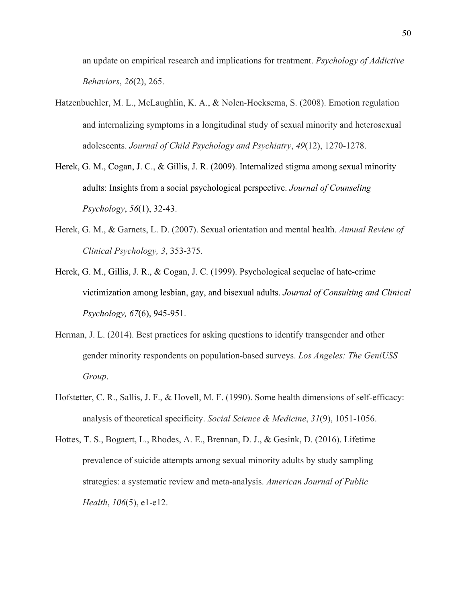an update on empirical research and implications for treatment. *Psychology of Addictive Behaviors*, *26*(2), 265.

- Hatzenbuehler, M. L., McLaughlin, K. A., & Nolen-Hoeksema, S. (2008). Emotion regulation and internalizing symptoms in a longitudinal study of sexual minority and heterosexual adolescents. *Journal of Child Psychology and Psychiatry*, *49*(12), 1270-1278.
- Herek, G. M., Cogan, J. C., & Gillis, J. R. (2009). Internalized stigma among sexual minority adults: Insights from a social psychological perspective. *Journal of Counseling Psychology*, *56*(1), 32-43.
- Herek, G. M., & Garnets, L. D. (2007). Sexual orientation and mental health. *Annual Review of Clinical Psychology, 3*, 353-375.
- Herek, G. M., Gillis, J. R., & Cogan, J. C. (1999). Psychological sequelae of hate-crime victimization among lesbian, gay, and bisexual adults. *Journal of Consulting and Clinical Psychology, 67*(6), 945-951.
- Herman, J. L. (2014). Best practices for asking questions to identify transgender and other gender minority respondents on population-based surveys. *Los Angeles: The GeniUSS Group*.
- Hofstetter, C. R., Sallis, J. F., & Hovell, M. F. (1990). Some health dimensions of self-efficacy: analysis of theoretical specificity. *Social Science & Medicine*, *31*(9), 1051-1056.
- Hottes, T. S., Bogaert, L., Rhodes, A. E., Brennan, D. J., & Gesink, D. (2016). Lifetime prevalence of suicide attempts among sexual minority adults by study sampling strategies: a systematic review and meta-analysis. *American Journal of Public Health*, *106*(5), e1-e12.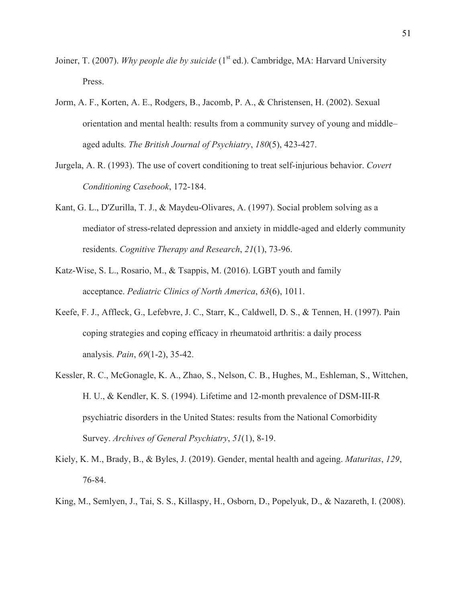- Joiner, T. (2007). *Why people die by suicide* (1<sup>st</sup> ed.). Cambridge, MA: Harvard University Press.
- Jorm, A. F., Korten, A. E., Rodgers, B., Jacomb, P. A., & Christensen, H. (2002). Sexual orientation and mental health: results from a community survey of young and middle– aged adults. *The British Journal of Psychiatry*, *180*(5), 423-427.
- Jurgela, A. R. (1993). The use of covert conditioning to treat self-injurious behavior. *Covert Conditioning Casebook*, 172-184.
- Kant, G. L., D'Zurilla, T. J., & Maydeu-Olivares, A. (1997). Social problem solving as a mediator of stress-related depression and anxiety in middle-aged and elderly community residents. *Cognitive Therapy and Research*, *21*(1), 73-96.
- Katz-Wise, S. L., Rosario, M., & Tsappis, M. (2016). LGBT youth and family acceptance. *Pediatric Clinics of North America*, *63*(6), 1011.
- Keefe, F. J., Affleck, G., Lefebvre, J. C., Starr, K., Caldwell, D. S., & Tennen, H. (1997). Pain coping strategies and coping efficacy in rheumatoid arthritis: a daily process analysis. *Pain*, *69*(1-2), 35-42.
- Kessler, R. C., McGonagle, K. A., Zhao, S., Nelson, C. B., Hughes, M., Eshleman, S., Wittchen, H. U., & Kendler, K. S. (1994). Lifetime and 12-month prevalence of DSM-III-R psychiatric disorders in the United States: results from the National Comorbidity Survey. *Archives of General Psychiatry*, *51*(1), 8-19.
- Kiely, K. M., Brady, B., & Byles, J. (2019). Gender, mental health and ageing. *Maturitas*, *129*, 76-84.
- King, M., Semlyen, J., Tai, S. S., Killaspy, H., Osborn, D., Popelyuk, D., & Nazareth, I. (2008).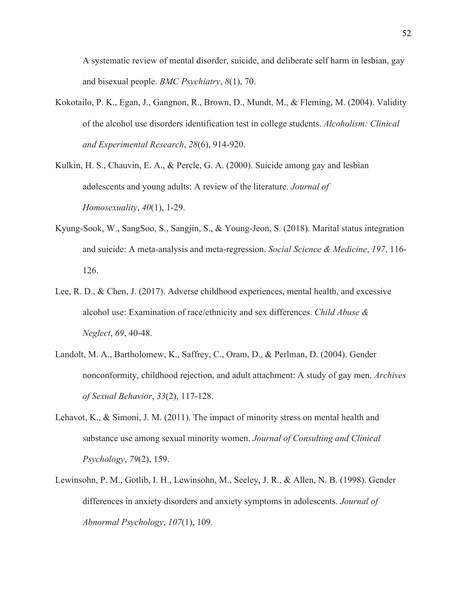A systematic review of mental disorder, suicide, and deliberate self harm in lesbian, gay and bisexual people. *BMC Psychiatry*, *8*(1), 70.

- Kokotailo, P. K., Egan, J., Gangnon, R., Brown, D., Mundt, M., & Fleming, M. (2004). Validity of the alcohol use disorders identification test in college students. *Alcoholism: Clinical and Experimental Research*, *28*(6), 914-920.
- Kulkin, H. S., Chauvin, E. A., & Percle, G. A. (2000). Suicide among gay and lesbian adolescents and young adults: A review of the literature. *Journal of Homosexuality*, *40*(1), 1-29.
- Kyung-Sook, W., SangSoo, S., Sangjin, S., & Young-Jeon, S. (2018). Marital status integration and suicide: A meta-analysis and meta-regression. *Social Science & Medicine*, *197*, 116- 126.
- Lee, R. D., & Chen, J. (2017). Adverse childhood experiences, mental health, and excessive alcohol use: Examination of race/ethnicity and sex differences. *Child Abuse & Neglect*, *69*, 40-48.
- Landolt, M. A., Bartholomew, K., Saffrey, C., Oram, D., & Perlman, D. (2004). Gender nonconformity, childhood rejection, and adult attachment: A study of gay men. *Archives of Sexual Behavior*, *33*(2), 117-128.
- Lehavot, K., & Simoni, J. M. (2011). The impact of minority stress on mental health and substance use among sexual minority women. *Journal of Consulting and Clinical Psychology*, *79*(2), 159.
- Lewinsohn, P. M., Gotlib, I. H., Lewinsohn, M., Seeley, J. R., & Allen, N. B. (1998). Gender differences in anxiety disorders and anxiety symptoms in adolescents. *Journal of Abnormal Psychology*, *107*(1), 109.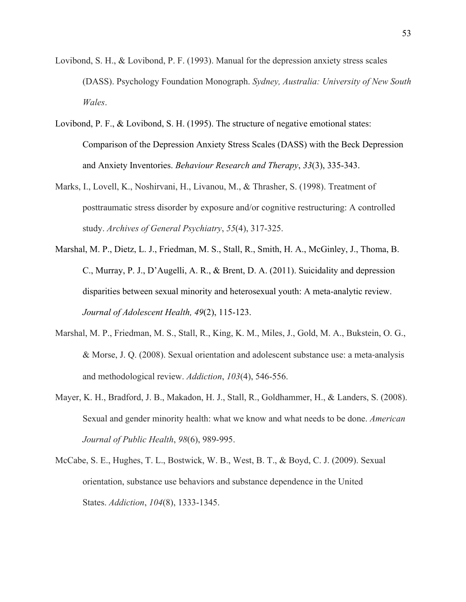- Lovibond, S. H., & Lovibond, P. F. (1993). Manual for the depression anxiety stress scales (DASS). Psychology Foundation Monograph. *Sydney, Australia: University of New South Wales*.
- Lovibond, P. F., & Lovibond, S. H. (1995). The structure of negative emotional states: Comparison of the Depression Anxiety Stress Scales (DASS) with the Beck Depression and Anxiety Inventories. *Behaviour Research and Therapy*, *33*(3), 335-343.
- Marks, I., Lovell, K., Noshirvani, H., Livanou, M., & Thrasher, S. (1998). Treatment of posttraumatic stress disorder by exposure and/or cognitive restructuring: A controlled study. *Archives of General Psychiatry*, *55*(4), 317-325.
- Marshal, M. P., Dietz, L. J., Friedman, M. S., Stall, R., Smith, H. A., McGinley, J., Thoma, B. C., Murray, P. J., D'Augelli, A. R., & Brent, D. A. (2011). Suicidality and depression disparities between sexual minority and heterosexual youth: A meta-analytic review. *Journal of Adolescent Health, 49*(2), 115-123.
- Marshal, M. P., Friedman, M. S., Stall, R., King, K. M., Miles, J., Gold, M. A., Bukstein, O. G., & Morse, J. Q. (2008). Sexual orientation and adolescent substance use: a meta-analysis and methodological review. *Addiction*, *103*(4), 546-556.
- Mayer, K. H., Bradford, J. B., Makadon, H. J., Stall, R., Goldhammer, H., & Landers, S. (2008). Sexual and gender minority health: what we know and what needs to be done. *American Journal of Public Health*, *98*(6), 989-995.
- McCabe, S. E., Hughes, T. L., Bostwick, W. B., West, B. T., & Boyd, C. J. (2009). Sexual orientation, substance use behaviors and substance dependence in the United States. *Addiction*, *104*(8), 1333-1345.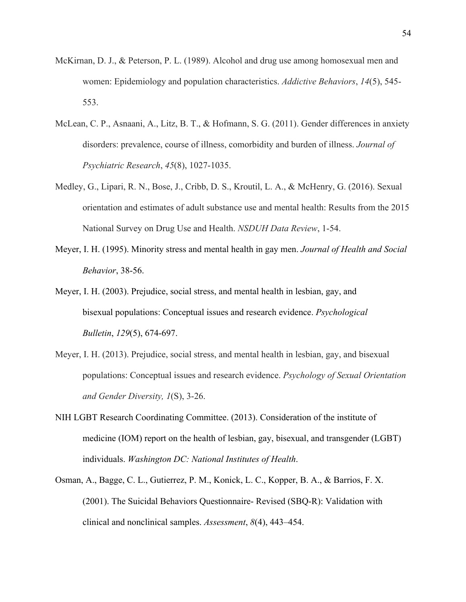- McKirnan, D. J., & Peterson, P. L. (1989). Alcohol and drug use among homosexual men and women: Epidemiology and population characteristics. *Addictive Behaviors*, *14*(5), 545- 553.
- McLean, C. P., Asnaani, A., Litz, B. T., & Hofmann, S. G. (2011). Gender differences in anxiety disorders: prevalence, course of illness, comorbidity and burden of illness. *Journal of Psychiatric Research*, *45*(8), 1027-1035.
- Medley, G., Lipari, R. N., Bose, J., Cribb, D. S., Kroutil, L. A., & McHenry, G. (2016). Sexual orientation and estimates of adult substance use and mental health: Results from the 2015 National Survey on Drug Use and Health. *NSDUH Data Review*, 1-54.
- Meyer, I. H. (1995). Minority stress and mental health in gay men. *Journal of Health and Social Behavior*, 38-56.
- Meyer, I. H. (2003). Prejudice, social stress, and mental health in lesbian, gay, and bisexual populations: Conceptual issues and research evidence. *Psychological Bulletin*, *129*(5), 674-697.
- Meyer, I. H. (2013). Prejudice, social stress, and mental health in lesbian, gay, and bisexual populations: Conceptual issues and research evidence. *Psychology of Sexual Orientation and Gender Diversity, 1*(S), 3-26.
- NIH LGBT Research Coordinating Committee. (2013). Consideration of the institute of medicine (IOM) report on the health of lesbian, gay, bisexual, and transgender (LGBT) individuals. *Washington DC: National Institutes of Health*.
- Osman, A., Bagge, C. L., Gutierrez, P. M., Konick, L. C., Kopper, B. A., & Barrios, F. X. (2001). The Suicidal Behaviors Questionnaire- Revised (SBQ-R): Validation with clinical and nonclinical samples. *Assessment*, *8*(4), 443–454.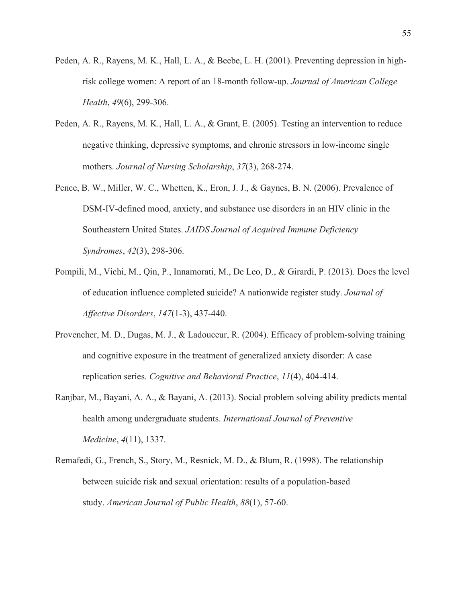- Peden, A. R., Rayens, M. K., Hall, L. A., & Beebe, L. H. (2001). Preventing depression in highrisk college women: A report of an 18-month follow-up. *Journal of American College Health*, *49*(6), 299-306.
- Peden, A. R., Rayens, M. K., Hall, L. A., & Grant, E. (2005). Testing an intervention to reduce negative thinking, depressive symptoms, and chronic stressors in low-income single mothers. *Journal of Nursing Scholarship*, *37*(3), 268-274.
- Pence, B. W., Miller, W. C., Whetten, K., Eron, J. J., & Gaynes, B. N. (2006). Prevalence of DSM-IV-defined mood, anxiety, and substance use disorders in an HIV clinic in the Southeastern United States. *JAIDS Journal of Acquired Immune Deficiency Syndromes*, *42*(3), 298-306.
- Pompili, M., Vichi, M., Qin, P., Innamorati, M., De Leo, D., & Girardi, P. (2013). Does the level of education influence completed suicide? A nationwide register study. *Journal of Affective Disorders*, *147*(1-3), 437-440.
- Provencher, M. D., Dugas, M. J., & Ladouceur, R. (2004). Efficacy of problem-solving training and cognitive exposure in the treatment of generalized anxiety disorder: A case replication series. *Cognitive and Behavioral Practice*, *11*(4), 404-414.
- Ranjbar, M., Bayani, A. A., & Bayani, A. (2013). Social problem solving ability predicts mental health among undergraduate students. *International Journal of Preventive Medicine*, *4*(11), 1337.
- Remafedi, G., French, S., Story, M., Resnick, M. D., & Blum, R. (1998). The relationship between suicide risk and sexual orientation: results of a population-based study. *American Journal of Public Health*, *88*(1), 57-60.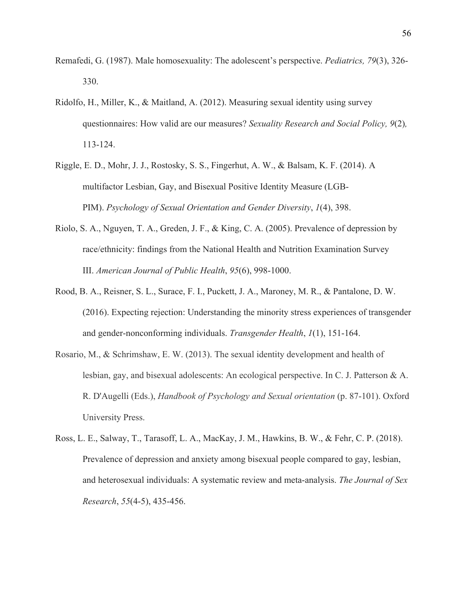- Remafedi, G. (1987). Male homosexuality: The adolescent's perspective. *Pediatrics, 79*(3), 326- 330.
- Ridolfo, H., Miller, K., & Maitland, A. (2012). Measuring sexual identity using survey questionnaires: How valid are our measures? *Sexuality Research and Social Policy, 9*(2)*,*  113-124.
- Riggle, E. D., Mohr, J. J., Rostosky, S. S., Fingerhut, A. W., & Balsam, K. F. (2014). A multifactor Lesbian, Gay, and Bisexual Positive Identity Measure (LGB-PIM). *Psychology of Sexual Orientation and Gender Diversity*, *1*(4), 398.
- Riolo, S. A., Nguyen, T. A., Greden, J. F., & King, C. A. (2005). Prevalence of depression by race/ethnicity: findings from the National Health and Nutrition Examination Survey III. *American Journal of Public Health*, *95*(6), 998-1000.
- Rood, B. A., Reisner, S. L., Surace, F. I., Puckett, J. A., Maroney, M. R., & Pantalone, D. W. (2016). Expecting rejection: Understanding the minority stress experiences of transgender and gender-nonconforming individuals. *Transgender Health*, *1*(1), 151-164.
- Rosario, M., & Schrimshaw, E. W. (2013). The sexual identity development and health of lesbian, gay, and bisexual adolescents: An ecological perspective. In C. J. Patterson & A. R. D'Augelli (Eds.), *Handbook of Psychology and Sexual orientation* (p. 87-101). Oxford University Press.
- Ross, L. E., Salway, T., Tarasoff, L. A., MacKay, J. M., Hawkins, B. W., & Fehr, C. P. (2018). Prevalence of depression and anxiety among bisexual people compared to gay, lesbian, and heterosexual individuals: A systematic review and meta-analysis. *The Journal of Sex Research*, *55*(4-5), 435-456.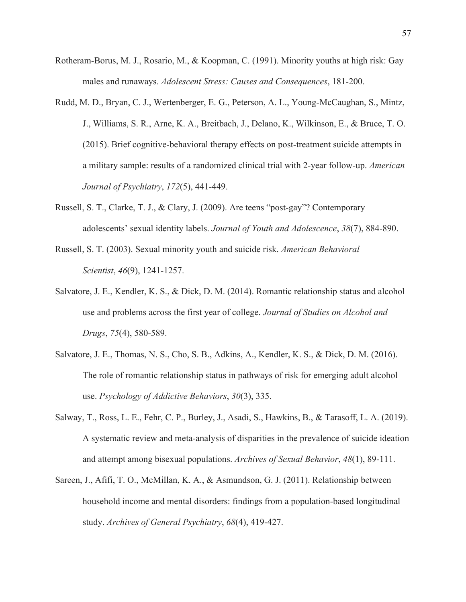- Rotheram-Borus, M. J., Rosario, M., & Koopman, C. (1991). Minority youths at high risk: Gay males and runaways. *Adolescent Stress: Causes and Consequences*, 181-200.
- Rudd, M. D., Bryan, C. J., Wertenberger, E. G., Peterson, A. L., Young-McCaughan, S., Mintz, J., Williams, S. R., Arne, K. A., Breitbach, J., Delano, K., Wilkinson, E., & Bruce, T. O. (2015). Brief cognitive-behavioral therapy effects on post-treatment suicide attempts in a military sample: results of a randomized clinical trial with 2-year follow-up. *American Journal of Psychiatry*, *172*(5), 441-449.
- Russell, S. T., Clarke, T. J., & Clary, J. (2009). Are teens "post-gay"? Contemporary adolescents' sexual identity labels. *Journal of Youth and Adolescence*, *38*(7), 884-890.
- Russell, S. T. (2003). Sexual minority youth and suicide risk. *American Behavioral Scientist*, *46*(9), 1241-1257.
- Salvatore, J. E., Kendler, K. S., & Dick, D. M. (2014). Romantic relationship status and alcohol use and problems across the first year of college. *Journal of Studies on Alcohol and Drugs*, *75*(4), 580-589.
- Salvatore, J. E., Thomas, N. S., Cho, S. B., Adkins, A., Kendler, K. S., & Dick, D. M. (2016). The role of romantic relationship status in pathways of risk for emerging adult alcohol use. *Psychology of Addictive Behaviors*, *30*(3), 335.
- Salway, T., Ross, L. E., Fehr, C. P., Burley, J., Asadi, S., Hawkins, B., & Tarasoff, L. A. (2019). A systematic review and meta-analysis of disparities in the prevalence of suicide ideation and attempt among bisexual populations. *Archives of Sexual Behavior*, *48*(1), 89-111.
- Sareen, J., Afifi, T. O., McMillan, K. A., & Asmundson, G. J. (2011). Relationship between household income and mental disorders: findings from a population-based longitudinal study. *Archives of General Psychiatry*, *68*(4), 419-427.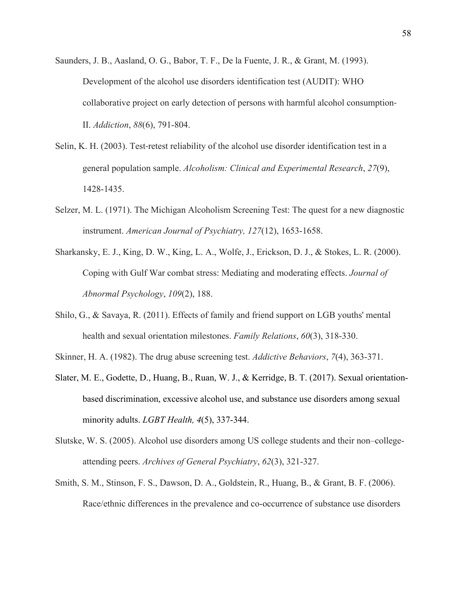- Saunders, J. B., Aasland, O. G., Babor, T. F., De la Fuente, J. R., & Grant, M. (1993). Development of the alcohol use disorders identification test (AUDIT): WHO collaborative project on early detection of persons with harmful alcohol consumption-II. *Addiction*, *88*(6), 791-804.
- Selin, K. H. (2003). Test-retest reliability of the alcohol use disorder identification test in a general population sample. *Alcoholism: Clinical and Experimental Research*, *27*(9), 1428-1435.
- Selzer, M. L. (1971). The Michigan Alcoholism Screening Test: The quest for a new diagnostic instrument. *American Journal of Psychiatry, 127*(12), 1653-1658.
- Sharkansky, E. J., King, D. W., King, L. A., Wolfe, J., Erickson, D. J., & Stokes, L. R. (2000). Coping with Gulf War combat stress: Mediating and moderating effects. *Journal of Abnormal Psychology*, *109*(2), 188.
- Shilo, G., & Savaya, R. (2011). Effects of family and friend support on LGB youths' mental health and sexual orientation milestones. *Family Relations*, *60*(3), 318-330.
- Skinner, H. A. (1982). The drug abuse screening test. *Addictive Behaviors*, *7*(4), 363-371.
- Slater, M. E., Godette, D., Huang, B., Ruan, W. J., & Kerridge, B. T. (2017). Sexual orientationbased discrimination, excessive alcohol use, and substance use disorders among sexual minority adults. *LGBT Health, 4*(5), 337-344.
- Slutske, W. S. (2005). Alcohol use disorders among US college students and their non–collegeattending peers. *Archives of General Psychiatry*, *62*(3), 321-327.
- Smith, S. M., Stinson, F. S., Dawson, D. A., Goldstein, R., Huang, B., & Grant, B. F. (2006). Race/ethnic differences in the prevalence and co-occurrence of substance use disorders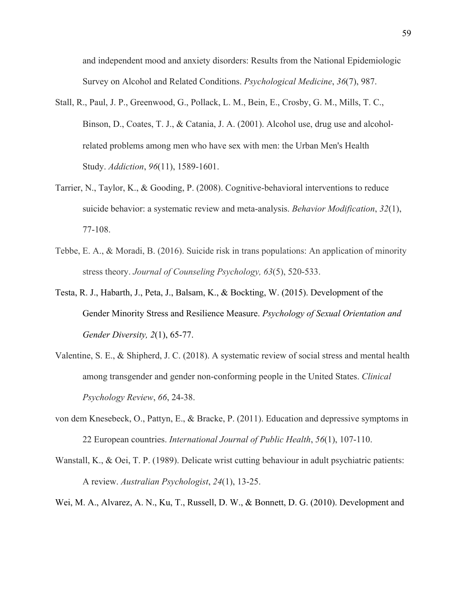and independent mood and anxiety disorders: Results from the National Epidemiologic Survey on Alcohol and Related Conditions. *Psychological Medicine*, *36*(7), 987.

- Stall, R., Paul, J. P., Greenwood, G., Pollack, L. M., Bein, E., Crosby, G. M., Mills, T. C., Binson, D., Coates, T. J., & Catania, J. A. (2001). Alcohol use, drug use and alcoholrelated problems among men who have sex with men: the Urban Men's Health Study. *Addiction*, *96*(11), 1589-1601.
- Tarrier, N., Taylor, K., & Gooding, P. (2008). Cognitive-behavioral interventions to reduce suicide behavior: a systematic review and meta-analysis. *Behavior Modification*, *32*(1), 77-108.
- Tebbe, E. A., & Moradi, B. (2016). Suicide risk in trans populations: An application of minority stress theory. *Journal of Counseling Psychology, 63*(5), 520-533.
- Testa, R. J., Habarth, J., Peta, J., Balsam, K., & Bockting, W. (2015). Development of the Gender Minority Stress and Resilience Measure. *Psychology of Sexual Orientation and Gender Diversity, 2*(1), 65-77.
- Valentine, S. E., & Shipherd, J. C. (2018). A systematic review of social stress and mental health among transgender and gender non-conforming people in the United States. *Clinical Psychology Review*, *66*, 24-38.
- von dem Knesebeck, O., Pattyn, E., & Bracke, P. (2011). Education and depressive symptoms in 22 European countries. *International Journal of Public Health*, *56*(1), 107-110.
- Wanstall, K., & Oei, T. P. (1989). Delicate wrist cutting behaviour in adult psychiatric patients: A review. *Australian Psychologist*, *24*(1), 13-25.
- Wei, M. A., Alvarez, A. N., Ku, T., Russell, D. W., & Bonnett, D. G. (2010). Development and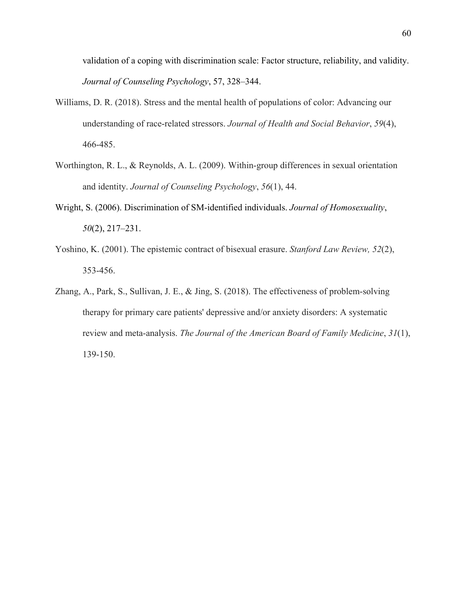validation of a coping with discrimination scale: Factor structure, reliability, and validity. *Journal of Counseling Psychology*, 57, 328–344.

- Williams, D. R. (2018). Stress and the mental health of populations of color: Advancing our understanding of race-related stressors. *Journal of Health and Social Behavior*, *59*(4), 466-485.
- Worthington, R. L., & Reynolds, A. L. (2009). Within-group differences in sexual orientation and identity. *Journal of Counseling Psychology*, *56*(1), 44.
- Wright, S. (2006). Discrimination of SM-identified individuals. *Journal of Homosexuality*, *50*(2), 217–231.
- Yoshino, K. (2001). The epistemic contract of bisexual erasure. *Stanford Law Review, 52*(2), 353-456.
- Zhang, A., Park, S., Sullivan, J. E., & Jing, S. (2018). The effectiveness of problem-solving therapy for primary care patients' depressive and/or anxiety disorders: A systematic review and meta-analysis. *The Journal of the American Board of Family Medicine*, *31*(1), 139-150.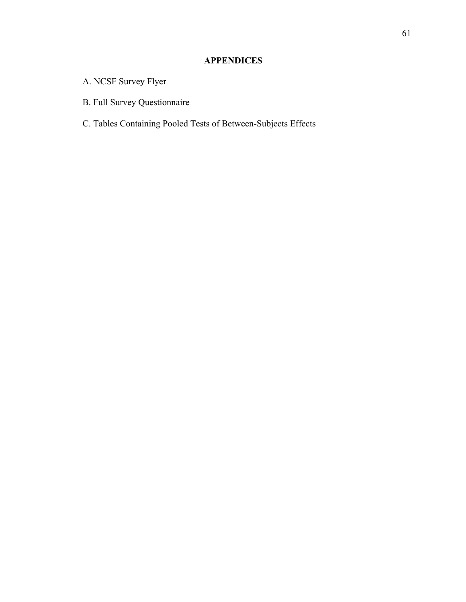# **APPENDICES**

- A. NCSF Survey Flyer
- B. Full Survey Questionnaire
- C. Tables Containing Pooled Tests of Between-Subjects Effects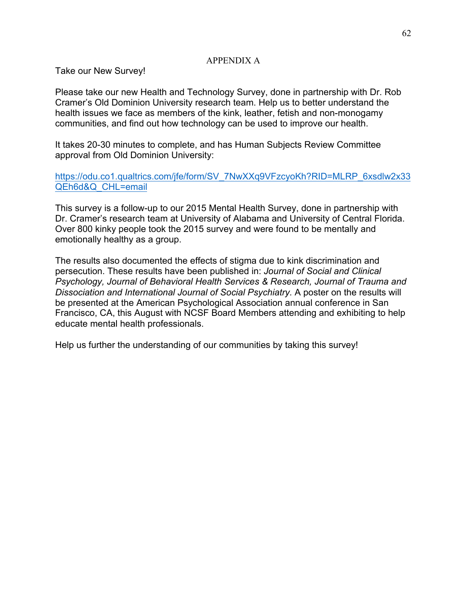## APPENDIX A

Take our New Survey!

Please take our new Health and Technology Survey, done in partnership with Dr. Rob Cramer's Old Dominion University research team. Help us to better understand the health issues we face as members of the kink, leather, fetish and non-monogamy communities, and find out how technology can be used to improve our health.

It takes 20-30 minutes to complete, and has Human Subjects Review Committee approval from Old Dominion University:

https://odu.co1.qualtrics.com/jfe/form/SV\_7NwXXq9VFzcyoKh?RID=MLRP\_6xsdlw2x33 QEh6d&Q\_CHL=email

This survey is a follow-up to our 2015 Mental Health Survey, done in partnership with Dr. Cramer's research team at University of Alabama and University of Central Florida. Over 800 kinky people took the 2015 survey and were found to be mentally and emotionally healthy as a group.

The results also documented the effects of stigma due to kink discrimination and persecution. These results have been published in: *Journal of Social and Clinical Psychology, Journal of Behavioral Health Services & Research, Journal of Trauma and Dissociation and International Journal of Social Psychiatry.* A poster on the results will be presented at the American Psychological Association annual conference in San Francisco, CA, this August with NCSF Board Members attending and exhibiting to help educate mental health professionals.

Help us further the understanding of our communities by taking this survey!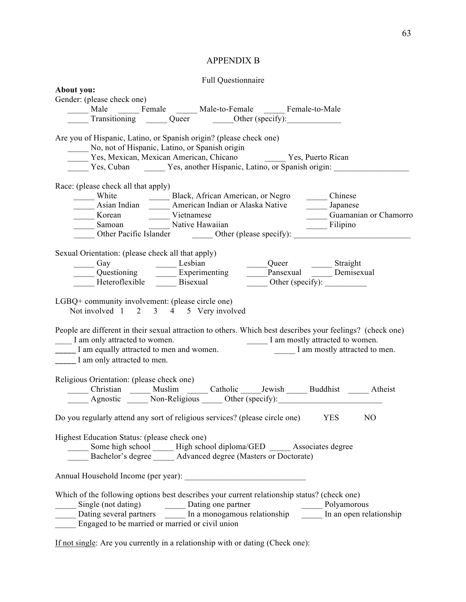# APPENDIX B

## Full Questionnaire

| About you: |                                                              |                                                   |                                                                                                                                                                                                                                                                                                    |                  |                       |
|------------|--------------------------------------------------------------|---------------------------------------------------|----------------------------------------------------------------------------------------------------------------------------------------------------------------------------------------------------------------------------------------------------------------------------------------------------|------------------|-----------------------|
|            | Gender: (please check one)                                   |                                                   |                                                                                                                                                                                                                                                                                                    |                  |                       |
|            |                                                              |                                                   | Male _______ Female ________ Male-to-Female _______ Female-to-Male                                                                                                                                                                                                                                 |                  |                       |
|            |                                                              |                                                   | Transitioning Queer Other (specify):                                                                                                                                                                                                                                                               |                  |                       |
|            |                                                              |                                                   | Are you of Hispanic, Latino, or Spanish origin? (please check one)                                                                                                                                                                                                                                 |                  |                       |
|            |                                                              |                                                   | No, not of Hispanic, Latino, or Spanish origin                                                                                                                                                                                                                                                     |                  |                       |
|            |                                                              |                                                   | Yes, Mexican, Mexican American, Chicano Tes, Puerto Rican                                                                                                                                                                                                                                          |                  |                       |
|            |                                                              |                                                   | Yes, Cuban Yes, another Hispanic, Latino, or Spanish origin:                                                                                                                                                                                                                                       |                  |                       |
|            |                                                              |                                                   |                                                                                                                                                                                                                                                                                                    |                  |                       |
|            | Race: (please check all that apply)                          |                                                   |                                                                                                                                                                                                                                                                                                    |                  |                       |
|            |                                                              |                                                   |                                                                                                                                                                                                                                                                                                    |                  |                       |
|            |                                                              |                                                   | White Black, African American, or Negro Chinese<br>Asian Indian <u>—</u> American Indian or Alaska Native Japanese                                                                                                                                                                                 |                  |                       |
|            |                                                              | Korean Vietnamese                                 |                                                                                                                                                                                                                                                                                                    |                  | Guamanian or Chamorro |
|            |                                                              |                                                   | Norean<br>Samoan<br><u>Native</u> Hawaiian<br>Native Hawaiian                                                                                                                                                                                                                                      |                  |                       |
|            |                                                              |                                                   | Samoan<br>Other Pacific Islander<br><u>Cher</u> Other (please specify): Filipino                                                                                                                                                                                                                   |                  |                       |
|            |                                                              |                                                   |                                                                                                                                                                                                                                                                                                    |                  |                       |
|            |                                                              | Sexual Orientation: (please check all that apply) |                                                                                                                                                                                                                                                                                                    |                  |                       |
|            |                                                              |                                                   | Gay Cuestioning Lesbian Queer Straight<br>Questioning Experimenting Demisexual Demisexual                                                                                                                                                                                                          |                  |                       |
|            |                                                              |                                                   |                                                                                                                                                                                                                                                                                                    |                  |                       |
|            |                                                              | Heteroflexible Bisexual                           |                                                                                                                                                                                                                                                                                                    | Other (specify): |                       |
|            | I am only attracted to women.<br>I am only attracted to men. |                                                   | Not involved 1 2 3 4 5 Very involved<br>People are different in their sexual attraction to others. Which best describes your feelings? (check one)<br>I am only attracted to women.<br>I am mostly attracted to women.<br>I am mostly attracted to men and women.<br>I am mostly attracted to men. |                  |                       |
|            |                                                              | Religious Orientation: (please check one)         |                                                                                                                                                                                                                                                                                                    |                  |                       |
|            |                                                              |                                                   | Christian _____ Muslim ______ Catholic ______ Jewish ______ Buddhist ______ Atheist                                                                                                                                                                                                                |                  |                       |
|            |                                                              |                                                   | Agnostic Non-Religious Other (specify):                                                                                                                                                                                                                                                            |                  |                       |
|            |                                                              |                                                   |                                                                                                                                                                                                                                                                                                    |                  |                       |
|            |                                                              |                                                   | Do you regularly attend any sort of religious services? (please circle one) YES NO                                                                                                                                                                                                                 |                  |                       |
|            |                                                              |                                                   |                                                                                                                                                                                                                                                                                                    |                  |                       |
|            |                                                              | Highest Education Status: (please check one)      | _____ Some high school ______ High school diploma/GED ______ Associates degree                                                                                                                                                                                                                     |                  |                       |
|            |                                                              |                                                   | Bachelor's degree _____ Advanced degree (Masters or Doctorate)                                                                                                                                                                                                                                     |                  |                       |
|            |                                                              |                                                   |                                                                                                                                                                                                                                                                                                    |                  |                       |
|            |                                                              |                                                   |                                                                                                                                                                                                                                                                                                    |                  |                       |
|            |                                                              |                                                   | Which of the following options best describes your current relationship status? (check one)                                                                                                                                                                                                        |                  |                       |
|            |                                                              |                                                   |                                                                                                                                                                                                                                                                                                    |                  |                       |
|            |                                                              |                                                   |                                                                                                                                                                                                                                                                                                    |                  |                       |
|            |                                                              | Engaged to be married or married or civil union   |                                                                                                                                                                                                                                                                                                    |                  |                       |
|            |                                                              |                                                   |                                                                                                                                                                                                                                                                                                    |                  |                       |

If not single: Are you currently in a relationship with or dating (Check one):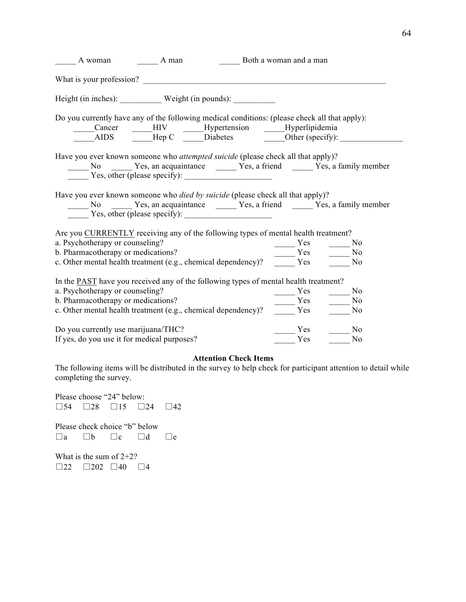| A woman A man                                                                                                                                                                                  |  |            | Both a woman and a man                             |                                                                                            |  |  |  |
|------------------------------------------------------------------------------------------------------------------------------------------------------------------------------------------------|--|------------|----------------------------------------------------|--------------------------------------------------------------------------------------------|--|--|--|
|                                                                                                                                                                                                |  |            |                                                    |                                                                                            |  |  |  |
|                                                                                                                                                                                                |  |            |                                                    |                                                                                            |  |  |  |
| Do you currently have any of the following medical conditions: (please check all that apply):                                                                                                  |  |            |                                                    |                                                                                            |  |  |  |
|                                                                                                                                                                                                |  |            | Cancer ____HIV ____Hypertension ____Hyperlipidemia |                                                                                            |  |  |  |
|                                                                                                                                                                                                |  |            | AIDS Hep C Diabetes Other (specify):               |                                                                                            |  |  |  |
| Have you ever known someone who <i>attempted suicide</i> (please check all that apply)?                                                                                                        |  |            |                                                    | No Yes, an acquaintance Ves, a friend Ves, a family member<br>Yes, other (please specify): |  |  |  |
| Have you ever known someone who died by suicide (please check all that apply)?<br>$\overline{Y}$ Yes, other (please specify):                                                                  |  |            |                                                    | No No No Nes, an acquaintance Nes, a friend Nes, a family member                           |  |  |  |
| Are you CURRENTLY receiving any of the following types of mental health treatment?                                                                                                             |  |            |                                                    |                                                                                            |  |  |  |
|                                                                                                                                                                                                |  |            |                                                    |                                                                                            |  |  |  |
|                                                                                                                                                                                                |  |            |                                                    |                                                                                            |  |  |  |
| a. Psychotherapy or counseling?<br>b. Pharmacotherapy or medications?<br>c. Other mental health treatment (e.g., chemical dependency)?<br>$\frac{Yes}{\sqrt{1 - Yes}} \times \frac{1}{Yes}$ Mo |  |            |                                                    |                                                                                            |  |  |  |
| In the <b>PAST</b> have you received any of the following types of mental health treatment?                                                                                                    |  |            |                                                    |                                                                                            |  |  |  |
| a. Psychotherapy or counseling?                                                                                                                                                                |  | <b>Yes</b> | N <sub>0</sub>                                     |                                                                                            |  |  |  |
|                                                                                                                                                                                                |  |            |                                                    |                                                                                            |  |  |  |
| b. Pharmacotherapy or medications?<br>c. Other mental health treatment (e.g., chemical dependency)? $\frac{V_{\text{res}}}{V_{\text{res}}}$ $\frac{V_{\text{res}}}{V_{\text{res}}}$ No         |  |            |                                                    |                                                                                            |  |  |  |
| Do you currently use marijuana/THC?                                                                                                                                                            |  |            | Yes                                                | N <sub>0</sub>                                                                             |  |  |  |
| If yes, do you use it for medical purposes?                                                                                                                                                    |  | Yes        | $\overline{\text{No}}$                             |                                                                                            |  |  |  |

#### **Attention Check Items**

The following items will be distributed in the survey to help check for participant attention to detail while completing the survey.

Please choose "24" below: □54 □28 □15 □24 □42 Please check choice "b" below  $\square$ a  $\square$ b  $\square$ c  $\square$ d  $\square$ e What is the sum of 2+2?  $\Box 22 \quad \Box 202 \quad \Box 40 \quad \Box 4$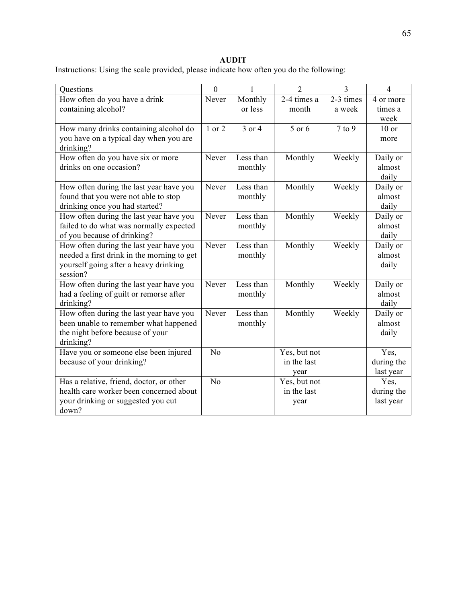# **AUDIT**

Instructions: Using the scale provided, please indicate how often you do the following:

| Questions                                                                       | $\overline{0}$ | 1         | $\overline{2}$       | $\overline{3}$ | $\overline{4}$     |
|---------------------------------------------------------------------------------|----------------|-----------|----------------------|----------------|--------------------|
| How often do you have a drink                                                   | Never          | Monthly   | $2-4$ times a        | $2-3$ times    | 4 or more          |
| containing alcohol?                                                             |                | or less   | month                | a week         | times a            |
|                                                                                 |                |           |                      |                | week               |
| How many drinks containing alcohol do                                           | 1 or 2         | 3 or 4    | 5 or 6               | $7$ to $9$     | $10$ or            |
| you have on a typical day when you are                                          |                |           |                      |                | more               |
| drinking?                                                                       |                |           |                      |                |                    |
| How often do you have six or more                                               | Never          | Less than | Monthly              | Weekly         | Daily or           |
| drinks on one occasion?                                                         |                | monthly   |                      |                | almost             |
|                                                                                 | Never          | Less than |                      |                | daily              |
| How often during the last year have you<br>found that you were not able to stop |                | monthly   | Monthly              | Weekly         | Daily or<br>almost |
| drinking once you had started?                                                  |                |           |                      |                | daily              |
| How often during the last year have you                                         | Never          | Less than | Monthly              | Weekly         | Daily or           |
| failed to do what was normally expected                                         |                | monthly   |                      |                | almost             |
| of you because of drinking?                                                     |                |           |                      |                | daily              |
| How often during the last year have you                                         | Never          | Less than | Monthly              | Weekly         | Daily or           |
| needed a first drink in the morning to get                                      |                | monthly   |                      |                | almost             |
| yourself going after a heavy drinking                                           |                |           |                      |                | daily              |
| session?                                                                        |                |           |                      |                |                    |
| How often during the last year have you                                         | Never          | Less than | Monthly              | Weekly         | Daily or           |
| had a feeling of guilt or remorse after                                         |                | monthly   |                      |                | almost             |
| drinking?                                                                       |                |           |                      |                | daily              |
| How often during the last year have you                                         | Never          | Less than | Monthly              | Weekly         | Daily or           |
| been unable to remember what happened                                           |                | monthly   |                      |                | almost             |
| the night before because of your                                                |                |           |                      |                | daily              |
| drinking?                                                                       |                |           |                      |                |                    |
| Have you or someone else been injured                                           | N <sub>0</sub> |           | Yes, but not         |                | Yes,               |
| because of your drinking?                                                       |                |           | in the last          |                | during the         |
| Has a relative, friend, doctor, or other                                        | N <sub>0</sub> |           | year<br>Yes, but not |                | last year<br>Yes,  |
| health care worker been concerned about                                         |                |           | in the last          |                | during the         |
| your drinking or suggested you cut                                              |                |           | year                 |                | last year          |
| down?                                                                           |                |           |                      |                |                    |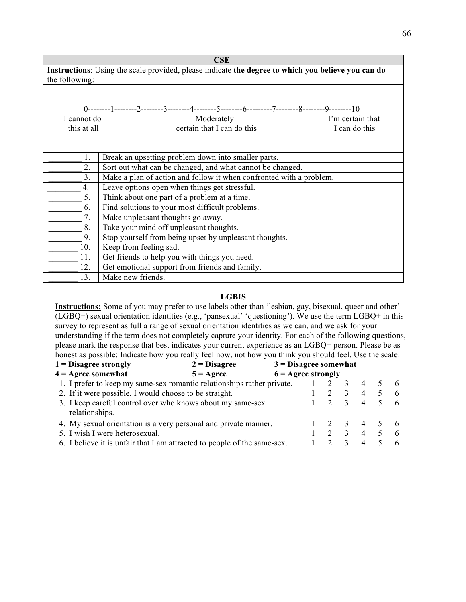| CSE                                                                                                |                                                                                                  |  |  |  |  |  |  |  |  |  |  |
|----------------------------------------------------------------------------------------------------|--------------------------------------------------------------------------------------------------|--|--|--|--|--|--|--|--|--|--|
| Instructions: Using the scale provided, please indicate the degree to which you believe you can do |                                                                                                  |  |  |  |  |  |  |  |  |  |  |
| the following:                                                                                     |                                                                                                  |  |  |  |  |  |  |  |  |  |  |
|                                                                                                    |                                                                                                  |  |  |  |  |  |  |  |  |  |  |
|                                                                                                    |                                                                                                  |  |  |  |  |  |  |  |  |  |  |
|                                                                                                    | 0---------1---------2--------3--------4--------5--------6---------7--------8--------9---------10 |  |  |  |  |  |  |  |  |  |  |
| I cannot do                                                                                        | Moderately<br>I'm certain that                                                                   |  |  |  |  |  |  |  |  |  |  |
| this at all                                                                                        | certain that I can do this<br>I can do this                                                      |  |  |  |  |  |  |  |  |  |  |
|                                                                                                    |                                                                                                  |  |  |  |  |  |  |  |  |  |  |
|                                                                                                    |                                                                                                  |  |  |  |  |  |  |  |  |  |  |
| 1.                                                                                                 | Break an upsetting problem down into smaller parts.                                              |  |  |  |  |  |  |  |  |  |  |
| 2.                                                                                                 | Sort out what can be changed, and what cannot be changed.                                        |  |  |  |  |  |  |  |  |  |  |
| 3 <sub>1</sub>                                                                                     | Make a plan of action and follow it when confronted with a problem.                              |  |  |  |  |  |  |  |  |  |  |
| 4.                                                                                                 | Leave options open when things get stressful.                                                    |  |  |  |  |  |  |  |  |  |  |
| 5.                                                                                                 | Think about one part of a problem at a time.                                                     |  |  |  |  |  |  |  |  |  |  |
| 6.                                                                                                 | Find solutions to your most difficult problems.                                                  |  |  |  |  |  |  |  |  |  |  |
| 7.                                                                                                 | Make unpleasant thoughts go away.                                                                |  |  |  |  |  |  |  |  |  |  |
| 8.                                                                                                 | Take your mind off unpleasant thoughts.                                                          |  |  |  |  |  |  |  |  |  |  |
| 9.                                                                                                 | Stop yourself from being upset by unpleasant thoughts.                                           |  |  |  |  |  |  |  |  |  |  |
| 10.                                                                                                | Keep from feeling sad.                                                                           |  |  |  |  |  |  |  |  |  |  |
| 11.                                                                                                | Get friends to help you with things you need.                                                    |  |  |  |  |  |  |  |  |  |  |
| 12.                                                                                                | Get emotional support from friends and family.                                                   |  |  |  |  |  |  |  |  |  |  |
| 13.                                                                                                | Make new friends.                                                                                |  |  |  |  |  |  |  |  |  |  |

### **LGBIS**

**Instructions:** Some of you may prefer to use labels other than 'lesbian, gay, bisexual, queer and other' (LGBQ+) sexual orientation identities (e.g., 'pansexual' 'questioning'). We use the term LGBQ+ in this survey to represent as full a range of sexual orientation identities as we can, and we ask for your understanding if the term does not completely capture your identity. For each of the following questions, please mark the response that best indicates your current experience as an LGBQ+ person. Please be as honest as possible: Indicate how you really feel now, not how you think you should feel. Use the scale:

| $1 = Disagree strongly$                                                      | $2 = Disagree$     | $3$ = Disagree somewhat     |  |                         |                             |     |
|------------------------------------------------------------------------------|--------------------|-----------------------------|--|-------------------------|-----------------------------|-----|
| $4 = \text{Agree somewhat}$                                                  | $5 = \text{Agree}$ | $6 = \text{Agree strongly}$ |  |                         |                             |     |
| 1. I prefer to keep my same-sex romantic relationships rather private.       |                    |                             |  |                         | $\overline{4}$              | 6   |
| 2. If it were possible, I would choose to be straight.                       |                    |                             |  |                         | $\overline{4}$              | -6  |
| 3. I keep careful control over who knows about my same-sex<br>relationships. |                    |                             |  |                         | $\overline{4}$              | - 6 |
| 4. My sexual orientation is a very personal and private manner.              |                    |                             |  | $\overline{\mathbf{3}}$ | $\overline{4}$              |     |
| 5. I wish I were heterosexual.                                               |                    |                             |  |                         | $\overline{4}$              | 6   |
| 6. I believe it is unfair that I am attracted to people of the same-sex.     |                    |                             |  |                         | $\boldsymbol{\vartriangle}$ |     |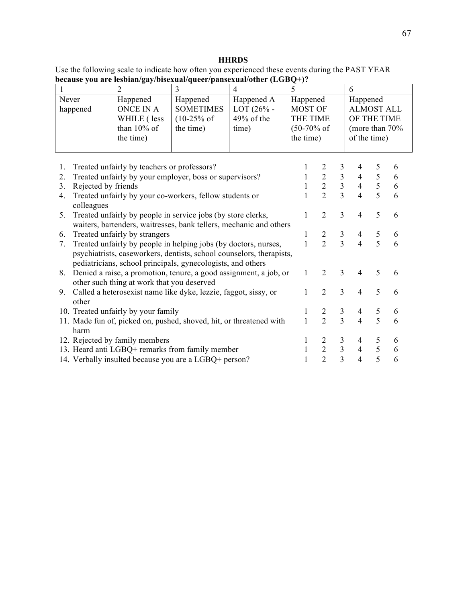# **HHRDS**

| Use the following scale to indicate how often you experienced these events during the PAST YEAR |  |
|-------------------------------------------------------------------------------------------------|--|
| because you are lesbian/gay/bisexual/queer/pansexual/other (LGBQ+)?                             |  |

|                                                                                                                                                        | $\overline{2}$                                                                                                                                                                                                                          | $\overline{3}$                                                      | $\overline{4}$                                    | 5                                                                      |                                                              |                                                              | 6                                                                              |                  |                  |
|--------------------------------------------------------------------------------------------------------------------------------------------------------|-----------------------------------------------------------------------------------------------------------------------------------------------------------------------------------------------------------------------------------------|---------------------------------------------------------------------|---------------------------------------------------|------------------------------------------------------------------------|--------------------------------------------------------------|--------------------------------------------------------------|--------------------------------------------------------------------------------|------------------|------------------|
| Never<br>happened                                                                                                                                      | Happened<br><b>ONCE IN A</b><br>WHILE (less<br>than $10\%$ of<br>the time)                                                                                                                                                              | Happened<br><b>SOMETIMES</b><br>$(10-25\% \text{ of }$<br>the time) | Happened A<br>$LOT (26% -$<br>49% of the<br>time) | Happened<br>MOST OF<br>THE TIME<br>$(50-70\% \text{ of }$<br>the time) |                                                              |                                                              | Happened<br><b>ALMOST ALL</b><br>OF THE TIME<br>(more than 70%<br>of the time) |                  |                  |
| 1.<br>2.<br>Rejected by friends<br>3.<br>4.                                                                                                            | Treated unfairly by teachers or professors?<br>Treated unfairly by your employer, boss or supervisors?<br>Treated unfairly by your co-workers, fellow students or                                                                       |                                                                     |                                                   | 1<br>$\mathbf{1}$<br>1<br>$\mathbf{1}$                                 | $\begin{array}{c} 2 \\ 2 \\ 2 \end{array}$<br>$\overline{2}$ | $\begin{array}{c} 3 \\ 3 \\ 3 \end{array}$<br>$\overline{3}$ | 4<br>$\overline{4}$<br>$\overline{4}$<br>$\overline{4}$                        | 5<br>5<br>5<br>5 | 6<br>6<br>6<br>6 |
| colleagues<br>Treated unfairly by people in service jobs (by store clerks,<br>5.<br>waiters, bartenders, waitresses, bank tellers, mechanic and others |                                                                                                                                                                                                                                         |                                                                     |                                                   |                                                                        | $\overline{2}$                                               | 3                                                            | $\overline{4}$                                                                 | 5                | 6                |
| 6.<br>7.                                                                                                                                               | Treated unfairly by strangers<br>Treated unfairly by people in helping jobs (by doctors, nurses,<br>psychiatrists, caseworkers, dentists, school counselors, therapists,<br>pediatricians, school principals, gynecologists, and others |                                                                     |                                                   | 1<br>$\mathbf{1}$                                                      | $\overline{2}$<br>$\overline{2}$                             | $\frac{3}{3}$                                                | $\overline{4}$<br>$\overline{4}$                                               | $\sqrt{5}$<br>5  | 6<br>6           |
| 8.                                                                                                                                                     | Denied a raise, a promotion, tenure, a good assignment, a job, or<br>other such thing at work that you deserved                                                                                                                         |                                                                     |                                                   | 1                                                                      | $\overline{2}$                                               | 3                                                            | $\overline{4}$                                                                 | 5                | 6                |
| 9.<br>other                                                                                                                                            | Called a heterosexist name like dyke, lezzie, faggot, sissy, or                                                                                                                                                                         |                                                                     |                                                   | $\mathbf{1}$                                                           | $\overline{2}$                                               | 3                                                            | $\overline{4}$                                                                 | 5                | 6                |
| 10. Treated unfairly by your family<br>11. Made fun of, picked on, pushed, shoved, hit, or threatened with                                             |                                                                                                                                                                                                                                         |                                                                     |                                                   | 1<br>$\mathbf{1}$                                                      | $\overline{2}$<br>$\overline{2}$                             | $\mathfrak{Z}$<br>$\overline{3}$                             | $\overline{4}$<br>$\overline{4}$                                               | 5<br>5           | 6<br>6           |
| harm<br>12. Rejected by family members<br>13. Heard anti LGBQ+ remarks from family member<br>14. Verbally insulted because you are a LGBQ+ person?     |                                                                                                                                                                                                                                         |                                                                     |                                                   | 1<br>$\mathbf{1}$<br>1                                                 | $\overline{c}$<br>$\frac{2}{2}$                              | $\mathfrak{Z}$<br>$\frac{3}{3}$                              | $\overline{4}$<br>$\overline{4}$<br>$\overline{4}$                             | 5<br>5<br>5      | 6<br>6<br>6      |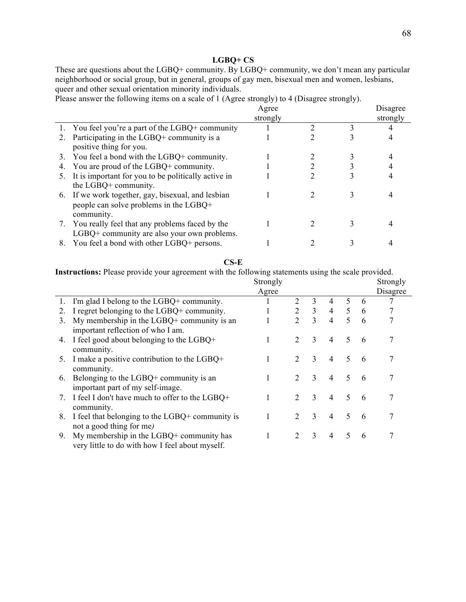### **LGBQ+ CS**

These are questions about the LGBQ+ community. By LGBQ+ community, we don't mean any particular neighborhood or social group, but in general, groups of gay men, bisexual men and women, lesbians, queer and other sexual orientation minority individuals.

Please answer the following items on a scale of 1 (Agree strongly) to 4 (Disagree strongly).

|                                                     | Agree    |  | Disagree |
|-----------------------------------------------------|----------|--|----------|
|                                                     | strongly |  | strongly |
| 1. You feel you're a part of the LGBQ+ community    |          |  |          |
| Participating in the LGBQ+ community is a           |          |  |          |
| positive thing for you.                             |          |  |          |
| 3. You feel a bond with the LGBQ+ community.        |          |  |          |
| 4. You are proud of the LGBQ+ community.            |          |  |          |
| It is important for you to be politically active in |          |  |          |
| the LGBQ+ community.                                |          |  |          |
| 6. If we work together, gay, bisexual, and lesbian  |          |  |          |
| people can solve problems in the LGBQ+              |          |  |          |
| community.                                          |          |  |          |
| 7. You really feel that any problems faced by the   |          |  |          |
| LGBQ+ community are also your own problems.         |          |  |          |
| You feel a bond with other LGBQ+ persons.           |          |  |          |
|                                                     |          |  |          |

#### **CS-E**

**Instructions:** Please provide your agreement with the following statements using the scale provided.

|    |                                                                                               | Strongly |                |              |                |    |   | Strongly |
|----|-----------------------------------------------------------------------------------------------|----------|----------------|--------------|----------------|----|---|----------|
|    |                                                                                               | Agree    |                |              |                |    |   | Disagree |
| 1. | I'm glad I belong to the LGBQ+ community.                                                     |          | 2              | 3            | $\overline{4}$ | 5  | 6 |          |
| 2. | I regret belonging to the LGBQ+ community.                                                    |          | 2              | 3            | 4              | 5  | 6 |          |
| 3. | My membership in the $LGBQ+$ community is an<br>important reflection of who I am.             |          | $\overline{2}$ | 3            | $\overline{4}$ | 5  | 6 |          |
| 4. | I feel good about belonging to the LGBQ+<br>community.                                        |          | 2              | 3            | $\overline{4}$ | 5  | 6 |          |
| 5. | I make a positive contribution to the $LGBQ+$<br>community.                                   | 1        | 2              | 3            | $\overline{4}$ | 5  | 6 |          |
| 6. | Belonging to the LGBQ+ community is an<br>important part of my self-image.                    | 1        | $\overline{2}$ | 3            | $\overline{4}$ | 5  | 6 |          |
| 7. | I feel I don't have much to offer to the LGBQ+<br>community.                                  | 1        | 2              | 3            | $\overline{4}$ | 5  | 6 |          |
| 8. | I feel that belonging to the LGBQ+ community is<br>not a good thing for me)                   |          | $\overline{2}$ | $\mathbf{3}$ | $\overline{4}$ | 5  | 6 |          |
| 9. | My membership in the $LGBQ+$ community has<br>very little to do with how I feel about myself. | 1        | 2              | 3            | 4              | 5. | 6 |          |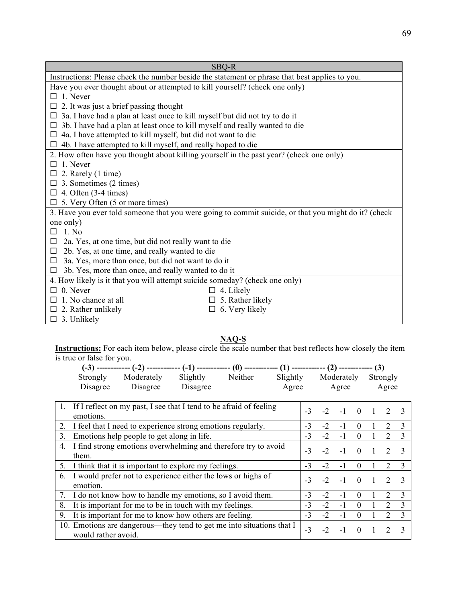| SBO-R                                                                                                |  |  |  |  |  |  |  |
|------------------------------------------------------------------------------------------------------|--|--|--|--|--|--|--|
| Instructions: Please check the number beside the statement or phrase that best applies to you.       |  |  |  |  |  |  |  |
| Have you ever thought about or attempted to kill yourself? (check one only)                          |  |  |  |  |  |  |  |
| 1. Never                                                                                             |  |  |  |  |  |  |  |
| 2. It was just a brief passing thought                                                               |  |  |  |  |  |  |  |
| 3a. I have had a plan at least once to kill myself but did not try to do it<br>Ц                     |  |  |  |  |  |  |  |
| 3b. I have had a plan at least once to kill myself and really wanted to die<br>$\Box$                |  |  |  |  |  |  |  |
| 4a. I have attempted to kill myself, but did not want to die<br>$\Box$                               |  |  |  |  |  |  |  |
| 4b. I have attempted to kill myself, and really hoped to die<br>$\Box$                               |  |  |  |  |  |  |  |
| 2. How often have you thought about killing yourself in the past year? (check one only)              |  |  |  |  |  |  |  |
| $\Box$ 1. Never                                                                                      |  |  |  |  |  |  |  |
| $\Box$ 2. Rarely (1 time)                                                                            |  |  |  |  |  |  |  |
| $\Box$ 3. Sometimes (2 times)                                                                        |  |  |  |  |  |  |  |
| $\Box$ 4. Often (3-4 times)                                                                          |  |  |  |  |  |  |  |
| $\Box$ 5. Very Often (5 or more times)                                                               |  |  |  |  |  |  |  |
| 3. Have you ever told someone that you were going to commit suicide, or that you might do it? (check |  |  |  |  |  |  |  |
| one only)                                                                                            |  |  |  |  |  |  |  |
| $1$ No<br>□                                                                                          |  |  |  |  |  |  |  |
| 2a. Yes, at one time, but did not really want to die<br>□                                            |  |  |  |  |  |  |  |
| 2b. Yes, at one time, and really wanted to die<br>□                                                  |  |  |  |  |  |  |  |
| 3a. Yes, more than once, but did not want to do it<br>$\Box$                                         |  |  |  |  |  |  |  |
| 3b. Yes, more than once, and really wanted to do it<br>□                                             |  |  |  |  |  |  |  |
| 4. How likely is it that you will attempt suicide someday? (check one only)                          |  |  |  |  |  |  |  |
| $0.$ Never<br>4. Likely                                                                              |  |  |  |  |  |  |  |
| 5. Rather likely<br>1. No chance at all                                                              |  |  |  |  |  |  |  |
| 6. Very likely<br>$\Box$ 2. Rather unlikely<br>$\Box$                                                |  |  |  |  |  |  |  |
| $\Box$ 3. Unlikely                                                                                   |  |  |  |  |  |  |  |

### **NAQ-S**

**Instructions:** For each item below, please circle the scale number that best reflects how closely the item is true or false for you.

|                |                                                         |                                                              |          | $(-3)$ ------------- $(-2)$ ------------- $(-1)$ ------------ $(0)$ ------------- $(1)$ ------------- $(2)$ ------------ $(3)$ |          |      |      |            |          |                             |               |
|----------------|---------------------------------------------------------|--------------------------------------------------------------|----------|--------------------------------------------------------------------------------------------------------------------------------|----------|------|------|------------|----------|-----------------------------|---------------|
|                | Strongly                                                | Moderately                                                   | Slightly | Neither                                                                                                                        | Slightly |      |      | Moderately |          | Strongly                    |               |
|                | Disagree                                                | Disagree                                                     | Disagree |                                                                                                                                | Agree    |      |      | Agree      |          | Agree                       |               |
|                |                                                         |                                                              |          |                                                                                                                                |          |      |      |            |          |                             |               |
| $\mathbf{1}$ . |                                                         |                                                              |          | If I reflect on my past, I see that I tend to be afraid of feeling                                                             |          | $-3$ | $-2$ | $-1$       | $\Omega$ |                             | $\mathcal{R}$ |
|                | emotions.                                               |                                                              |          |                                                                                                                                |          |      |      |            |          |                             |               |
| 2.             |                                                         | I feel that I need to experience strong emotions regularly.  |          |                                                                                                                                |          | $-3$ | $-2$ | -1         | $\Omega$ | 2                           | 3             |
| 3.             |                                                         | Emotions help people to get along in life.                   |          |                                                                                                                                |          | $-3$ | $-2$ | -1         | $\theta$ | $\mathcal{D}_{\mathcal{L}}$ | 3             |
|                |                                                         |                                                              |          | 4. I find strong emotions overwhelming and therefore try to avoid                                                              |          | $-3$ | $-2$ | $-1$       | $\Omega$ |                             |               |
|                | them.                                                   |                                                              |          |                                                                                                                                |          |      |      |            |          |                             |               |
| 5.             |                                                         | I think that it is important to explore my feelings.         |          |                                                                                                                                |          | $-3$ | $-2$ |            | $\Omega$ |                             | 3             |
| 6.             |                                                         | I would prefer not to experience either the lows or highs of |          |                                                                                                                                |          | $-3$ | $-2$ | $-1$       | $\Omega$ | $\mathcal{D}_{\mathcal{L}}$ |               |
|                | emotion.                                                |                                                              |          |                                                                                                                                |          |      |      |            |          |                             |               |
| 7.             |                                                         |                                                              |          | I do not know how to handle my emotions, so I avoid them.                                                                      |          | $-3$ | $-2$ | -1         | $\Omega$ |                             | 3             |
| 8.             | It is important for me to be in touch with my feelings. |                                                              |          |                                                                                                                                |          | $-3$ | $-2$ | $-1$       | $\Omega$ |                             | $\mathbf{3}$  |
| 9.             |                                                         | It is important for me to know how others are feeling.       |          |                                                                                                                                |          | $-3$ | $-2$ | $-1$       | $\Omega$ | $\mathcal{D}$               | $\mathbf{3}$  |
|                |                                                         |                                                              |          | 10. Emotions are dangerous—they tend to get me into situations that I                                                          |          | $-3$ | $-2$ | -1         | $\Omega$ |                             |               |
|                | would rather avoid.                                     |                                                              |          |                                                                                                                                |          |      |      |            |          |                             |               |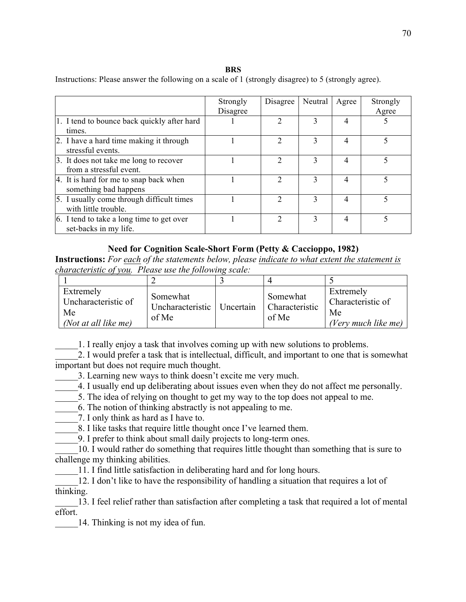#### **BRS**

Instructions: Please answer the following on a scale of 1 (strongly disagree) to 5 (strongly agree).

|                                                                    | Strongly<br>Disagree | Disagree | Neutral | Agree | Strongly<br>Agree |
|--------------------------------------------------------------------|----------------------|----------|---------|-------|-------------------|
| 1. I tend to bounce back quickly after hard<br>times.              |                      |          | 3       | 4     |                   |
| 2. I have a hard time making it through<br>stressful events.       |                      | າ        | 3       | 4     |                   |
| 3. It does not take me long to recover<br>from a stressful event.  |                      |          | 3       | 4     |                   |
| 4. It is hard for me to snap back when<br>something bad happens    |                      |          |         | 4     |                   |
| 5. I usually come through difficult times<br>with little trouble.  |                      |          | 3       | 4     |                   |
| 6. I tend to take a long time to get over<br>set-backs in my life. |                      | ∍        | 3       | 4     |                   |

### **Need for Cognition Scale-Short Form (Petty & Caccioppo, 1982)**

**Instructions:** *For each of the statements below, please indicate to what extent the statement is characteristic of you. Please use the following scale:*

| Extremely<br>Uncharacteristic of<br>Me<br>(Not at all like me) | Somewhat<br>Uncharacteristic<br>of Me | Uncertain | Somewhat<br>Characteristic<br>of Me | Extremely<br>Characteristic of<br>Me<br>(Very much like me) |
|----------------------------------------------------------------|---------------------------------------|-----------|-------------------------------------|-------------------------------------------------------------|

\_\_\_\_\_1. I really enjoy a task that involves coming up with new solutions to problems.

2. I would prefer a task that is intellectual, difficult, and important to one that is somewhat important but does not require much thought.

\_\_\_\_\_3. Learning new ways to think doesn't excite me very much.

4. I usually end up deliberating about issues even when they do not affect me personally.

5. The idea of relying on thought to get my way to the top does not appeal to me.

\_\_\_\_\_6. The notion of thinking abstractly is not appealing to me.

7. I only think as hard as I have to.

8. I like tasks that require little thought once I've learned them.

\_\_\_\_\_9. I prefer to think about small daily projects to long-term ones.

\_\_\_\_\_10. I would rather do something that requires little thought than something that is sure to challenge my thinking abilities.

11. I find little satisfaction in deliberating hard and for long hours.

12. I don't like to have the responsibility of handling a situation that requires a lot of thinking.

13. I feel relief rather than satisfaction after completing a task that required a lot of mental effort.

14. Thinking is not my idea of fun.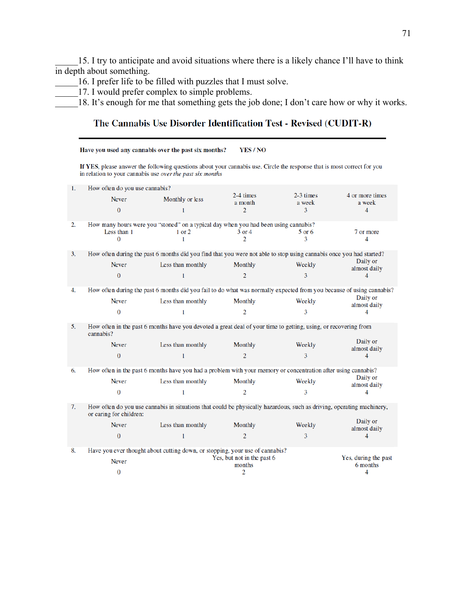\_\_\_\_\_15. I try to anticipate and avoid situations where there is a likely chance I'll have to think in depth about something.

\_\_\_\_\_16. I prefer life to be filled with puzzles that I must solve.

\_\_\_\_\_17. I would prefer complex to simple problems.

\_\_\_\_\_18. It's enough for me that something gets the job done; I don't care how or why it works.

# The Cannabis Use Disorder Identification Test - Revised (CUDIT-R)

|    |                                | Have you used any cannabis over the past six months?                                                                                                                                 | YES / NO                   |                       |                           |
|----|--------------------------------|--------------------------------------------------------------------------------------------------------------------------------------------------------------------------------------|----------------------------|-----------------------|---------------------------|
|    |                                | If YES, please answer the following questions about your cannabis use. Circle the response that is most correct for you<br>in relation to your cannabis use over the past six months |                            |                       |                           |
| 1. | How often do you use cannabis? |                                                                                                                                                                                      |                            |                       |                           |
|    | <b>Never</b>                   | Monthly or less                                                                                                                                                                      | 2-4 times<br>a month       | $2-3$ times<br>a week | 4 or more times<br>a week |
|    | $\overline{0}$                 | 1                                                                                                                                                                                    | $\overline{2}$             | 3                     | 4                         |
| 2. |                                | How many hours were you "stoned" on a typical day when you had been using cannabis?                                                                                                  |                            |                       |                           |
|    | Less than 1                    | $1$ or $2$                                                                                                                                                                           | 3 or 4                     | $5$ or 6              | 7 or more                 |
|    | $\bf{0}$                       | 1                                                                                                                                                                                    | $\overline{2}$             | 3                     | 4                         |
| 3. |                                | How often during the past 6 months did you find that you were not able to stop using cannabis once you had started?                                                                  |                            |                       |                           |
|    | Never                          | Less than monthly                                                                                                                                                                    | Monthly                    | Weekly                | Daily or<br>almost daily  |
|    | $\Omega$                       | $\mathbf{1}$                                                                                                                                                                         | $\overline{2}$             | 3                     | 4                         |
| 4. |                                | How often during the past 6 months did you fail to do what was normally expected from you because of using cannabis?                                                                 |                            |                       |                           |
|    | Never                          | Less than monthly                                                                                                                                                                    | <b>Monthly</b>             | Weekly                | Daily or<br>almost daily  |
|    | $\bf{0}$                       | 1                                                                                                                                                                                    | $\overline{2}$             | 3                     | 4                         |
| 5. | cannabis?                      | How often in the past 6 months have you devoted a great deal of your time to getting, using, or recovering from                                                                      |                            |                       |                           |
|    | <b>Never</b>                   | Less than monthly                                                                                                                                                                    | Monthly                    | Weekly                | Daily or<br>almost daily  |
|    | $\overline{0}$                 | $\mathbf{1}$                                                                                                                                                                         | $\overline{2}$             | 3                     | 4                         |
| 6. |                                | How often in the past 6 months have you had a problem with your memory or concentration after using cannabis?                                                                        |                            |                       |                           |
|    | <b>Never</b>                   | Less than monthly                                                                                                                                                                    | Monthly                    | Weekly                | Daily or<br>almost daily  |
|    | $\bf{0}$                       | 1                                                                                                                                                                                    | $\overline{2}$             | 3                     | 4                         |
| 7. | or caring for children:        | How often do you use cannabis in situations that could be physically hazardous, such as driving, operating machinery,                                                                |                            |                       |                           |
|    | Never                          | Less than monthly                                                                                                                                                                    | Monthly                    | Weekly                | Daily or<br>almost daily  |
|    | $\bf{0}$                       | $\mathbf{1}$                                                                                                                                                                         | $\overline{2}$             | 3                     | 4                         |
| 8. |                                | Have you ever thought about cutting down, or stopping, your use of cannabis?                                                                                                         |                            |                       |                           |
|    | <b>Never</b>                   |                                                                                                                                                                                      | Yes, but not in the past 6 |                       | Yes, during the past      |
|    | $\bf{0}$                       |                                                                                                                                                                                      | months<br>2                |                       | 6 months<br>4             |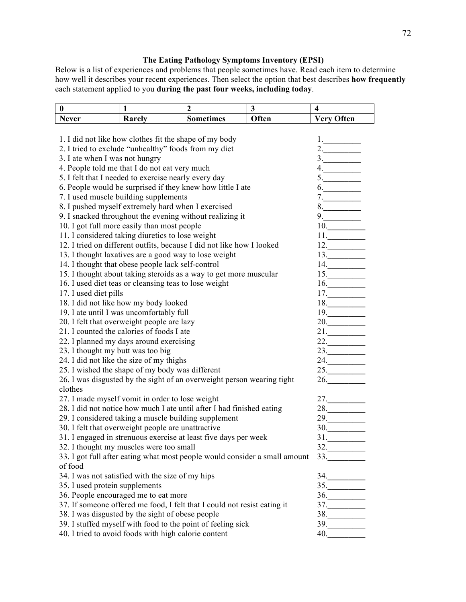# **The Eating Pathology Symptoms Inventory (EPSI)**

Below is a list of experiences and problems that people sometimes have. Read each item to determine how well it describes your recent experiences. Then select the option that best describes **how frequently**  each statement applied to you **during the past four weeks, including today**.

| $\bf{0}$                                               | 1                                                        | $\overline{2}$                                                             | $\overline{\mathbf{3}}$ | $\overline{\mathbf{4}}$        |
|--------------------------------------------------------|----------------------------------------------------------|----------------------------------------------------------------------------|-------------------------|--------------------------------|
| <b>Never</b>                                           | Rarely                                                   | <b>Sometimes</b>                                                           | Often                   | <b>Very Often</b>              |
|                                                        |                                                          |                                                                            |                         |                                |
| 1. I did not like how clothes fit the shape of my body | 1.                                                       |                                                                            |                         |                                |
| 2. I tried to exclude "unhealthy" foods from my diet   | 2.                                                       |                                                                            |                         |                                |
| 3. I ate when I was not hungry                         |                                                          |                                                                            |                         | 3.                             |
|                                                        | 4. People told me that I do not eat very much            |                                                                            |                         | 4.                             |
|                                                        | 5. I felt that I needed to exercise nearly every day     |                                                                            |                         | 5.                             |
|                                                        |                                                          | 6. People would be surprised if they knew how little I ate                 |                         | 6.                             |
|                                                        | 7. I used muscle building supplements                    |                                                                            |                         | 7.                             |
|                                                        | 8. I pushed myself extremely hard when I exercised       |                                                                            |                         | 8.                             |
|                                                        | 9. I snacked throughout the evening without realizing it |                                                                            |                         | 9.                             |
|                                                        | 10. I got full more easily than most people              |                                                                            |                         | 10.                            |
|                                                        | 11. I considered taking diuretics to lose weight         |                                                                            |                         | 11.                            |
|                                                        |                                                          | 12. I tried on different outfits, because I did not like how I looked      |                         | 12.                            |
|                                                        | 13. I thought laxatives are a good way to lose weight    |                                                                            |                         | 13.                            |
|                                                        | 14. I thought that obese people lack self-control        |                                                                            |                         | 14.                            |
|                                                        |                                                          | 15. I thought about taking steroids as a way to get more muscular          |                         | 15.                            |
|                                                        | 16. I used diet teas or cleansing teas to lose weight    |                                                                            |                         | 16.                            |
| 17. I used diet pills                                  |                                                          |                                                                            |                         | 17.                            |
|                                                        | 18. I did not like how my body looked                    |                                                                            |                         | 18.                            |
|                                                        | 19. I ate until I was uncomfortably full                 |                                                                            |                         | 19.                            |
|                                                        | 20. I felt that overweight people are lazy               |                                                                            |                         | 20.                            |
|                                                        | 21. I counted the calories of foods I ate                |                                                                            |                         | 21.                            |
|                                                        | 22. I planned my days around exercising                  |                                                                            |                         | 22.                            |
| 23. I thought my butt was too big                      |                                                          |                                                                            |                         | 23.                            |
|                                                        | 24. I did not like the size of my thighs                 |                                                                            |                         | 24.                            |
|                                                        | 25. I wished the shape of my body was different          |                                                                            |                         | 25.                            |
|                                                        |                                                          | 26. I was disgusted by the sight of an overweight person wearing tight     |                         | 26.                            |
| clothes                                                |                                                          |                                                                            |                         |                                |
|                                                        | 27. I made myself vomit in order to lose weight          |                                                                            |                         | 27.                            |
|                                                        |                                                          | 28. I did not notice how much I ate until after I had finished eating      |                         | 28.                            |
|                                                        | 29. I considered taking a muscle building supplement     |                                                                            |                         | 29.                            |
|                                                        | 30. I felt that overweight people are unattractive       |                                                                            |                         | 30.                            |
|                                                        |                                                          | 31. I engaged in strenuous exercise at least five days per week            |                         | 31.                            |
|                                                        | 32. I thought my muscles were too small                  |                                                                            |                         | $32.$                          |
|                                                        |                                                          | 33. I got full after eating what most people would consider a small amount |                         | 33.                            |
| of food                                                |                                                          |                                                                            |                         |                                |
|                                                        | 34. I was not satisfied with the size of my hips         |                                                                            |                         | 34.                            |
| 35. I used protein supplements                         |                                                          |                                                                            |                         | 35.                            |
|                                                        | 36. People encouraged me to eat more                     |                                                                            |                         | 36.                            |
|                                                        |                                                          | 37. If someone offered me food, I felt that I could not resist eating it   |                         | $37. \underline{\hspace{2cm}}$ |
|                                                        | 38. I was disgusted by the sight of obese people         |                                                                            |                         | $38.$                          |
|                                                        |                                                          | 39. I stuffed myself with food to the point of feeling sick                |                         | 39.                            |
|                                                        | 40. I tried to avoid foods with high calorie content     |                                                                            |                         | 40.                            |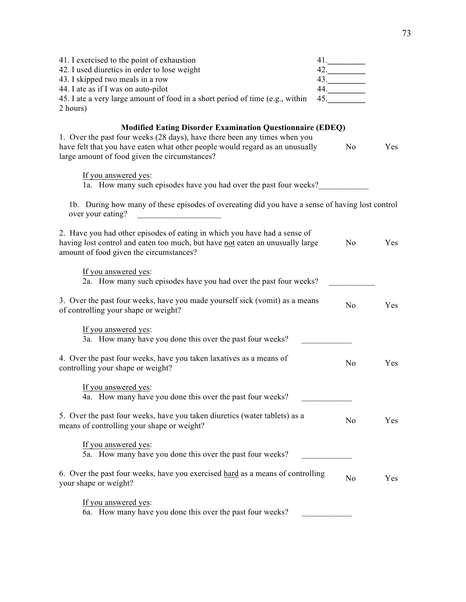| 41. I exercised to the point of exhaustion<br>42. I used diuretics in order to lose weight<br>43. I skipped two meals in a row<br>44. I ate as if I was on auto-pilot<br>45. I ate a very large amount of food in a short period of time (e.g., within<br>2 hours) | 41.<br>42.<br>43.<br>44.<br>45. |                       |
|--------------------------------------------------------------------------------------------------------------------------------------------------------------------------------------------------------------------------------------------------------------------|---------------------------------|-----------------------|
| <b>Modified Eating Disorder Examination Questionnaire (EDEQ)</b><br>1. Over the past four weeks (28 days), have there been any times when you<br>have felt that you have eaten what other people would regard as an unusually                                      |                                 | N <sub>0</sub><br>Yes |
| large amount of food given the circumstances?                                                                                                                                                                                                                      |                                 |                       |
| If you answered yes:<br>1a. How many such episodes have you had over the past four weeks?                                                                                                                                                                          |                                 |                       |
| 1b. During how many of these episodes of overeating did you have a sense of having lost control<br>over your eating?<br><u> 1980 - Jan Barnett, fransk politiker (</u>                                                                                             |                                 |                       |
| 2. Have you had other episodes of eating in which you have had a sense of<br>having lost control and eaten too much, but have not eaten an unusually large<br>amount of food given the circumstances?                                                              |                                 | N <sub>o</sub><br>Yes |
| If you answered yes:<br>2a. How many such episodes have you had over the past four weeks?                                                                                                                                                                          |                                 |                       |
| 3. Over the past four weeks, have you made yourself sick (vomit) as a means<br>of controlling your shape or weight?                                                                                                                                                |                                 | N <sub>0</sub><br>Yes |
| If you answered yes:<br>3a. How many have you done this over the past four weeks?                                                                                                                                                                                  |                                 |                       |
| 4. Over the past four weeks, have you taken laxatives as a means of<br>controlling your shape or weight?                                                                                                                                                           |                                 | N <sub>o</sub><br>Yes |
| If you answered yes:<br>4a. How many have you done this over the past four weeks?                                                                                                                                                                                  |                                 |                       |
| 5. Over the past four weeks, have you taken diuretics (water tablets) as a<br>means of controlling your shape or weight?                                                                                                                                           |                                 | No<br>Yes             |
| If you answered yes:<br>5a. How many have you done this over the past four weeks?                                                                                                                                                                                  |                                 |                       |
| 6. Over the past four weeks, have you exercised hard as a means of controlling<br>your shape or weight?                                                                                                                                                            |                                 | No<br>Yes             |
| If you answered yes:<br>6a. How many have you done this over the past four weeks?                                                                                                                                                                                  |                                 |                       |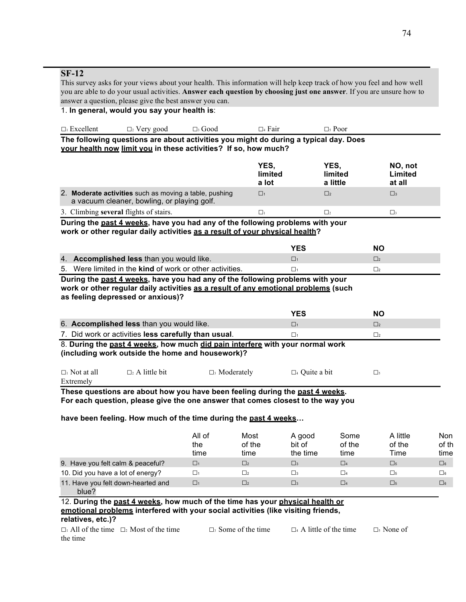### **SF-12**

This survey asks for your views about your health. This information will help keep track of how you feel and how well you are able to do your usual activities. **Answer each question by choosing just one answer**. If you are unsure how to answer a question, please give the best answer you can.

1. **In general, would you say your health is**:

| $\Box_1$ Excellent | $\Box$ Very good                                                                     | $\square$ Good | $\Box$ Fair | $\Box$ Poor |
|--------------------|--------------------------------------------------------------------------------------|----------------|-------------|-------------|
|                    | The following questions are about activities you might do during a typical day. Does |                |             |             |

**your health now limit you in these activities? If so, how much?**

|                                                                                                                                                              | <b>YES</b><br>limited<br>a lot | YES.<br>limited<br>a little | NO, not<br>Limited<br>at all |  |  |  |  |  |
|--------------------------------------------------------------------------------------------------------------------------------------------------------------|--------------------------------|-----------------------------|------------------------------|--|--|--|--|--|
| 2. Moderate activities such as moving a table, pushing<br>a vacuum cleaner, bowling, or playing golf.                                                        | $\Box$                         | $\Box$                      | $\square$ 3                  |  |  |  |  |  |
| 3. Climbing several flights of stairs.                                                                                                                       | Пı                             | П,                          | П١                           |  |  |  |  |  |
| During the past 4 weeks, have you had any of the following problems with your<br>work or other regular daily activities as a result of your physical health? |                                |                             |                              |  |  |  |  |  |

|                                                                 | NΟ |
|-----------------------------------------------------------------|----|
| 4. Accomplished less than you would like.                       |    |
| 5. Were limited in the <b>kind</b> of work or other activities. |    |

**During the past 4 weeks, have you had any of the following problems with your work or other regular daily activities as a result of any emotional problems (such as feeling depressed or anxious)?**

|                                                      | NС |  |
|------------------------------------------------------|----|--|
| 6. Accomplished less than you would like.            |    |  |
| 7. Did work or activities less carefully than usual. |    |  |

8. **During the past 4 weeks, how much did pain interfere with your normal work (including work outside the home and housework)?**

| $\Box$ Not at all | $\Box_2$ A little bit | $\Box$ Moderately | $\square$ 4 Quite a bit |  |
|-------------------|-----------------------|-------------------|-------------------------|--|
| Extremely         |                       |                   |                         |  |

**These questions are about how you have been feeling during the past 4 weeks. For each question, please give the one answer that comes closest to the way you** 

**have been feeling. How much of the time during the past 4 weeks…**

|                                    | All of<br>the<br>time | Most<br>of the<br>time | A good<br>bit of<br>the time | Some<br>of the<br>time | A little<br>of the<br>Time | Non<br>of th<br>time |
|------------------------------------|-----------------------|------------------------|------------------------------|------------------------|----------------------------|----------------------|
| 9. Have you felt calm & peaceful?  | $\Box$ 1              | $\Box$                 | $\square$ 3                  | $\Box$ 4               | $\square$                  | $\Box$ 6             |
| 10. Did you have a lot of energy?  | $\Box_1$              | П2                     | $\Box$ 3                     | $\Box$ 4               | $\Box$ <sub>5</sub>        | $\Box$ 6             |
| 11. Have you felt down-hearted and | $\Box$                | $\Box$                 | $\square$ 3                  | $\Box$ 4               | $\square$ <sub>5</sub>     | $\Box$ 6             |
| blue?                              |                       |                        |                              |                        |                            |                      |

12. **During the past 4 weeks, how much of the time has your physical health or emotional problems interfered with your social activities (like visiting friends, relatives, etc.)?**

**□**<sup>1</sup> All of the time **□**<sup>2</sup> Most of the time **□**<sup>3</sup> Some of the time **□**<sup>4</sup> A little of the time **□**<sup>5</sup> None of the time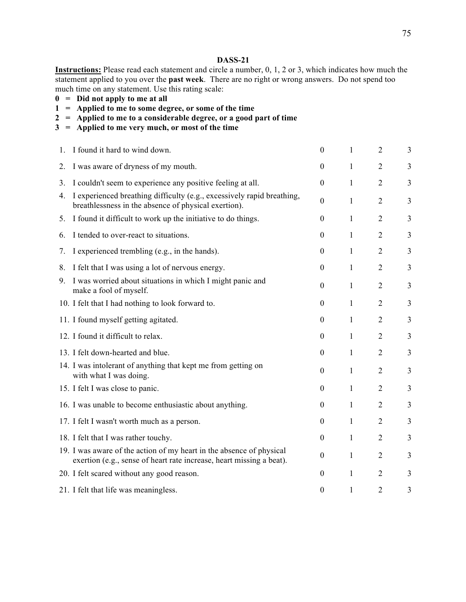#### **DASS-21**

**Instructions:** Please read each statement and circle a number, 0, 1, 2 or 3, which indicates how much the statement applied to you over the **past week**. There are no right or wrong answers. Do not spend too much time on any statement. Use this rating scale:

- **0 = Did not apply to me at all**
- **1 = Applied to me to some degree, or some of the time**
- **2 = Applied to me to a considerable degree, or a good part of time**
- **3 = Applied to me very much, or most of the time**

| 1. | I found it hard to wind down.                                                                                                                | $\boldsymbol{0}$ | 1            | $\overline{2}$ | 3              |
|----|----------------------------------------------------------------------------------------------------------------------------------------------|------------------|--------------|----------------|----------------|
| 2. | I was aware of dryness of my mouth.                                                                                                          | $\theta$         | 1            | $\overline{2}$ | 3              |
| 3. | I couldn't seem to experience any positive feeling at all.                                                                                   | $\theta$         | 1            | $\overline{2}$ | $\overline{3}$ |
| 4. | I experienced breathing difficulty (e.g., excessively rapid breathing,<br>breathlessness in the absence of physical exertion).               | $\theta$         | 1            | $\overline{2}$ | $\overline{3}$ |
| 5. | I found it difficult to work up the initiative to do things.                                                                                 | $\theta$         | 1            | $\overline{2}$ | 3              |
| 6. | I tended to over-react to situations.                                                                                                        | $\boldsymbol{0}$ | 1            | $\overline{2}$ | 3              |
| 7. | I experienced trembling (e.g., in the hands).                                                                                                | $\boldsymbol{0}$ | 1            | $\overline{2}$ | $\overline{3}$ |
| 8. | I felt that I was using a lot of nervous energy.                                                                                             | $\boldsymbol{0}$ | $\mathbf{1}$ | $\overline{2}$ | $\overline{3}$ |
| 9. | I was worried about situations in which I might panic and<br>make a fool of myself.                                                          | $\boldsymbol{0}$ | 1            | $\overline{2}$ | $\overline{3}$ |
|    | 10. I felt that I had nothing to look forward to.                                                                                            | $\theta$         | 1            | $\overline{2}$ | $\overline{3}$ |
|    | 11. I found myself getting agitated.                                                                                                         | $\theta$         | 1            | $\overline{2}$ | 3              |
|    | 12. I found it difficult to relax.                                                                                                           | $\boldsymbol{0}$ | 1            | $\overline{2}$ | 3              |
|    | 13. I felt down-hearted and blue.                                                                                                            | $\boldsymbol{0}$ | 1            | $\overline{2}$ | 3              |
|    | 14. I was intolerant of anything that kept me from getting on<br>with what I was doing.                                                      | $\theta$         | 1            | $\overline{2}$ | $\overline{3}$ |
|    | 15. I felt I was close to panic.                                                                                                             | $\boldsymbol{0}$ | $\mathbf{1}$ | $\overline{2}$ | $\overline{3}$ |
|    | 16. I was unable to become enthusiastic about anything.                                                                                      | $\boldsymbol{0}$ | $\mathbf{1}$ | $\overline{2}$ | $\overline{3}$ |
|    | 17. I felt I wasn't worth much as a person.                                                                                                  | $\boldsymbol{0}$ | $\mathbf{1}$ | $\overline{2}$ | $\overline{3}$ |
|    | 18. I felt that I was rather touchy.                                                                                                         | $\boldsymbol{0}$ | 1            | $\overline{2}$ | 3              |
|    | 19. I was aware of the action of my heart in the absence of physical<br>exertion (e.g., sense of heart rate increase, heart missing a beat). | $\boldsymbol{0}$ | 1            | $\overline{2}$ | 3              |
|    | 20. I felt scared without any good reason.                                                                                                   | $\theta$         | 1            | $\overline{2}$ | 3              |
|    | 21. I felt that life was meaningless.                                                                                                        | $\overline{0}$   | 1            | $\overline{2}$ | 3              |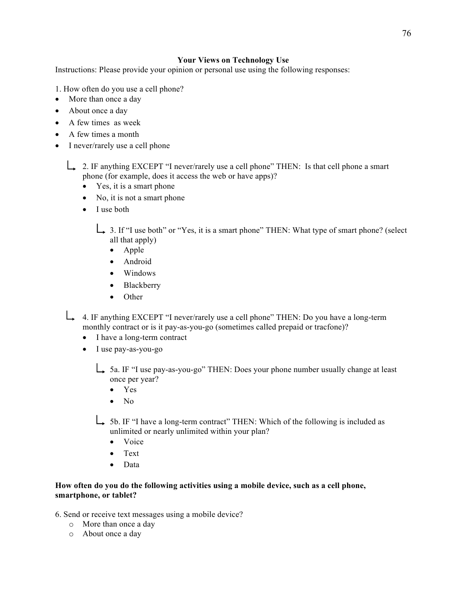### 76

### **Your Views on Technology Use**

Instructions: Please provide your opinion or personal use using the following responses:

- 1. How often do you use a cell phone?
- More than once a day
- About once a day
- A few times as week
- A few times a month
- I never/rarely use a cell phone

2. IF anything EXCEPT "I never/rarely use a cell phone" THEN: Is that cell phone a smart phone (for example, does it access the web or have apps)?

- Yes, it is a smart phone
- No, it is not a smart phone
- I use both

 $\perp$  3. If "I use both" or "Yes, it is a smart phone" THEN: What type of smart phone? (select all that apply)

- Apple
- Android
- Windows
- Blackberry
- Other

4. IF anything EXCEPT "I never/rarely use a cell phone" THEN: Do you have a long-term monthly contract or is it pay-as-you-go (sometimes called prepaid or tracfone)?

- I have a long-term contract
- I use pay-as-you-go

5a. IF "I use pay-as-you-go" THEN: Does your phone number usually change at least once per year?

- Yes
- $\bullet$  No
- 5b. IF "I have a long-term contract" THEN: Which of the following is included as unlimited or nearly unlimited within your plan?
	- Voice
	- Text
	- Data

### **How often do you do the following activities using a mobile device, such as a cell phone, smartphone, or tablet?**

- 6. Send or receive text messages using a mobile device?
	- o More than once a day
	- o About once a day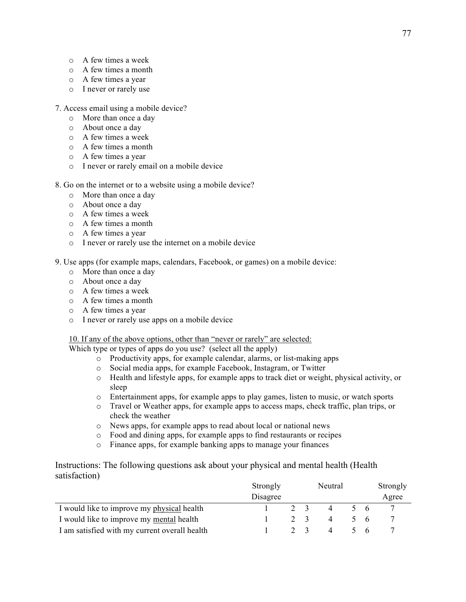- o A few times a week
- o A few times a month
- o A few times a year
- o I never or rarely use
- 7. Access email using a mobile device?
	- o More than once a day
	- o About once a day
	- o A few times a week
	- o A few times a month
	- o A few times a year
	- o I never or rarely email on a mobile device
- 8. Go on the internet or to a website using a mobile device?
	- o More than once a day
	- o About once a day
	- o A few times a week
	- o A few times a month
	- o A few times a year
	- o I never or rarely use the internet on a mobile device
- 9. Use apps (for example maps, calendars, Facebook, or games) on a mobile device:
	- o More than once a day
	- o About once a day
	- o A few times a week
	- o A few times a month
	- o A few times a year
	- o I never or rarely use apps on a mobile device

#### 10. If any of the above options, other than "never or rarely" are selected:

Which type or types of apps do you use? (select all the apply)

- o Productivity apps, for example calendar, alarms, or list-making apps
- o Social media apps, for example Facebook, Instagram, or Twitter
- o Health and lifestyle apps, for example apps to track diet or weight, physical activity, or sleep
- o Entertainment apps, for example apps to play games, listen to music, or watch sports
- o Travel or Weather apps, for example apps to access maps, check traffic, plan trips, or check the weather
- o News apps, for example apps to read about local or national news
- o Food and dining apps, for example apps to find restaurants or recipes
- o Finance apps, for example banking apps to manage your finances

Instructions: The following questions ask about your physical and mental health (Health satisfaction)

|                                               | Strongly |  |  | Neutral        |  |     | Strongly |  |
|-----------------------------------------------|----------|--|--|----------------|--|-----|----------|--|
|                                               | Disagree |  |  |                |  |     | Agree    |  |
| I would like to improve my physical health    |          |  |  |                |  | - 6 |          |  |
| I would like to improve my mental health      |          |  |  | $\overline{4}$ |  | - 6 |          |  |
| I am satisfied with my current overall health |          |  |  | 4              |  | h   |          |  |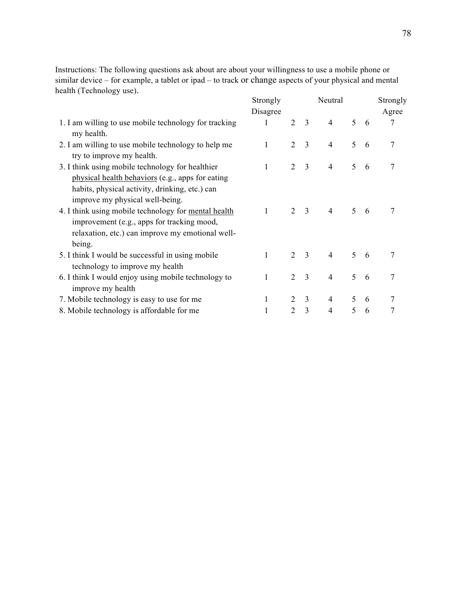Instructions: The following questions ask about are about your willingness to use a mobile phone or similar device – for example, a tablet or ipad – to track or change aspects of your physical and mental health (Technology use).

|                                                                                                                                                                                                                                                                                                           | Strongly     |                             |                | Neutral        |               |   | Strongly |
|-----------------------------------------------------------------------------------------------------------------------------------------------------------------------------------------------------------------------------------------------------------------------------------------------------------|--------------|-----------------------------|----------------|----------------|---------------|---|----------|
|                                                                                                                                                                                                                                                                                                           | Disagree     |                             |                |                |               |   | Agree    |
| 1. I am willing to use mobile technology for tracking<br>my health.                                                                                                                                                                                                                                       | 1            | 2                           | 3              | $\overline{4}$ | 5             | 6 | 7        |
| 2. I am willing to use mobile technology to help me<br>try to improve my health.                                                                                                                                                                                                                          | $\mathbf{1}$ | 2                           | 3              | $\overline{4}$ | 5             | 6 | 7        |
| 3. I think using mobile technology for healthier                                                                                                                                                                                                                                                          | 1            | 2                           | $\overline{3}$ | 4              | 5             | 6 | 7        |
| physical health behaviors (e.g., apps for eating<br>habits, physical activity, drinking, etc.) can<br>improve my physical well-being.<br>4. I think using mobile technology for mental health<br>improvement (e.g., apps for tracking mood,<br>relaxation, etc.) can improve my emotional well-<br>being. | 1            | $\mathcal{D}_{\mathcal{L}}$ | $\overline{3}$ | $\overline{4}$ | $\mathcal{F}$ | 6 | 7        |
| 5. I think I would be successful in using mobile                                                                                                                                                                                                                                                          | $\mathbf{1}$ | $\overline{2}$              | 3              | $\overline{4}$ | 5             | 6 | 7        |
| technology to improve my health                                                                                                                                                                                                                                                                           |              |                             |                |                |               |   |          |
| 6. I think I would enjoy using mobile technology to<br>improve my health                                                                                                                                                                                                                                  | 1            | 2                           | 3              | $\overline{4}$ | 5             | 6 | 7        |
| 7. Mobile technology is easy to use for me                                                                                                                                                                                                                                                                | 1            | 2                           | 3              | 4              | 5             | 6 |          |
| 8. Mobile technology is affordable for me                                                                                                                                                                                                                                                                 |              | 2                           | 3              | $\overline{4}$ | 5             | 6 | 7        |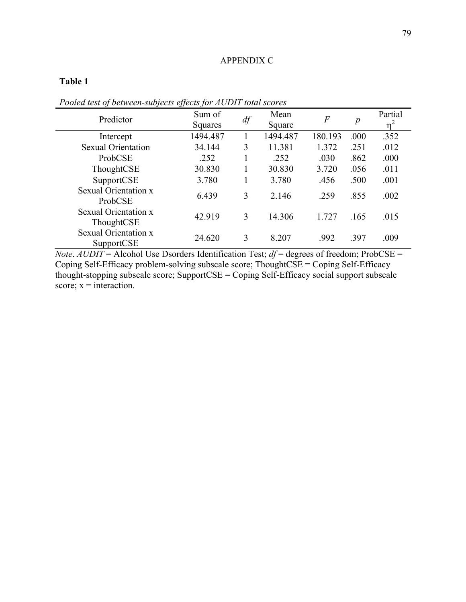#### APPENDIX C

## **Table 1**

| Predictor                          | Sum of<br>Squares | $df\,$ | Mean<br>Square | $\boldsymbol{F}$ | $\boldsymbol{p}$ | Partial<br>n |
|------------------------------------|-------------------|--------|----------------|------------------|------------------|--------------|
| Intercept                          | 1494.487          |        | 1494.487       | 180.193          | .000             | .352         |
| <b>Sexual Orientation</b>          | 34.144            | 3      | 11.381         | 1.372            | .251             | .012         |
| ProbCSE                            | .252              |        | .252           | .030             | .862             | .000         |
| ThoughtCSE                         | 30.830            |        | 30.830         | 3.720            | .056             | .011         |
| SupportCSE                         | 3.780             |        | 3.780          | .456             | .500             | .001         |
| Sexual Orientation x<br>ProbCSE    | 6.439             | 3      | 2.146          | .259             | .855             | .002         |
| Sexual Orientation x<br>ThoughtCSE | 42.919            | 3      | 14.306         | 1.727            | .165             | .015         |
| Sexual Orientation x<br>SupportCSE | 24.620            | 3      | 8.207          | .992             | .397             | .009         |

# *Pooled test of between-subjects effects for AUDIT total scores*

*Note*. *AUDIT* = Alcohol Use Dsorders Identification Test; *df* = degrees of freedom; ProbCSE = Coping Self-Efficacy problem-solving subscale score; ThoughtCSE = Coping Self-Efficacy thought-stopping subscale score; SupportCSE = Coping Self-Efficacy social support subscale score;  $x =$  interaction.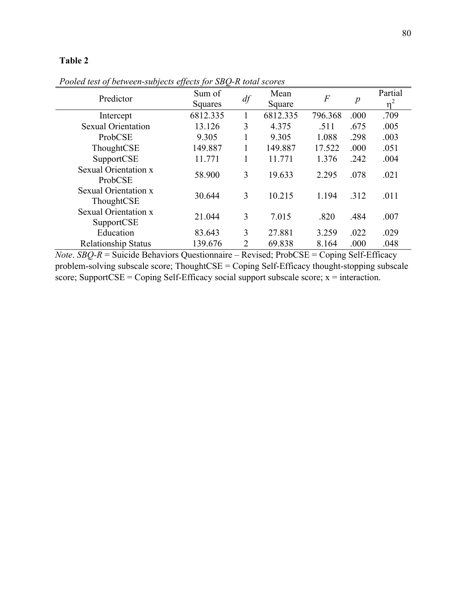*Pooled test of between-subjects effects for SBQ-R total scores*

| Predictor                                 | Sum of<br>Squares | $d\!f$         | Mean<br>Square | $\boldsymbol{F}$ | $\boldsymbol{p}$ | Partial<br>$n^2$ |
|-------------------------------------------|-------------------|----------------|----------------|------------------|------------------|------------------|
| Intercept                                 | 6812.335          |                | 6812.335       | 796.368          | .000             | .709             |
| <b>Sexual Orientation</b>                 | 13.126            | 3              | 4.375          | .511             | .675             | .005             |
| ProbCSE                                   | 9.305             |                | 9.305          | 1.088            | .298             | .003             |
| ThoughtCSE                                | 149.887           |                | 149.887        | 17.522           | .000             | .051             |
| SupportCSE                                | 11.771            |                | 11.771         | 1.376            | .242             | .004             |
| Sexual Orientation x<br>ProbCSE           | 58.900            | 3              | 19.633         | 2.295            | .078             | .021             |
| Sexual Orientation x<br>ThoughtCSE        | 30.644            | 3              | 10.215         | 1.194            | .312             | .011             |
| <b>Sexual Orientation x</b><br>SupportCSE | 21.044            | 3              | 7.015          | .820             | .484             | .007             |
| Education                                 | 83.643            | 3              | 27.881         | 3.259            | .022             | .029             |
| <b>Relationship Status</b>                | 139.676           | $\overline{2}$ | 69.838         | 8.164            | .000             | .048             |

*Note*. *SBQ-R* = Suicide Behaviors Questionnaire – Revised; ProbCSE = Coping Self-Efficacy problem-solving subscale score; ThoughtCSE = Coping Self-Efficacy thought-stopping subscale score; SupportCSE = Coping Self-Efficacy social support subscale score;  $x =$  interaction.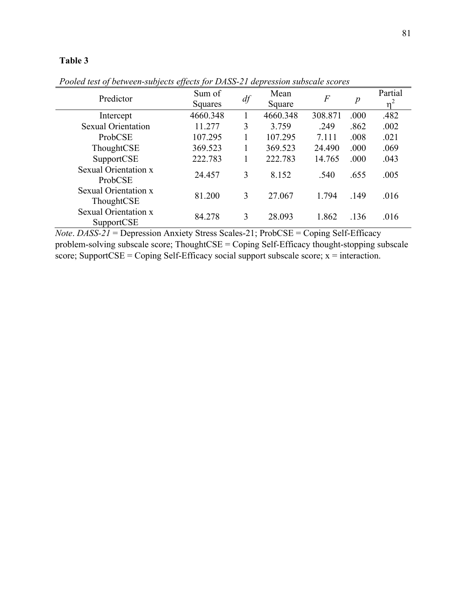| Predictor                          | Sum of<br>Squares | $df\,$ | Mean<br>Square | $\boldsymbol{F}$ | p    | Partial<br>n |
|------------------------------------|-------------------|--------|----------------|------------------|------|--------------|
| Intercept                          | 4660.348          |        | 4660.348       | 308.871          | .000 | .482         |
| <b>Sexual Orientation</b>          | 11.277            | 3      | 3.759          | .249             | .862 | .002         |
| ProbCSE                            | 107.295           |        | 107.295        | 7.111            | .008 | .021         |
| ThoughtCSE                         | 369.523           |        | 369.523        | 24.490           | .000 | .069         |
| SupportCSE                         | 222.783           |        | 222.783        | 14.765           | .000 | .043         |
| Sexual Orientation x<br>ProbCSE    | 24.457            | 3      | 8.152          | .540             | .655 | .005         |
| Sexual Orientation x<br>ThoughtCSE | 81.200            | 3      | 27.067         | 1.794            | .149 | .016         |
| Sexual Orientation x<br>SupportCSE | 84.278            | 3      | 28.093         | 1.862            | .136 | .016         |

*Pooled test of between-subjects effects for DASS-21 depression subscale scores*

*Note*. *DASS-21* = Depression Anxiety Stress Scales-21; ProbCSE = Coping Self-Efficacy problem-solving subscale score; ThoughtCSE = Coping Self-Efficacy thought-stopping subscale score; SupportCSE = Coping Self-Efficacy social support subscale score;  $x =$  interaction.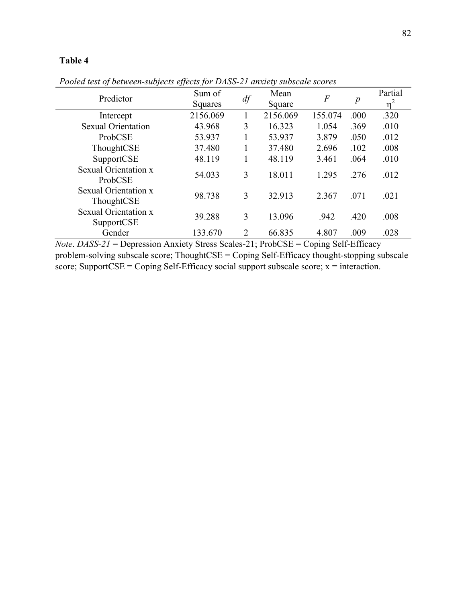| Predictor                          | Sum of<br>Squares | $df\,$ | Mean<br>Square | $\boldsymbol{F}$ | $\boldsymbol{p}$ | Partial<br>$n^2$ |
|------------------------------------|-------------------|--------|----------------|------------------|------------------|------------------|
| Intercept                          | 2156.069          |        | 2156.069       | 155.074          | .000             | .320             |
| <b>Sexual Orientation</b>          | 43.968            | 3      | 16.323         | 1.054            | .369             | .010             |
| ProbCSE                            | 53.937            |        | 53.937         | 3.879            | .050             | .012             |
| ThoughtCSE                         | 37.480            |        | 37.480         | 2.696            | .102             | .008             |
| SupportCSE                         | 48.119            |        | 48.119         | 3.461            | .064             | .010             |
| Sexual Orientation x<br>ProbCSE    | 54.033            | 3      | 18.011         | 1.295            | .276             | .012             |
| Sexual Orientation x<br>ThoughtCSE | 98.738            | 3      | 32.913         | 2.367            | .071             | .021             |
| Sexual Orientation x<br>SupportCSE | 39.288            | 3      | 13.096         | .942             | .420             | .008             |
| Gender                             | 133.670           | 2      | 66.835         | 4.807            | .009             | .028             |

*Pooled test of between-subjects effects for DASS-21 anxiety subscale scores*

*Note*. *DASS-21* = Depression Anxiety Stress Scales-21; ProbCSE = Coping Self-Efficacy problem-solving subscale score; ThoughtCSE = Coping Self-Efficacy thought-stopping subscale score; SupportCSE = Coping Self-Efficacy social support subscale score;  $x =$  interaction.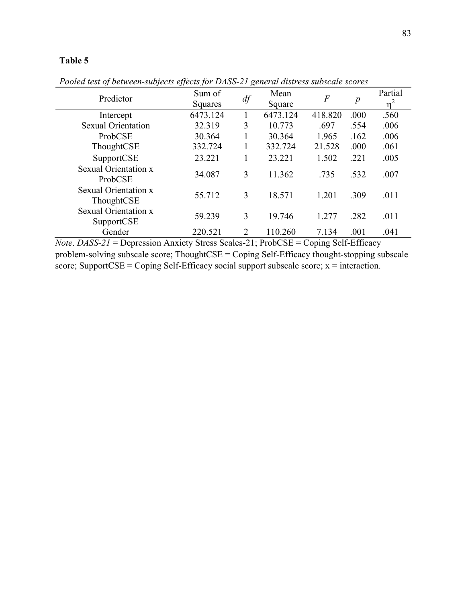| Predictor                                 | Sum of<br>Squares | $df\,$                      | Mean<br>Square | $\boldsymbol{F}$ | $\boldsymbol{p}$ | Partial<br>n |
|-------------------------------------------|-------------------|-----------------------------|----------------|------------------|------------------|--------------|
| Intercept                                 | 6473.124          |                             | 6473.124       | 418.820          | .000             | .560         |
| <b>Sexual Orientation</b>                 | 32.319            | 3                           | 10.773         | .697             | .554             | .006         |
| ProbCSE                                   | 30.364            |                             | 30.364         | 1.965            | .162             | .006         |
| ThoughtCSE                                | 332.724           |                             | 332.724        | 21.528           | .000             | .061         |
| SupportCSE                                | 23.221            |                             | 23.221         | 1.502            | .221             | .005         |
| Sexual Orientation x<br>ProbCSE           | 34.087            | 3                           | 11.362         | .735             | .532             | .007         |
| Sexual Orientation x<br>ThoughtCSE        | 55.712            | 3                           | 18.571         | 1.201            | .309             | .011         |
| <b>Sexual Orientation x</b><br>SupportCSE | 59.239            | 3                           | 19.746         | 1.277            | .282             | .011         |
| Gender                                    | 220.521           | $\mathcal{D}_{\mathcal{L}}$ | 110.260        | 7.134            | .001             | .041         |

*Pooled test of between-subjects effects for DASS-21 general distress subscale scores*

*Note*. *DASS-21* = Depression Anxiety Stress Scales-21; ProbCSE = Coping Self-Efficacy problem-solving subscale score; ThoughtCSE = Coping Self-Efficacy thought-stopping subscale score; SupportCSE = Coping Self-Efficacy social support subscale score;  $x =$  interaction.